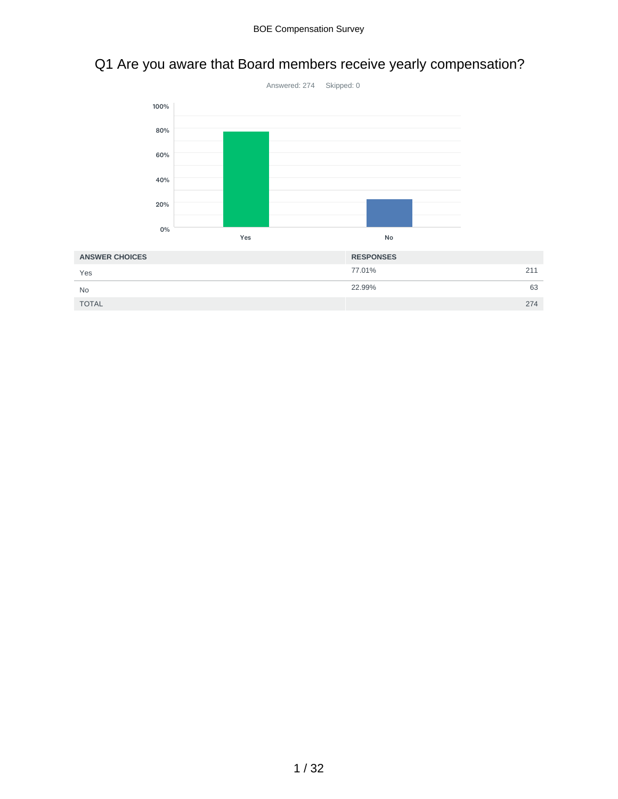# Q1 Are you aware that Board members receive yearly compensation?



| <b>ANSWER CHOICES</b> | <b>RESPONSES</b> |
|-----------------------|------------------|
| Yes                   | 77.01%<br>211    |
| <b>No</b>             | 22.99%<br>63     |
| <b>TOTAL</b>          | 274              |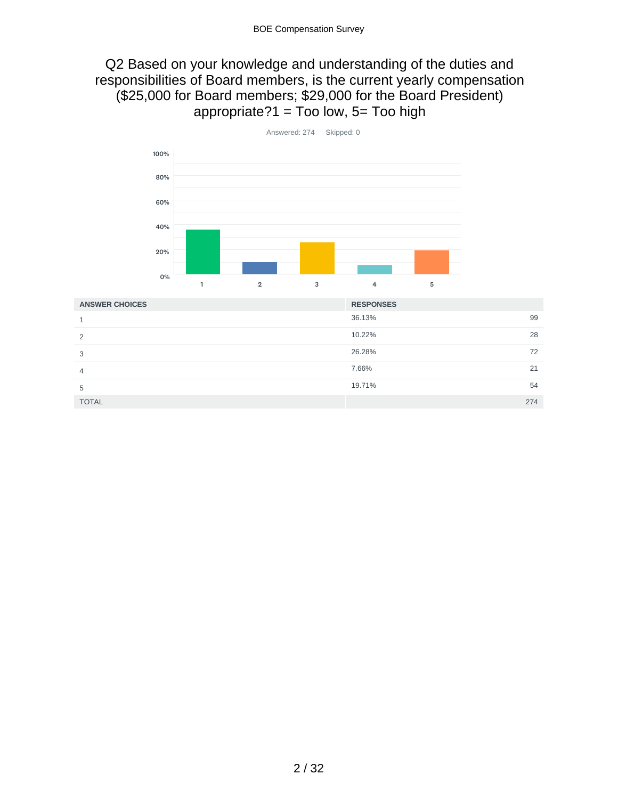# Q2 Based on your knowledge and understanding of the duties and responsibilities of Board members, is the current yearly compensation (\$25,000 for Board members; \$29,000 for the Board President) appropriate? $1 = Too$  low,  $5 = Too$  high



| <b>ANSWER CHOICES</b> | <b>RESPONSES</b> |  |
|-----------------------|------------------|--|
|                       | 36.13%<br>99     |  |
| っ                     | 10.22%<br>28     |  |
| 3                     | 26.28%<br>72     |  |
| 4                     | 7.66%<br>21      |  |
| 5                     | 19.71%<br>54     |  |
| <b>TOTAL</b>          | 274              |  |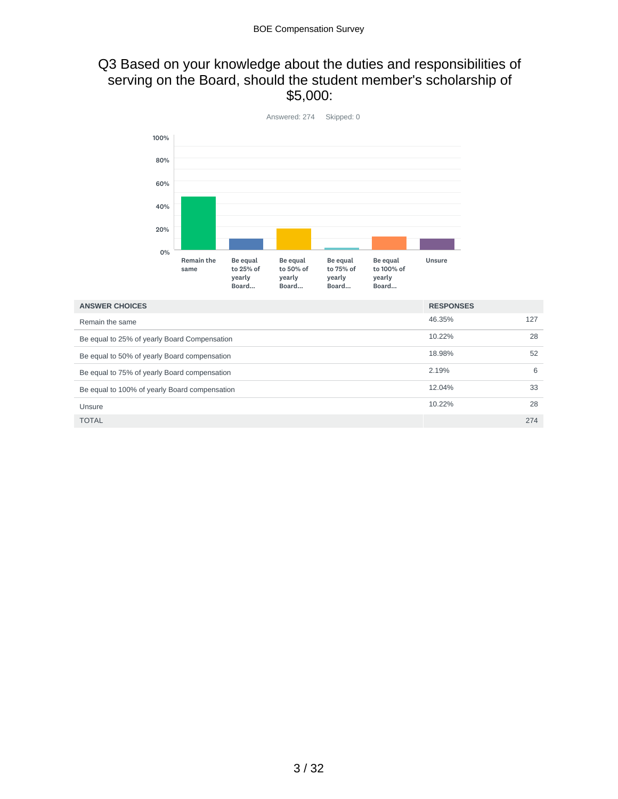# Q3 Based on your knowledge about the duties and responsibilities of serving on the Board, should the student member's scholarship of \$5,000:



| <b>ANSWER CHOICES</b>                         | <b>RESPONSES</b> |     |
|-----------------------------------------------|------------------|-----|
| Remain the same                               | 46.35%           | 127 |
| Be equal to 25% of yearly Board Compensation  | 10.22%           | 28  |
| Be equal to 50% of yearly Board compensation  | 18.98%           | 52  |
| Be equal to 75% of yearly Board compensation  | 2.19%            | 6   |
| Be equal to 100% of yearly Board compensation | 12.04%           | 33  |
| Unsure                                        | 10.22%           | 28  |
| <b>TOTAL</b>                                  |                  | 274 |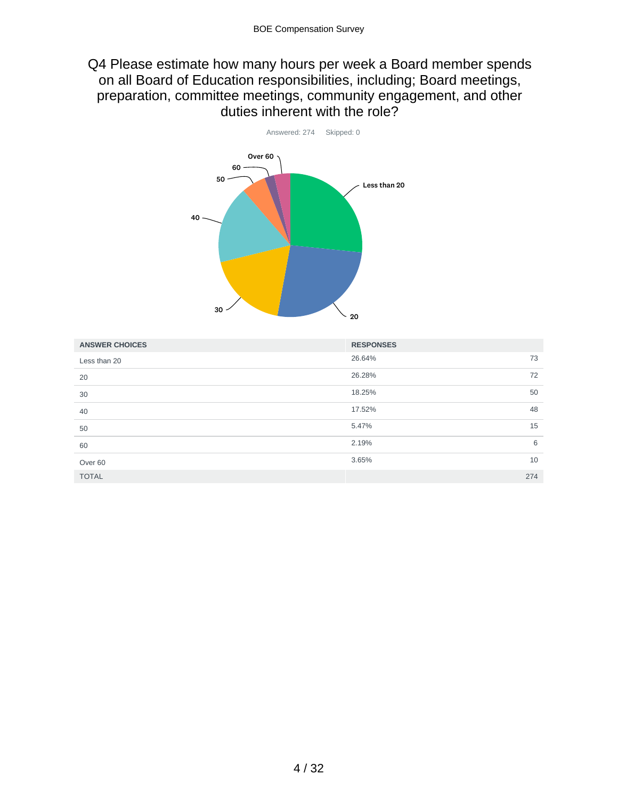# Q4 Please estimate how many hours per week a Board member spends on all Board of Education responsibilities, including; Board meetings, preparation, committee meetings, community engagement, and other duties inherent with the role?



| <b>ANSWER CHOICES</b> | <b>RESPONSES</b> |     |
|-----------------------|------------------|-----|
| Less than 20          | 26.64%           | 73  |
| 20                    | 26.28%           | 72  |
| 30                    | 18.25%           | 50  |
| 40                    | 17.52%           | 48  |
| 50                    | 5.47%            | 15  |
| 60                    | 2.19%            | 6   |
| Over <sub>60</sub>    | 3.65%            | 10  |
| <b>TOTAL</b>          |                  | 274 |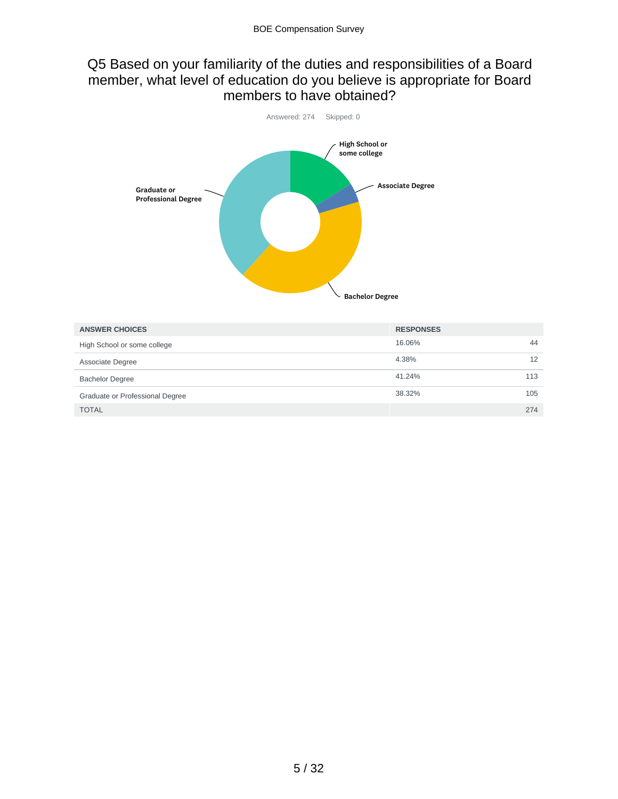# Q5 Based on your familiarity of the duties and responsibilities of a Board member, what level of education do you believe is appropriate for Board members to have obtained?



| <b>ANSWER CHOICES</b>           | <b>RESPONSES</b> |     |
|---------------------------------|------------------|-----|
| High School or some college     | 16.06%           | 44  |
| Associate Degree                | 4.38%            | 12  |
| <b>Bachelor Degree</b>          | 41.24%           | 113 |
| Graduate or Professional Degree | 38.32%           | 105 |
| <b>TOTAL</b>                    |                  | 274 |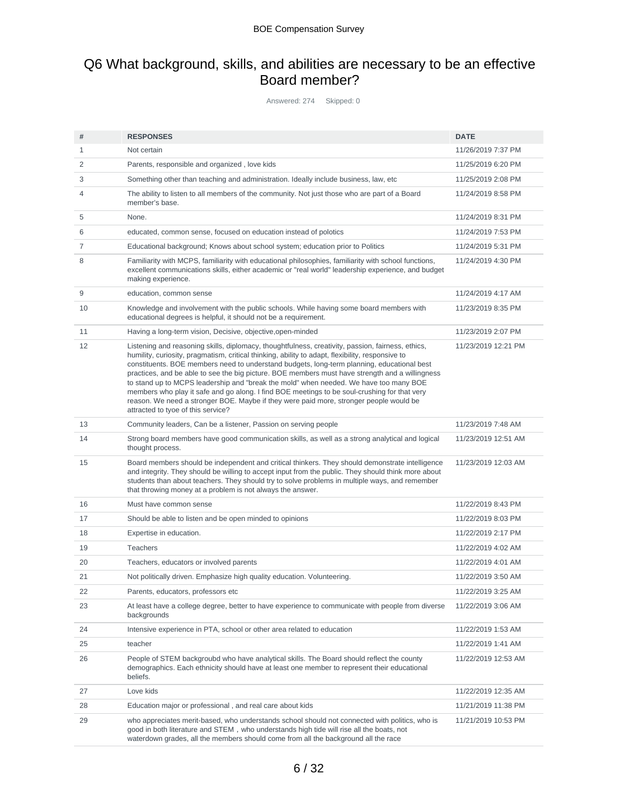# Q6 What background, skills, and abilities are necessary to be an effective Board member?

Answered: 274 Skipped: 0

| #  | <b>RESPONSES</b>                                                                                                                                                                                                                                                                                                                                                                                                                                                                                                                                                                                                                                                                                                                | <b>DATE</b>         |
|----|---------------------------------------------------------------------------------------------------------------------------------------------------------------------------------------------------------------------------------------------------------------------------------------------------------------------------------------------------------------------------------------------------------------------------------------------------------------------------------------------------------------------------------------------------------------------------------------------------------------------------------------------------------------------------------------------------------------------------------|---------------------|
| 1  | Not certain                                                                                                                                                                                                                                                                                                                                                                                                                                                                                                                                                                                                                                                                                                                     | 11/26/2019 7:37 PM  |
| 2  | Parents, responsible and organized, love kids                                                                                                                                                                                                                                                                                                                                                                                                                                                                                                                                                                                                                                                                                   | 11/25/2019 6:20 PM  |
| 3  | Something other than teaching and administration. Ideally include business, law, etc.                                                                                                                                                                                                                                                                                                                                                                                                                                                                                                                                                                                                                                           | 11/25/2019 2:08 PM  |
| 4  | The ability to listen to all members of the community. Not just those who are part of a Board<br>member's base.                                                                                                                                                                                                                                                                                                                                                                                                                                                                                                                                                                                                                 | 11/24/2019 8:58 PM  |
| 5  | None.                                                                                                                                                                                                                                                                                                                                                                                                                                                                                                                                                                                                                                                                                                                           | 11/24/2019 8:31 PM  |
| 6  | educated, common sense, focused on education instead of polotics                                                                                                                                                                                                                                                                                                                                                                                                                                                                                                                                                                                                                                                                | 11/24/2019 7:53 PM  |
| 7  | Educational background; Knows about school system; education prior to Politics                                                                                                                                                                                                                                                                                                                                                                                                                                                                                                                                                                                                                                                  | 11/24/2019 5:31 PM  |
| 8  | Familiarity with MCPS, familiarity with educational philosophies, familiarity with school functions,<br>excellent communications skills, either academic or "real world" leadership experience, and budget<br>making experience.                                                                                                                                                                                                                                                                                                                                                                                                                                                                                                | 11/24/2019 4:30 PM  |
| 9  | education, common sense                                                                                                                                                                                                                                                                                                                                                                                                                                                                                                                                                                                                                                                                                                         | 11/24/2019 4:17 AM  |
| 10 | Knowledge and involvement with the public schools. While having some board members with<br>educational degrees is helpful, it should not be a requirement.                                                                                                                                                                                                                                                                                                                                                                                                                                                                                                                                                                      | 11/23/2019 8:35 PM  |
| 11 | Having a long-term vision, Decisive, objective, open-minded                                                                                                                                                                                                                                                                                                                                                                                                                                                                                                                                                                                                                                                                     | 11/23/2019 2:07 PM  |
| 12 | Listening and reasoning skills, diplomacy, thoughtfulness, creativity, passion, fairness, ethics,<br>humility, curiosity, pragmatism, critical thinking, ability to adapt, flexibility, responsive to<br>constituents. BOE members need to understand budgets, long-term planning, educational best<br>practices, and be able to see the big picture. BOE members must have strength and a willingness<br>to stand up to MCPS leadership and "break the mold" when needed. We have too many BOE<br>members who play it safe and go along. I find BOE meetings to be soul-crushing for that very<br>reason. We need a stronger BOE. Maybe if they were paid more, stronger people would be<br>attracted to tyoe of this service? | 11/23/2019 12:21 PM |
| 13 | Community leaders, Can be a listener, Passion on serving people                                                                                                                                                                                                                                                                                                                                                                                                                                                                                                                                                                                                                                                                 | 11/23/2019 7:48 AM  |
| 14 | Strong board members have good communication skills, as well as a strong analytical and logical<br>thought process.                                                                                                                                                                                                                                                                                                                                                                                                                                                                                                                                                                                                             | 11/23/2019 12:51 AM |
| 15 | Board members should be independent and critical thinkers. They should demonstrate intelligence<br>and integrity. They should be willing to accept input from the public. They should think more about<br>students than about teachers. They should try to solve problems in multiple ways, and remember<br>that throwing money at a problem is not always the answer.                                                                                                                                                                                                                                                                                                                                                          | 11/23/2019 12:03 AM |
| 16 | Must have common sense                                                                                                                                                                                                                                                                                                                                                                                                                                                                                                                                                                                                                                                                                                          | 11/22/2019 8:43 PM  |
| 17 | Should be able to listen and be open minded to opinions                                                                                                                                                                                                                                                                                                                                                                                                                                                                                                                                                                                                                                                                         | 11/22/2019 8:03 PM  |
| 18 | Expertise in education.                                                                                                                                                                                                                                                                                                                                                                                                                                                                                                                                                                                                                                                                                                         | 11/22/2019 2:17 PM  |
| 19 | <b>Teachers</b>                                                                                                                                                                                                                                                                                                                                                                                                                                                                                                                                                                                                                                                                                                                 | 11/22/2019 4:02 AM  |
| 20 | Teachers, educators or involved parents                                                                                                                                                                                                                                                                                                                                                                                                                                                                                                                                                                                                                                                                                         | 11/22/2019 4:01 AM  |
| 21 | Not politically driven. Emphasize high quality education. Volunteering.                                                                                                                                                                                                                                                                                                                                                                                                                                                                                                                                                                                                                                                         | 11/22/2019 3:50 AM  |
| 22 | Parents, educators, professors etc                                                                                                                                                                                                                                                                                                                                                                                                                                                                                                                                                                                                                                                                                              | 11/22/2019 3:25 AM  |
| 23 | At least have a college degree, better to have experience to communicate with people from diverse<br>backgrounds                                                                                                                                                                                                                                                                                                                                                                                                                                                                                                                                                                                                                | 11/22/2019 3:06 AM  |
| 24 | Intensive experience in PTA, school or other area related to education                                                                                                                                                                                                                                                                                                                                                                                                                                                                                                                                                                                                                                                          | 11/22/2019 1:53 AM  |
| 25 | teacher                                                                                                                                                                                                                                                                                                                                                                                                                                                                                                                                                                                                                                                                                                                         | 11/22/2019 1:41 AM  |
| 26 | People of STEM backgroubd who have analytical skills. The Board should reflect the county<br>demographics. Each ethnicity should have at least one member to represent their educational<br>beliefs.                                                                                                                                                                                                                                                                                                                                                                                                                                                                                                                            | 11/22/2019 12:53 AM |
| 27 | Love kids                                                                                                                                                                                                                                                                                                                                                                                                                                                                                                                                                                                                                                                                                                                       | 11/22/2019 12:35 AM |
| 28 | Education major or professional, and real care about kids                                                                                                                                                                                                                                                                                                                                                                                                                                                                                                                                                                                                                                                                       | 11/21/2019 11:38 PM |
| 29 | who appreciates merit-based, who understands school should not connected with politics, who is<br>good in both literature and STEM, who understands high tide will rise all the boats, not<br>waterdown grades, all the members should come from all the background all the race                                                                                                                                                                                                                                                                                                                                                                                                                                                | 11/21/2019 10:53 PM |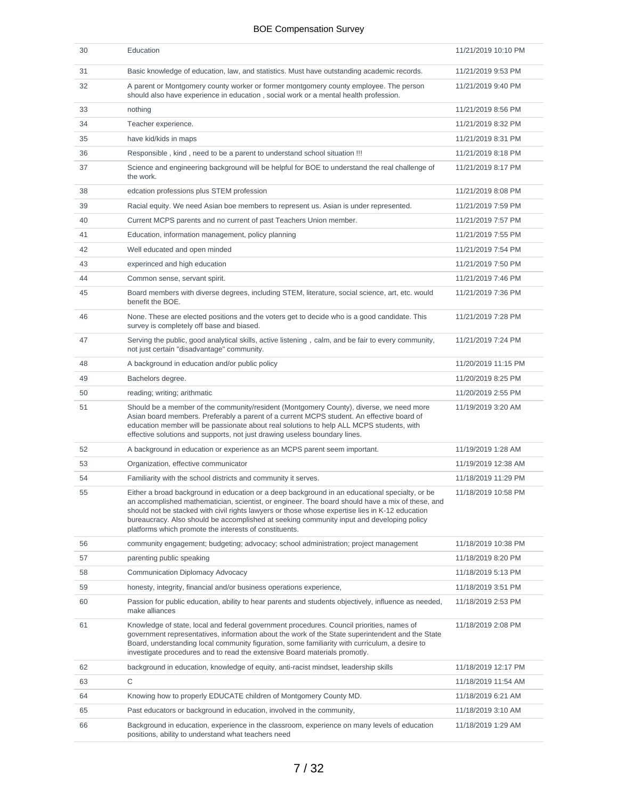| 30 | Education                                                                                                                                                                                                                                                                                                                                                                                                                                                    | 11/21/2019 10:10 PM |
|----|--------------------------------------------------------------------------------------------------------------------------------------------------------------------------------------------------------------------------------------------------------------------------------------------------------------------------------------------------------------------------------------------------------------------------------------------------------------|---------------------|
| 31 | Basic knowledge of education, law, and statistics. Must have outstanding academic records.                                                                                                                                                                                                                                                                                                                                                                   | 11/21/2019 9:53 PM  |
| 32 | A parent or Montgomery county worker or former montgomery county employee. The person<br>should also have experience in education, social work or a mental health profession.                                                                                                                                                                                                                                                                                | 11/21/2019 9:40 PM  |
| 33 | nothing                                                                                                                                                                                                                                                                                                                                                                                                                                                      | 11/21/2019 8:56 PM  |
| 34 | Teacher experience.                                                                                                                                                                                                                                                                                                                                                                                                                                          | 11/21/2019 8:32 PM  |
| 35 | have kid/kids in maps                                                                                                                                                                                                                                                                                                                                                                                                                                        | 11/21/2019 8:31 PM  |
| 36 | Responsible, kind, need to be a parent to understand school situation !!!                                                                                                                                                                                                                                                                                                                                                                                    | 11/21/2019 8:18 PM  |
| 37 | Science and engineering background will be helpful for BOE to understand the real challenge of<br>the work.                                                                                                                                                                                                                                                                                                                                                  | 11/21/2019 8:17 PM  |
| 38 | edcation professions plus STEM profession                                                                                                                                                                                                                                                                                                                                                                                                                    | 11/21/2019 8:08 PM  |
| 39 | Racial equity. We need Asian boe members to represent us. Asian is under represented.                                                                                                                                                                                                                                                                                                                                                                        | 11/21/2019 7:59 PM  |
| 40 | Current MCPS parents and no current of past Teachers Union member.                                                                                                                                                                                                                                                                                                                                                                                           | 11/21/2019 7:57 PM  |
| 41 | Education, information management, policy planning                                                                                                                                                                                                                                                                                                                                                                                                           | 11/21/2019 7:55 PM  |
| 42 | Well educated and open minded                                                                                                                                                                                                                                                                                                                                                                                                                                | 11/21/2019 7:54 PM  |
| 43 | experinced and high education                                                                                                                                                                                                                                                                                                                                                                                                                                | 11/21/2019 7:50 PM  |
| 44 | Common sense, servant spirit.                                                                                                                                                                                                                                                                                                                                                                                                                                | 11/21/2019 7:46 PM  |
| 45 | Board members with diverse degrees, including STEM, literature, social science, art, etc. would<br>benefit the BOE.                                                                                                                                                                                                                                                                                                                                          | 11/21/2019 7:36 PM  |
| 46 | None. These are elected positions and the voters get to decide who is a good candidate. This<br>survey is completely off base and biased.                                                                                                                                                                                                                                                                                                                    | 11/21/2019 7:28 PM  |
| 47 | Serving the public, good analytical skills, active listening, calm, and be fair to every community,<br>not just certain "disadvantage" community.                                                                                                                                                                                                                                                                                                            | 11/21/2019 7:24 PM  |
| 48 | A background in education and/or public policy                                                                                                                                                                                                                                                                                                                                                                                                               | 11/20/2019 11:15 PM |
| 49 | Bachelors degree.                                                                                                                                                                                                                                                                                                                                                                                                                                            | 11/20/2019 8:25 PM  |
| 50 | reading; writing; arithmatic                                                                                                                                                                                                                                                                                                                                                                                                                                 | 11/20/2019 2:55 PM  |
| 51 | Should be a member of the community/resident (Montgomery County), diverse, we need more<br>Asian board members. Preferably a parent of a current MCPS student. An effective board of<br>education member will be passionate about real solutions to help ALL MCPS students, with<br>effective solutions and supports, not just drawing useless boundary lines.                                                                                               | 11/19/2019 3:20 AM  |
| 52 | A background in education or experience as an MCPS parent seem important.                                                                                                                                                                                                                                                                                                                                                                                    | 11/19/2019 1:28 AM  |
| 53 | Organization, effective communicator                                                                                                                                                                                                                                                                                                                                                                                                                         | 11/19/2019 12:38 AM |
| 54 | Familiarity with the school districts and community it serves.                                                                                                                                                                                                                                                                                                                                                                                               | 11/18/2019 11:29 PM |
| 55 | Either a broad background in education or a deep background in an educational specialty, or be<br>an accomplished mathematician, scientist, or engineer. The board should have a mix of these, and<br>should not be stacked with civil rights lawyers or those whose expertise lies in K-12 education<br>bureaucracy. Also should be accomplished at seeking community input and developing policy<br>platforms which promote the interests of constituents. | 11/18/2019 10:58 PM |
| 56 | community engagement; budgeting; advocacy; school administration; project management                                                                                                                                                                                                                                                                                                                                                                         | 11/18/2019 10:38 PM |
| 57 | parenting public speaking                                                                                                                                                                                                                                                                                                                                                                                                                                    | 11/18/2019 8:20 PM  |
| 58 | Communication Diplomacy Advocacy                                                                                                                                                                                                                                                                                                                                                                                                                             | 11/18/2019 5:13 PM  |
| 59 | honesty, integrity, financial and/or business operations experience,                                                                                                                                                                                                                                                                                                                                                                                         | 11/18/2019 3:51 PM  |
| 60 | Passion for public education, ability to hear parents and students objectively, influence as needed,<br>make alliances                                                                                                                                                                                                                                                                                                                                       | 11/18/2019 2:53 PM  |
| 61 | Knowledge of state, local and federal government procedures. Council priorities, names of<br>government representatives, information about the work of the State superintendent and the State<br>Board, understanding local community figuration, some familiarity with curriculum, a desire to<br>investigate procedures and to read the extensive Board materials promotly.                                                                                | 11/18/2019 2:08 PM  |
| 62 | background in education, knowledge of equity, anti-racist mindset, leadership skills                                                                                                                                                                                                                                                                                                                                                                         | 11/18/2019 12:17 PM |
| 63 | $\mathsf C$                                                                                                                                                                                                                                                                                                                                                                                                                                                  | 11/18/2019 11:54 AM |
| 64 | Knowing how to properly EDUCATE children of Montgomery County MD.                                                                                                                                                                                                                                                                                                                                                                                            | 11/18/2019 6:21 AM  |
| 65 | Past educators or background in education, involved in the community,                                                                                                                                                                                                                                                                                                                                                                                        | 11/18/2019 3:10 AM  |
| 66 | Background in education, experience in the classroom, experience on many levels of education<br>positions, ability to understand what teachers need                                                                                                                                                                                                                                                                                                          | 11/18/2019 1:29 AM  |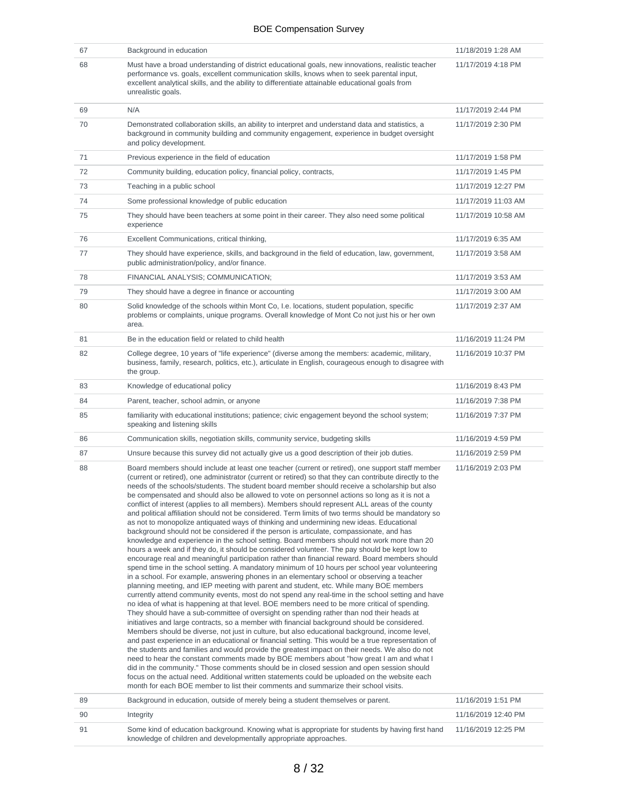| 67 | Background in education                                                                                                                                                                                                                                                                                                                                                                                                                                                                                                                                                                                                                                                                                                                                                                                                                                                                                                                                                                                                                                                                                                                                                                                                                                                                                                                                                                                                                                                                                                                                                                                                                                                                                                                                                                                                                                                                                                                                                                                                                                                                                                                                                                                                                                                                                                                                                                                                                                                                              | 11/18/2019 1:28 AM  |
|----|------------------------------------------------------------------------------------------------------------------------------------------------------------------------------------------------------------------------------------------------------------------------------------------------------------------------------------------------------------------------------------------------------------------------------------------------------------------------------------------------------------------------------------------------------------------------------------------------------------------------------------------------------------------------------------------------------------------------------------------------------------------------------------------------------------------------------------------------------------------------------------------------------------------------------------------------------------------------------------------------------------------------------------------------------------------------------------------------------------------------------------------------------------------------------------------------------------------------------------------------------------------------------------------------------------------------------------------------------------------------------------------------------------------------------------------------------------------------------------------------------------------------------------------------------------------------------------------------------------------------------------------------------------------------------------------------------------------------------------------------------------------------------------------------------------------------------------------------------------------------------------------------------------------------------------------------------------------------------------------------------------------------------------------------------------------------------------------------------------------------------------------------------------------------------------------------------------------------------------------------------------------------------------------------------------------------------------------------------------------------------------------------------------------------------------------------------------------------------------------------------|---------------------|
| 68 | Must have a broad understanding of district educational goals, new innovations, realistic teacher<br>performance vs. goals, excellent communication skills, knows when to seek parental input,<br>excellent analytical skills, and the ability to differentiate attainable educational goals from<br>unrealistic goals.                                                                                                                                                                                                                                                                                                                                                                                                                                                                                                                                                                                                                                                                                                                                                                                                                                                                                                                                                                                                                                                                                                                                                                                                                                                                                                                                                                                                                                                                                                                                                                                                                                                                                                                                                                                                                                                                                                                                                                                                                                                                                                                                                                              | 11/17/2019 4:18 PM  |
| 69 | N/A                                                                                                                                                                                                                                                                                                                                                                                                                                                                                                                                                                                                                                                                                                                                                                                                                                                                                                                                                                                                                                                                                                                                                                                                                                                                                                                                                                                                                                                                                                                                                                                                                                                                                                                                                                                                                                                                                                                                                                                                                                                                                                                                                                                                                                                                                                                                                                                                                                                                                                  | 11/17/2019 2:44 PM  |
| 70 | Demonstrated collaboration skills, an ability to interpret and understand data and statistics, a<br>background in community building and community engagement, experience in budget oversight<br>and policy development.                                                                                                                                                                                                                                                                                                                                                                                                                                                                                                                                                                                                                                                                                                                                                                                                                                                                                                                                                                                                                                                                                                                                                                                                                                                                                                                                                                                                                                                                                                                                                                                                                                                                                                                                                                                                                                                                                                                                                                                                                                                                                                                                                                                                                                                                             | 11/17/2019 2:30 PM  |
| 71 | Previous experience in the field of education                                                                                                                                                                                                                                                                                                                                                                                                                                                                                                                                                                                                                                                                                                                                                                                                                                                                                                                                                                                                                                                                                                                                                                                                                                                                                                                                                                                                                                                                                                                                                                                                                                                                                                                                                                                                                                                                                                                                                                                                                                                                                                                                                                                                                                                                                                                                                                                                                                                        | 11/17/2019 1:58 PM  |
| 72 | Community building, education policy, financial policy, contracts,                                                                                                                                                                                                                                                                                                                                                                                                                                                                                                                                                                                                                                                                                                                                                                                                                                                                                                                                                                                                                                                                                                                                                                                                                                                                                                                                                                                                                                                                                                                                                                                                                                                                                                                                                                                                                                                                                                                                                                                                                                                                                                                                                                                                                                                                                                                                                                                                                                   | 11/17/2019 1:45 PM  |
| 73 | Teaching in a public school                                                                                                                                                                                                                                                                                                                                                                                                                                                                                                                                                                                                                                                                                                                                                                                                                                                                                                                                                                                                                                                                                                                                                                                                                                                                                                                                                                                                                                                                                                                                                                                                                                                                                                                                                                                                                                                                                                                                                                                                                                                                                                                                                                                                                                                                                                                                                                                                                                                                          | 11/17/2019 12:27 PM |
| 74 | Some professional knowledge of public education                                                                                                                                                                                                                                                                                                                                                                                                                                                                                                                                                                                                                                                                                                                                                                                                                                                                                                                                                                                                                                                                                                                                                                                                                                                                                                                                                                                                                                                                                                                                                                                                                                                                                                                                                                                                                                                                                                                                                                                                                                                                                                                                                                                                                                                                                                                                                                                                                                                      | 11/17/2019 11:03 AM |
| 75 | They should have been teachers at some point in their career. They also need some political<br>experience                                                                                                                                                                                                                                                                                                                                                                                                                                                                                                                                                                                                                                                                                                                                                                                                                                                                                                                                                                                                                                                                                                                                                                                                                                                                                                                                                                                                                                                                                                                                                                                                                                                                                                                                                                                                                                                                                                                                                                                                                                                                                                                                                                                                                                                                                                                                                                                            | 11/17/2019 10:58 AM |
| 76 | Excellent Communications, critical thinking,                                                                                                                                                                                                                                                                                                                                                                                                                                                                                                                                                                                                                                                                                                                                                                                                                                                                                                                                                                                                                                                                                                                                                                                                                                                                                                                                                                                                                                                                                                                                                                                                                                                                                                                                                                                                                                                                                                                                                                                                                                                                                                                                                                                                                                                                                                                                                                                                                                                         | 11/17/2019 6:35 AM  |
| 77 | They should have experience, skills, and background in the field of education, law, government,<br>public administration/policy, and/or finance.                                                                                                                                                                                                                                                                                                                                                                                                                                                                                                                                                                                                                                                                                                                                                                                                                                                                                                                                                                                                                                                                                                                                                                                                                                                                                                                                                                                                                                                                                                                                                                                                                                                                                                                                                                                                                                                                                                                                                                                                                                                                                                                                                                                                                                                                                                                                                     | 11/17/2019 3:58 AM  |
| 78 | FINANCIAL ANALYSIS; COMMUNICATION;                                                                                                                                                                                                                                                                                                                                                                                                                                                                                                                                                                                                                                                                                                                                                                                                                                                                                                                                                                                                                                                                                                                                                                                                                                                                                                                                                                                                                                                                                                                                                                                                                                                                                                                                                                                                                                                                                                                                                                                                                                                                                                                                                                                                                                                                                                                                                                                                                                                                   | 11/17/2019 3:53 AM  |
| 79 | They should have a degree in finance or accounting                                                                                                                                                                                                                                                                                                                                                                                                                                                                                                                                                                                                                                                                                                                                                                                                                                                                                                                                                                                                                                                                                                                                                                                                                                                                                                                                                                                                                                                                                                                                                                                                                                                                                                                                                                                                                                                                                                                                                                                                                                                                                                                                                                                                                                                                                                                                                                                                                                                   | 11/17/2019 3:00 AM  |
| 80 | Solid knowledge of the schools within Mont Co, I.e. locations, student population, specific<br>problems or complaints, unique programs. Overall knowledge of Mont Co not just his or her own<br>area.                                                                                                                                                                                                                                                                                                                                                                                                                                                                                                                                                                                                                                                                                                                                                                                                                                                                                                                                                                                                                                                                                                                                                                                                                                                                                                                                                                                                                                                                                                                                                                                                                                                                                                                                                                                                                                                                                                                                                                                                                                                                                                                                                                                                                                                                                                | 11/17/2019 2:37 AM  |
| 81 | Be in the education field or related to child health                                                                                                                                                                                                                                                                                                                                                                                                                                                                                                                                                                                                                                                                                                                                                                                                                                                                                                                                                                                                                                                                                                                                                                                                                                                                                                                                                                                                                                                                                                                                                                                                                                                                                                                                                                                                                                                                                                                                                                                                                                                                                                                                                                                                                                                                                                                                                                                                                                                 | 11/16/2019 11:24 PM |
| 82 | College degree, 10 years of "life experience" (diverse among the members: academic, military,<br>business, family, research, politics, etc.), articulate in English, courageous enough to disagree with<br>the group.                                                                                                                                                                                                                                                                                                                                                                                                                                                                                                                                                                                                                                                                                                                                                                                                                                                                                                                                                                                                                                                                                                                                                                                                                                                                                                                                                                                                                                                                                                                                                                                                                                                                                                                                                                                                                                                                                                                                                                                                                                                                                                                                                                                                                                                                                | 11/16/2019 10:37 PM |
| 83 | Knowledge of educational policy                                                                                                                                                                                                                                                                                                                                                                                                                                                                                                                                                                                                                                                                                                                                                                                                                                                                                                                                                                                                                                                                                                                                                                                                                                                                                                                                                                                                                                                                                                                                                                                                                                                                                                                                                                                                                                                                                                                                                                                                                                                                                                                                                                                                                                                                                                                                                                                                                                                                      | 11/16/2019 8:43 PM  |
|    |                                                                                                                                                                                                                                                                                                                                                                                                                                                                                                                                                                                                                                                                                                                                                                                                                                                                                                                                                                                                                                                                                                                                                                                                                                                                                                                                                                                                                                                                                                                                                                                                                                                                                                                                                                                                                                                                                                                                                                                                                                                                                                                                                                                                                                                                                                                                                                                                                                                                                                      |                     |
| 84 | Parent, teacher, school admin, or anyone                                                                                                                                                                                                                                                                                                                                                                                                                                                                                                                                                                                                                                                                                                                                                                                                                                                                                                                                                                                                                                                                                                                                                                                                                                                                                                                                                                                                                                                                                                                                                                                                                                                                                                                                                                                                                                                                                                                                                                                                                                                                                                                                                                                                                                                                                                                                                                                                                                                             | 11/16/2019 7:38 PM  |
| 85 | familiarity with educational institutions; patience; civic engagement beyond the school system;<br>speaking and listening skills                                                                                                                                                                                                                                                                                                                                                                                                                                                                                                                                                                                                                                                                                                                                                                                                                                                                                                                                                                                                                                                                                                                                                                                                                                                                                                                                                                                                                                                                                                                                                                                                                                                                                                                                                                                                                                                                                                                                                                                                                                                                                                                                                                                                                                                                                                                                                                     | 11/16/2019 7:37 PM  |
| 86 | Communication skills, negotiation skills, community service, budgeting skills                                                                                                                                                                                                                                                                                                                                                                                                                                                                                                                                                                                                                                                                                                                                                                                                                                                                                                                                                                                                                                                                                                                                                                                                                                                                                                                                                                                                                                                                                                                                                                                                                                                                                                                                                                                                                                                                                                                                                                                                                                                                                                                                                                                                                                                                                                                                                                                                                        | 11/16/2019 4:59 PM  |
| 87 | Unsure because this survey did not actually give us a good description of their job duties.                                                                                                                                                                                                                                                                                                                                                                                                                                                                                                                                                                                                                                                                                                                                                                                                                                                                                                                                                                                                                                                                                                                                                                                                                                                                                                                                                                                                                                                                                                                                                                                                                                                                                                                                                                                                                                                                                                                                                                                                                                                                                                                                                                                                                                                                                                                                                                                                          | 11/16/2019 2:59 PM  |
| 88 | Board members should include at least one teacher (current or retired), one support staff member<br>(current or retired), one administrator (current or retired) so that they can contribute directly to the<br>needs of the schools/students. The student board member should receive a scholarship but also<br>be compensated and should also be allowed to vote on personnel actions so long as it is not a<br>conflict of interest (applies to all members). Members should represent ALL areas of the county<br>and political affiliation should not be considered. Term limits of two terms should be mandatory so<br>as not to monopolize antiquated ways of thinking and undermining new ideas. Educational<br>background should not be considered if the person is articulate, compassionate, and has<br>knowledge and experience in the school setting. Board members should not work more than 20<br>hours a week and if they do, it should be considered volunteer. The pay should be kept low to<br>encourage real and meaningful participation rather than financial reward. Board members should<br>spend time in the school setting. A mandatory minimum of 10 hours per school year volunteering<br>in a school. For example, answering phones in an elementary school or observing a teacher<br>planning meeting, and IEP meeting with parent and student, etc. While many BOE members<br>currently attend community events, most do not spend any real-time in the school setting and have<br>no idea of what is happening at that level. BOE members need to be more critical of spending.<br>They should have a sub-committee of oversight on spending rather than nod their heads at<br>initiatives and large contracts, so a member with financial background should be considered.<br>Members should be diverse, not just in culture, but also educational background, income level,<br>and past experience in an educational or financial setting. This would be a true representation of<br>the students and families and would provide the greatest impact on their needs. We also do not<br>need to hear the constant comments made by BOE members about "how great I am and what I<br>did in the community." Those comments should be in closed session and open session should<br>focus on the actual need. Additional written statements could be uploaded on the website each<br>month for each BOE member to list their comments and summarize their school visits. | 11/16/2019 2:03 PM  |
| 89 | Background in education, outside of merely being a student themselves or parent.                                                                                                                                                                                                                                                                                                                                                                                                                                                                                                                                                                                                                                                                                                                                                                                                                                                                                                                                                                                                                                                                                                                                                                                                                                                                                                                                                                                                                                                                                                                                                                                                                                                                                                                                                                                                                                                                                                                                                                                                                                                                                                                                                                                                                                                                                                                                                                                                                     | 11/16/2019 1:51 PM  |
| 90 | Integrity                                                                                                                                                                                                                                                                                                                                                                                                                                                                                                                                                                                                                                                                                                                                                                                                                                                                                                                                                                                                                                                                                                                                                                                                                                                                                                                                                                                                                                                                                                                                                                                                                                                                                                                                                                                                                                                                                                                                                                                                                                                                                                                                                                                                                                                                                                                                                                                                                                                                                            | 11/16/2019 12:40 PM |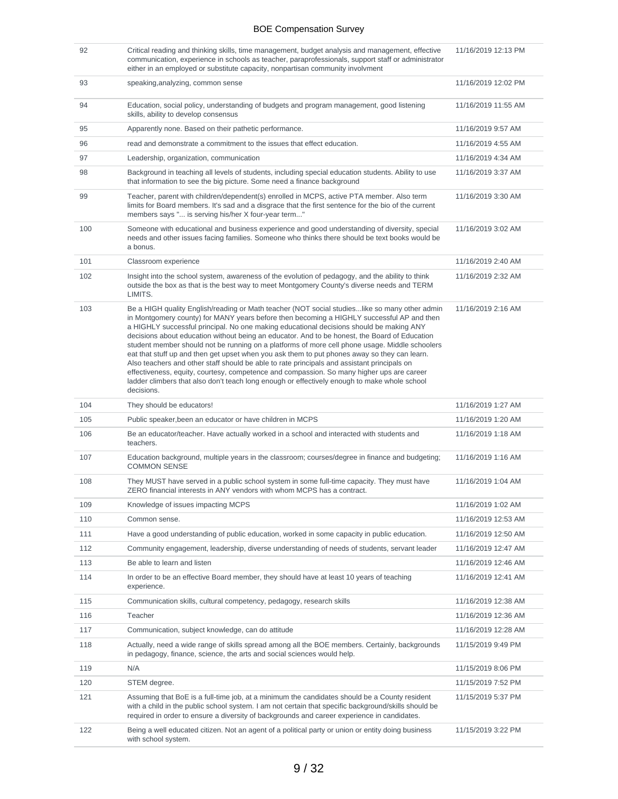| 92  | Critical reading and thinking skills, time management, budget analysis and management, effective<br>communication, experience in schools as teacher, paraprofessionals, support staff or administrator<br>either in an employed or substitute capacity, nonpartisan community involvment                                                                                                                                                                                                                                                                                                                                                                                                                                                                                                                                                                                                           | 11/16/2019 12:13 PM |
|-----|----------------------------------------------------------------------------------------------------------------------------------------------------------------------------------------------------------------------------------------------------------------------------------------------------------------------------------------------------------------------------------------------------------------------------------------------------------------------------------------------------------------------------------------------------------------------------------------------------------------------------------------------------------------------------------------------------------------------------------------------------------------------------------------------------------------------------------------------------------------------------------------------------|---------------------|
| 93  | speaking, analyzing, common sense                                                                                                                                                                                                                                                                                                                                                                                                                                                                                                                                                                                                                                                                                                                                                                                                                                                                  | 11/16/2019 12:02 PM |
| 94  | Education, social policy, understanding of budgets and program management, good listening<br>skills, ability to develop consensus                                                                                                                                                                                                                                                                                                                                                                                                                                                                                                                                                                                                                                                                                                                                                                  | 11/16/2019 11:55 AM |
| 95  | Apparently none. Based on their pathetic performance.                                                                                                                                                                                                                                                                                                                                                                                                                                                                                                                                                                                                                                                                                                                                                                                                                                              | 11/16/2019 9:57 AM  |
| 96  | read and demonstrate a commitment to the issues that effect education.                                                                                                                                                                                                                                                                                                                                                                                                                                                                                                                                                                                                                                                                                                                                                                                                                             | 11/16/2019 4:55 AM  |
| 97  | Leadership, organization, communication                                                                                                                                                                                                                                                                                                                                                                                                                                                                                                                                                                                                                                                                                                                                                                                                                                                            | 11/16/2019 4:34 AM  |
| 98  | Background in teaching all levels of students, including special education students. Ability to use<br>that information to see the big picture. Some need a finance background                                                                                                                                                                                                                                                                                                                                                                                                                                                                                                                                                                                                                                                                                                                     | 11/16/2019 3:37 AM  |
| 99  | Teacher, parent with children/dependent(s) enrolled in MCPS, active PTA member. Also term<br>limits for Board members. It's sad and a disgrace that the first sentence for the bio of the current<br>members says " is serving his/her X four-year term"                                                                                                                                                                                                                                                                                                                                                                                                                                                                                                                                                                                                                                           | 11/16/2019 3:30 AM  |
| 100 | Someone with educational and business experience and good understanding of diversity, special<br>needs and other issues facing families. Someone who thinks there should be text books would be<br>a bonus.                                                                                                                                                                                                                                                                                                                                                                                                                                                                                                                                                                                                                                                                                        | 11/16/2019 3:02 AM  |
| 101 | Classroom experience                                                                                                                                                                                                                                                                                                                                                                                                                                                                                                                                                                                                                                                                                                                                                                                                                                                                               | 11/16/2019 2:40 AM  |
| 102 | Insight into the school system, awareness of the evolution of pedagogy, and the ability to think<br>outside the box as that is the best way to meet Montgomery County's diverse needs and TERM<br>LIMITS.                                                                                                                                                                                                                                                                                                                                                                                                                                                                                                                                                                                                                                                                                          | 11/16/2019 2:32 AM  |
| 103 | Be a HIGH quality English/reading or Math teacher (NOT social studieslike so many other admin<br>in Montgomery county) for MANY years before then becoming a HIGHLY successful AP and then<br>a HIGHLY successful principal. No one making educational decisions should be making ANY<br>decisions about education without being an educator. And to be honest, the Board of Education<br>student member should not be running on a platforms of more cell phone usage. Middle schoolers<br>eat that stuff up and then get upset when you ask them to put phones away so they can learn.<br>Also teachers and other staff should be able to rate principals and assistant principals on<br>effectiveness, equity, courtesy, competence and compassion. So many higher ups are career<br>ladder climbers that also don't teach long enough or effectively enough to make whole school<br>decisions. | 11/16/2019 2:16 AM  |
| 104 | They should be educators!                                                                                                                                                                                                                                                                                                                                                                                                                                                                                                                                                                                                                                                                                                                                                                                                                                                                          | 11/16/2019 1:27 AM  |
| 105 | Public speaker, been an educator or have children in MCPS                                                                                                                                                                                                                                                                                                                                                                                                                                                                                                                                                                                                                                                                                                                                                                                                                                          | 11/16/2019 1:20 AM  |
| 106 | Be an educator/teacher. Have actually worked in a school and interacted with students and<br>teachers.                                                                                                                                                                                                                                                                                                                                                                                                                                                                                                                                                                                                                                                                                                                                                                                             | 11/16/2019 1:18 AM  |
| 107 | Education background, multiple years in the classroom; courses/degree in finance and budgeting;<br><b>COMMON SENSE</b>                                                                                                                                                                                                                                                                                                                                                                                                                                                                                                                                                                                                                                                                                                                                                                             | 11/16/2019 1:16 AM  |
| 108 | They MUST have served in a public school system in some full-time capacity. They must have<br>ZERO financial interests in ANY vendors with whom MCPS has a contract.                                                                                                                                                                                                                                                                                                                                                                                                                                                                                                                                                                                                                                                                                                                               | 11/16/2019 1:04 AM  |
| 109 | Knowledge of issues impacting MCPS                                                                                                                                                                                                                                                                                                                                                                                                                                                                                                                                                                                                                                                                                                                                                                                                                                                                 | 11/16/2019 1:02 AM  |
| 110 | Common sense.                                                                                                                                                                                                                                                                                                                                                                                                                                                                                                                                                                                                                                                                                                                                                                                                                                                                                      | 11/16/2019 12:53 AM |
| 111 | Have a good understanding of public education, worked in some capacity in public education.                                                                                                                                                                                                                                                                                                                                                                                                                                                                                                                                                                                                                                                                                                                                                                                                        | 11/16/2019 12:50 AM |
| 112 | Community engagement, leadership, diverse understanding of needs of students, servant leader                                                                                                                                                                                                                                                                                                                                                                                                                                                                                                                                                                                                                                                                                                                                                                                                       | 11/16/2019 12:47 AM |
| 113 | Be able to learn and listen                                                                                                                                                                                                                                                                                                                                                                                                                                                                                                                                                                                                                                                                                                                                                                                                                                                                        | 11/16/2019 12:46 AM |
| 114 | In order to be an effective Board member, they should have at least 10 years of teaching<br>experience.                                                                                                                                                                                                                                                                                                                                                                                                                                                                                                                                                                                                                                                                                                                                                                                            | 11/16/2019 12:41 AM |
| 115 | Communication skills, cultural competency, pedagogy, research skills                                                                                                                                                                                                                                                                                                                                                                                                                                                                                                                                                                                                                                                                                                                                                                                                                               | 11/16/2019 12:38 AM |
| 116 | Teacher                                                                                                                                                                                                                                                                                                                                                                                                                                                                                                                                                                                                                                                                                                                                                                                                                                                                                            | 11/16/2019 12:36 AM |
| 117 | Communication, subject knowledge, can do attitude                                                                                                                                                                                                                                                                                                                                                                                                                                                                                                                                                                                                                                                                                                                                                                                                                                                  | 11/16/2019 12:28 AM |
| 118 | Actually, need a wide range of skills spread among all the BOE members. Certainly, backgrounds<br>in pedagogy, finance, science, the arts and social sciences would help.                                                                                                                                                                                                                                                                                                                                                                                                                                                                                                                                                                                                                                                                                                                          | 11/15/2019 9:49 PM  |
| 119 | N/A                                                                                                                                                                                                                                                                                                                                                                                                                                                                                                                                                                                                                                                                                                                                                                                                                                                                                                | 11/15/2019 8:06 PM  |
| 120 | STEM degree.                                                                                                                                                                                                                                                                                                                                                                                                                                                                                                                                                                                                                                                                                                                                                                                                                                                                                       | 11/15/2019 7:52 PM  |
| 121 | Assuming that BoE is a full-time job, at a minimum the candidates should be a County resident<br>with a child in the public school system. I am not certain that specific background/skills should be<br>required in order to ensure a diversity of backgrounds and career experience in candidates.                                                                                                                                                                                                                                                                                                                                                                                                                                                                                                                                                                                               | 11/15/2019 5:37 PM  |
| 122 | Being a well educated citizen. Not an agent of a political party or union or entity doing business<br>with school system.                                                                                                                                                                                                                                                                                                                                                                                                                                                                                                                                                                                                                                                                                                                                                                          | 11/15/2019 3:22 PM  |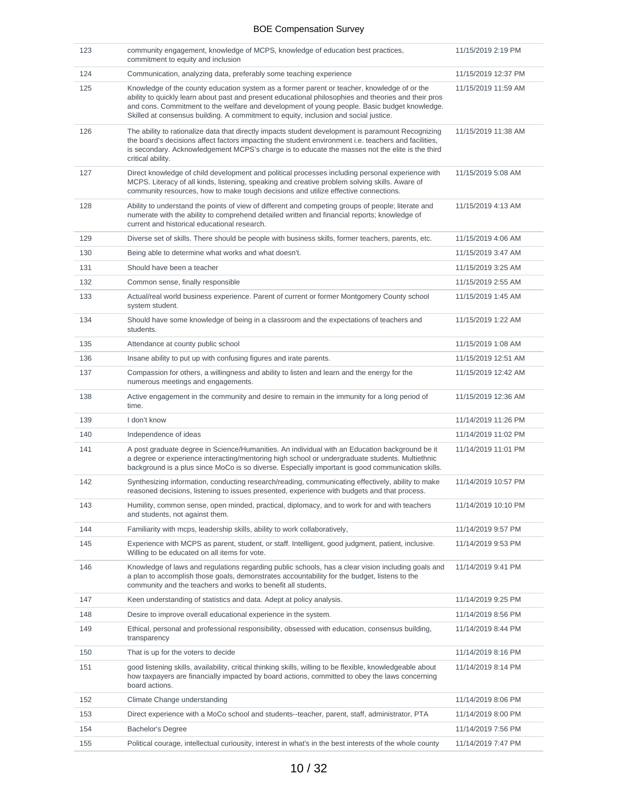| 123 | community engagement, knowledge of MCPS, knowledge of education best practices,<br>commitment to equity and inclusion                                                                                                                                                                                                                                                                       | 11/15/2019 2:19 PM  |
|-----|---------------------------------------------------------------------------------------------------------------------------------------------------------------------------------------------------------------------------------------------------------------------------------------------------------------------------------------------------------------------------------------------|---------------------|
| 124 | Communication, analyzing data, preferably some teaching experience                                                                                                                                                                                                                                                                                                                          | 11/15/2019 12:37 PM |
| 125 | Knowledge of the county education system as a former parent or teacher, knowledge of or the<br>ability to quickly learn about past and present educational philosophies and theories and their pros<br>and cons. Commitment to the welfare and development of young people. Basic budget knowledge.<br>Skilled at consensus building. A commitment to equity, inclusion and social justice. | 11/15/2019 11:59 AM |
| 126 | The ability to rationalize data that directly impacts student development is paramount Recognizing<br>the board's decisions affect factors impacting the student environment i.e. teachers and facilities,<br>is secondary. Acknowledgement MCPS's charge is to educate the masses not the elite is the third<br>critical ability.                                                          | 11/15/2019 11:38 AM |
| 127 | Direct knowledge of child development and political processes including personal experience with<br>MCPS. Literacy of all kinds, listening, speaking and creative problem solving skills. Aware of<br>community resources, how to make tough decisions and utilize effective connections.                                                                                                   | 11/15/2019 5:08 AM  |
| 128 | Ability to understand the points of view of different and competing groups of people; literate and<br>numerate with the ability to comprehend detailed written and financial reports; knowledge of<br>current and historical educational research.                                                                                                                                          | 11/15/2019 4:13 AM  |
| 129 | Diverse set of skills. There should be people with business skills, former teachers, parents, etc.                                                                                                                                                                                                                                                                                          | 11/15/2019 4:06 AM  |
| 130 | Being able to determine what works and what doesn't.                                                                                                                                                                                                                                                                                                                                        | 11/15/2019 3:47 AM  |
| 131 | Should have been a teacher                                                                                                                                                                                                                                                                                                                                                                  | 11/15/2019 3:25 AM  |
| 132 | Common sense, finally responsible                                                                                                                                                                                                                                                                                                                                                           | 11/15/2019 2:55 AM  |
| 133 | Actual/real world business experience. Parent of current or former Montgomery County school<br>system student.                                                                                                                                                                                                                                                                              | 11/15/2019 1:45 AM  |
| 134 | Should have some knowledge of being in a classroom and the expectations of teachers and<br>students.                                                                                                                                                                                                                                                                                        | 11/15/2019 1:22 AM  |
| 135 | Attendance at county public school                                                                                                                                                                                                                                                                                                                                                          | 11/15/2019 1:08 AM  |
| 136 | Insane ability to put up with confusing figures and irate parents.                                                                                                                                                                                                                                                                                                                          | 11/15/2019 12:51 AM |
| 137 | Compassion for others, a willingness and ability to listen and learn and the energy for the<br>numerous meetings and engagements.                                                                                                                                                                                                                                                           | 11/15/2019 12:42 AM |
| 138 | Active engagement in the community and desire to remain in the immunity for a long period of<br>time.                                                                                                                                                                                                                                                                                       | 11/15/2019 12:36 AM |
| 139 | I don't know                                                                                                                                                                                                                                                                                                                                                                                | 11/14/2019 11:26 PM |
| 140 | Independence of ideas                                                                                                                                                                                                                                                                                                                                                                       | 11/14/2019 11:02 PM |
| 141 | A post graduate degree in Science/Humanities. An individual with an Education background be it<br>a degree or experience interacting/mentoring high school or undergraduate students. Multiethnic<br>background is a plus since MoCo is so diverse. Especially important is good communication skills.                                                                                      | 11/14/2019 11:01 PM |
| 142 | Synthesizing information, conducting research/reading, communicating effectively, ability to make<br>reasoned decisions, listening to issues presented, experience with budgets and that process.                                                                                                                                                                                           | 11/14/2019 10:57 PM |
| 143 | Humility, common sense, open minded, practical, diplomacy, and to work for and with teachers<br>and students, not against them.                                                                                                                                                                                                                                                             | 11/14/2019 10:10 PM |
| 144 | Familiarity with mcps, leadership skills, ability to work collaboratively,                                                                                                                                                                                                                                                                                                                  | 11/14/2019 9:57 PM  |
| 145 | Experience with MCPS as parent, student, or staff. Intelligent, good judgment, patient, inclusive.<br>Willing to be educated on all items for vote.                                                                                                                                                                                                                                         | 11/14/2019 9:53 PM  |
| 146 | Knowledge of laws and regulations regarding public schools, has a clear vision including goals and<br>a plan to accomplish those goals, demonstrates accountability for the budget, listens to the<br>community and the teachers and works to benefit all students,                                                                                                                         | 11/14/2019 9:41 PM  |
| 147 | Keen understanding of statistics and data. Adept at policy analysis.                                                                                                                                                                                                                                                                                                                        | 11/14/2019 9:25 PM  |
| 148 | Desire to improve overall educational experience in the system.                                                                                                                                                                                                                                                                                                                             | 11/14/2019 8:56 PM  |
| 149 | Ethical, personal and professional responsibility, obsessed with education, consensus building,<br>transparency                                                                                                                                                                                                                                                                             | 11/14/2019 8:44 PM  |
| 150 | That is up for the voters to decide                                                                                                                                                                                                                                                                                                                                                         | 11/14/2019 8:16 PM  |
| 151 | good listening skills, availability, critical thinking skills, willing to be flexible, knowledgeable about<br>how taxpayers are financially impacted by board actions, committed to obey the laws concerning<br>board actions.                                                                                                                                                              | 11/14/2019 8:14 PM  |
| 152 | Climate Change understanding                                                                                                                                                                                                                                                                                                                                                                | 11/14/2019 8:06 PM  |
| 153 | Direct experience with a MoCo school and students--teacher, parent, staff, administrator, PTA                                                                                                                                                                                                                                                                                               | 11/14/2019 8:00 PM  |
| 154 | Bachelor's Degree                                                                                                                                                                                                                                                                                                                                                                           | 11/14/2019 7:56 PM  |
| 155 | Political courage, intellectual curiousity, interest in what's in the best interests of the whole county                                                                                                                                                                                                                                                                                    | 11/14/2019 7:47 PM  |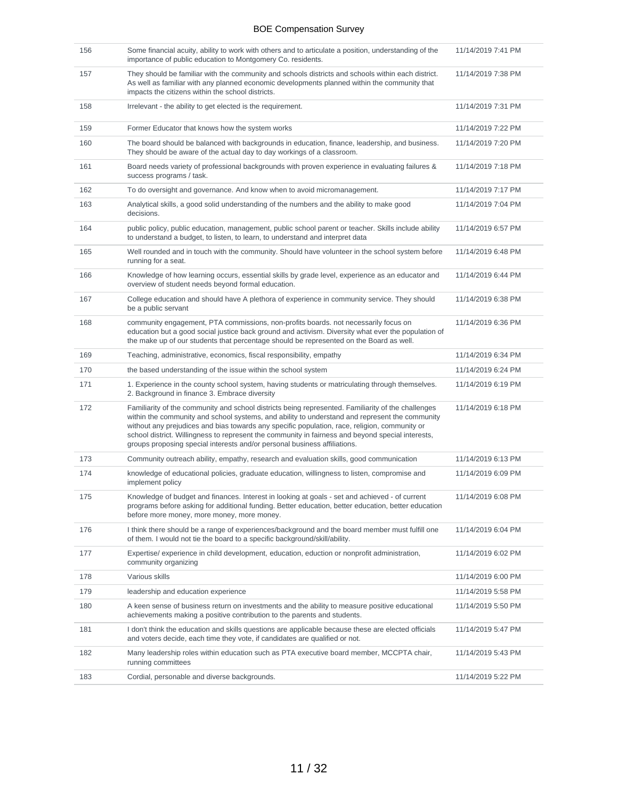| 156 | Some financial acuity, ability to work with others and to articulate a position, understanding of the<br>importance of public education to Montgomery Co. residents.                                                                                                                                                                                                                                                                                                                    | 11/14/2019 7:41 PM |
|-----|-----------------------------------------------------------------------------------------------------------------------------------------------------------------------------------------------------------------------------------------------------------------------------------------------------------------------------------------------------------------------------------------------------------------------------------------------------------------------------------------|--------------------|
| 157 | They should be familiar with the community and schools districts and schools within each district.<br>As well as familiar with any planned economic developments planned within the community that<br>impacts the citizens within the school districts.                                                                                                                                                                                                                                 | 11/14/2019 7:38 PM |
| 158 | Irrelevant - the ability to get elected is the requirement.                                                                                                                                                                                                                                                                                                                                                                                                                             | 11/14/2019 7:31 PM |
| 159 | Former Educator that knows how the system works                                                                                                                                                                                                                                                                                                                                                                                                                                         | 11/14/2019 7:22 PM |
| 160 | The board should be balanced with backgrounds in education, finance, leadership, and business.<br>They should be aware of the actual day to day workings of a classroom.                                                                                                                                                                                                                                                                                                                | 11/14/2019 7:20 PM |
| 161 | Board needs variety of professional backgrounds with proven experience in evaluating failures &<br>success programs / task.                                                                                                                                                                                                                                                                                                                                                             | 11/14/2019 7:18 PM |
| 162 | To do oversight and governance. And know when to avoid micromanagement.                                                                                                                                                                                                                                                                                                                                                                                                                 | 11/14/2019 7:17 PM |
| 163 | Analytical skills, a good solid understanding of the numbers and the ability to make good<br>decisions.                                                                                                                                                                                                                                                                                                                                                                                 | 11/14/2019 7:04 PM |
| 164 | public policy, public education, management, public school parent or teacher. Skills include ability<br>to understand a budget, to listen, to learn, to understand and interpret data                                                                                                                                                                                                                                                                                                   | 11/14/2019 6:57 PM |
| 165 | Well rounded and in touch with the community. Should have volunteer in the school system before<br>running for a seat.                                                                                                                                                                                                                                                                                                                                                                  | 11/14/2019 6:48 PM |
| 166 | Knowledge of how learning occurs, essential skills by grade level, experience as an educator and<br>overview of student needs beyond formal education.                                                                                                                                                                                                                                                                                                                                  | 11/14/2019 6:44 PM |
| 167 | College education and should have A plethora of experience in community service. They should<br>be a public servant                                                                                                                                                                                                                                                                                                                                                                     | 11/14/2019 6:38 PM |
| 168 | community engagement, PTA commissions, non-profits boards. not necessarily focus on<br>education but a good social justice back ground and activism. Diversity what ever the population of<br>the make up of our students that percentage should be represented on the Board as well.                                                                                                                                                                                                   | 11/14/2019 6:36 PM |
| 169 | Teaching, administrative, economics, fiscal responsibility, empathy                                                                                                                                                                                                                                                                                                                                                                                                                     | 11/14/2019 6:34 PM |
| 170 | the based understanding of the issue within the school system                                                                                                                                                                                                                                                                                                                                                                                                                           | 11/14/2019 6:24 PM |
| 171 | 1. Experience in the county school system, having students or matriculating through themselves.<br>2. Background in finance 3. Embrace diversity                                                                                                                                                                                                                                                                                                                                        | 11/14/2019 6:19 PM |
| 172 | Familiarity of the community and school districts being represented. Familiarity of the challenges<br>within the community and school systems, and ability to understand and represent the community<br>without any prejudices and bias towards any specific population, race, religion, community or<br>school district. Willingness to represent the community in fairness and beyond special interests,<br>groups proposing special interests and/or personal business affiliations. | 11/14/2019 6:18 PM |
| 173 | Community outreach ability, empathy, research and evaluation skills, good communication                                                                                                                                                                                                                                                                                                                                                                                                 | 11/14/2019 6:13 PM |
| 174 | knowledge of educational policies, graduate education, willingness to listen, compromise and<br>implement policy                                                                                                                                                                                                                                                                                                                                                                        | 11/14/2019 6:09 PM |
| 175 | Knowledge of budget and finances. Interest in looking at goals - set and achieved - of current<br>programs before asking for additional funding. Better education, better education, better education<br>before more money, more money, more money.                                                                                                                                                                                                                                     | 11/14/2019 6:08 PM |
| 176 | I think there should be a range of experiences/background and the board member must fulfill one<br>of them. I would not tie the board to a specific background/skill/ability.                                                                                                                                                                                                                                                                                                           | 11/14/2019 6:04 PM |
| 177 | Expertise/ experience in child development, education, eduction or nonprofit administration,<br>community organizing                                                                                                                                                                                                                                                                                                                                                                    | 11/14/2019 6:02 PM |
| 178 | Various skills                                                                                                                                                                                                                                                                                                                                                                                                                                                                          | 11/14/2019 6:00 PM |
| 179 | leadership and education experience                                                                                                                                                                                                                                                                                                                                                                                                                                                     | 11/14/2019 5:58 PM |
| 180 | A keen sense of business return on investments and the ability to measure positive educational<br>achievements making a positive contribution to the parents and students.                                                                                                                                                                                                                                                                                                              | 11/14/2019 5:50 PM |
| 181 | I don't think the education and skills questions are applicable because these are elected officials<br>and voters decide, each time they vote, if candidates are qualified or not.                                                                                                                                                                                                                                                                                                      | 11/14/2019 5:47 PM |
| 182 | Many leadership roles within education such as PTA executive board member, MCCPTA chair,<br>running committees                                                                                                                                                                                                                                                                                                                                                                          | 11/14/2019 5:43 PM |
| 183 | Cordial, personable and diverse backgrounds.                                                                                                                                                                                                                                                                                                                                                                                                                                            | 11/14/2019 5:22 PM |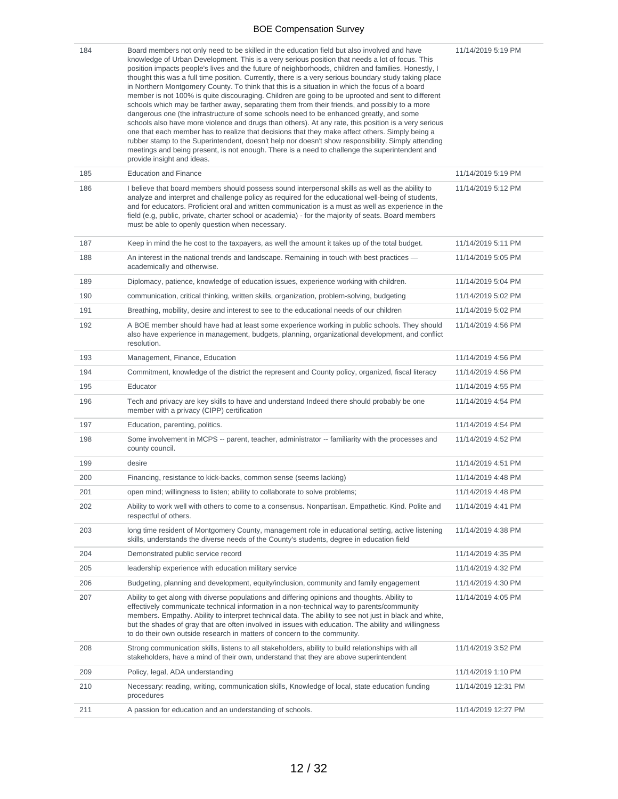| 184 | Board members not only need to be skilled in the education field but also involved and have<br>knowledge of Urban Development. This is a very serious position that needs a lot of focus. This<br>position impacts people's lives and the future of neighborhoods, children and families. Honestly, I<br>thought this was a full time position. Currently, there is a very serious boundary study taking place<br>in Northern Montgomery County. To think that this is a situation in which the focus of a board<br>member is not 100% is quite discouraging. Children are going to be uprooted and sent to different<br>schools which may be farther away, separating them from their friends, and possibly to a more<br>dangerous one (the infrastructure of some schools need to be enhanced greatly, and some<br>schools also have more violence and drugs than others). At any rate, this position is a very serious<br>one that each member has to realize that decisions that they make affect others. Simply being a<br>rubber stamp to the Superintendent, doesn't help nor doesn't show responsibility. Simply attending<br>meetings and being present, is not enough. There is a need to challenge the superintendent and<br>provide insight and ideas. | 11/14/2019 5:19 PM  |
|-----|--------------------------------------------------------------------------------------------------------------------------------------------------------------------------------------------------------------------------------------------------------------------------------------------------------------------------------------------------------------------------------------------------------------------------------------------------------------------------------------------------------------------------------------------------------------------------------------------------------------------------------------------------------------------------------------------------------------------------------------------------------------------------------------------------------------------------------------------------------------------------------------------------------------------------------------------------------------------------------------------------------------------------------------------------------------------------------------------------------------------------------------------------------------------------------------------------------------------------------------------------------------------|---------------------|
| 185 | <b>Education and Finance</b>                                                                                                                                                                                                                                                                                                                                                                                                                                                                                                                                                                                                                                                                                                                                                                                                                                                                                                                                                                                                                                                                                                                                                                                                                                       | 11/14/2019 5:19 PM  |
| 186 | I believe that board members should possess sound interpersonal skills as well as the ability to<br>analyze and interpret and challenge policy as required for the educational well-being of students,<br>and for educators. Proficient oral and written communication is a must as well as experience in the<br>field (e.g, public, private, charter school or academia) - for the majority of seats. Board members<br>must be able to openly question when necessary.                                                                                                                                                                                                                                                                                                                                                                                                                                                                                                                                                                                                                                                                                                                                                                                            | 11/14/2019 5:12 PM  |
| 187 | Keep in mind the he cost to the taxpayers, as well the amount it takes up of the total budget.                                                                                                                                                                                                                                                                                                                                                                                                                                                                                                                                                                                                                                                                                                                                                                                                                                                                                                                                                                                                                                                                                                                                                                     | 11/14/2019 5:11 PM  |
| 188 | An interest in the national trends and landscape. Remaining in touch with best practices —<br>academically and otherwise.                                                                                                                                                                                                                                                                                                                                                                                                                                                                                                                                                                                                                                                                                                                                                                                                                                                                                                                                                                                                                                                                                                                                          | 11/14/2019 5:05 PM  |
| 189 | Diplomacy, patience, knowledge of education issues, experience working with children.                                                                                                                                                                                                                                                                                                                                                                                                                                                                                                                                                                                                                                                                                                                                                                                                                                                                                                                                                                                                                                                                                                                                                                              | 11/14/2019 5:04 PM  |
| 190 | communication, critical thinking, written skills, organization, problem-solving, budgeting                                                                                                                                                                                                                                                                                                                                                                                                                                                                                                                                                                                                                                                                                                                                                                                                                                                                                                                                                                                                                                                                                                                                                                         | 11/14/2019 5:02 PM  |
| 191 | Breathing, mobility, desire and interest to see to the educational needs of our children                                                                                                                                                                                                                                                                                                                                                                                                                                                                                                                                                                                                                                                                                                                                                                                                                                                                                                                                                                                                                                                                                                                                                                           | 11/14/2019 5:02 PM  |
| 192 | A BOE member should have had at least some experience working in public schools. They should<br>also have experience in management, budgets, planning, organizational development, and conflict<br>resolution.                                                                                                                                                                                                                                                                                                                                                                                                                                                                                                                                                                                                                                                                                                                                                                                                                                                                                                                                                                                                                                                     | 11/14/2019 4:56 PM  |
| 193 | Management, Finance, Education                                                                                                                                                                                                                                                                                                                                                                                                                                                                                                                                                                                                                                                                                                                                                                                                                                                                                                                                                                                                                                                                                                                                                                                                                                     | 11/14/2019 4:56 PM  |
| 194 | Commitment, knowledge of the district the represent and County policy, organized, fiscal literacy                                                                                                                                                                                                                                                                                                                                                                                                                                                                                                                                                                                                                                                                                                                                                                                                                                                                                                                                                                                                                                                                                                                                                                  | 11/14/2019 4:56 PM  |
| 195 | Educator                                                                                                                                                                                                                                                                                                                                                                                                                                                                                                                                                                                                                                                                                                                                                                                                                                                                                                                                                                                                                                                                                                                                                                                                                                                           | 11/14/2019 4:55 PM  |
| 196 | Tech and privacy are key skills to have and understand Indeed there should probably be one<br>member with a privacy (CIPP) certification                                                                                                                                                                                                                                                                                                                                                                                                                                                                                                                                                                                                                                                                                                                                                                                                                                                                                                                                                                                                                                                                                                                           | 11/14/2019 4:54 PM  |
| 197 | Education, parenting, politics.                                                                                                                                                                                                                                                                                                                                                                                                                                                                                                                                                                                                                                                                                                                                                                                                                                                                                                                                                                                                                                                                                                                                                                                                                                    | 11/14/2019 4:54 PM  |
| 198 | Some involvement in MCPS -- parent, teacher, administrator -- familiarity with the processes and<br>county council.                                                                                                                                                                                                                                                                                                                                                                                                                                                                                                                                                                                                                                                                                                                                                                                                                                                                                                                                                                                                                                                                                                                                                | 11/14/2019 4:52 PM  |
| 199 | desire                                                                                                                                                                                                                                                                                                                                                                                                                                                                                                                                                                                                                                                                                                                                                                                                                                                                                                                                                                                                                                                                                                                                                                                                                                                             | 11/14/2019 4:51 PM  |
| 200 | Financing, resistance to kick-backs, common sense (seems lacking)                                                                                                                                                                                                                                                                                                                                                                                                                                                                                                                                                                                                                                                                                                                                                                                                                                                                                                                                                                                                                                                                                                                                                                                                  | 11/14/2019 4:48 PM  |
| 201 | open mind; willingness to listen; ability to collaborate to solve problems;                                                                                                                                                                                                                                                                                                                                                                                                                                                                                                                                                                                                                                                                                                                                                                                                                                                                                                                                                                                                                                                                                                                                                                                        | 11/14/2019 4:48 PM  |
| 202 | Ability to work well with others to come to a consensus. Nonpartisan. Empathetic. Kind. Polite and<br>respectful of others.                                                                                                                                                                                                                                                                                                                                                                                                                                                                                                                                                                                                                                                                                                                                                                                                                                                                                                                                                                                                                                                                                                                                        | 11/14/2019 4:41 PM  |
| 203 | long time resident of Montgomery County, management role in educational setting, active listening<br>skills, understands the diverse needs of the County's students, degree in education field                                                                                                                                                                                                                                                                                                                                                                                                                                                                                                                                                                                                                                                                                                                                                                                                                                                                                                                                                                                                                                                                     | 11/14/2019 4:38 PM  |
| 204 | Demonstrated public service record                                                                                                                                                                                                                                                                                                                                                                                                                                                                                                                                                                                                                                                                                                                                                                                                                                                                                                                                                                                                                                                                                                                                                                                                                                 | 11/14/2019 4:35 PM  |
| 205 | leadership experience with education military service                                                                                                                                                                                                                                                                                                                                                                                                                                                                                                                                                                                                                                                                                                                                                                                                                                                                                                                                                                                                                                                                                                                                                                                                              | 11/14/2019 4:32 PM  |
| 206 | Budgeting, planning and development, equity/inclusion, community and family engagement                                                                                                                                                                                                                                                                                                                                                                                                                                                                                                                                                                                                                                                                                                                                                                                                                                                                                                                                                                                                                                                                                                                                                                             | 11/14/2019 4:30 PM  |
| 207 | Ability to get along with diverse populations and differing opinions and thoughts. Ability to<br>effectively communicate technical information in a non-technical way to parents/community<br>members. Empathy. Ability to interpret technical data. The ability to see not just in black and white,<br>but the shades of gray that are often involved in issues with education. The ability and willingness<br>to do their own outside research in matters of concern to the community.                                                                                                                                                                                                                                                                                                                                                                                                                                                                                                                                                                                                                                                                                                                                                                           | 11/14/2019 4:05 PM  |
| 208 | Strong communication skills, listens to all stakeholders, ability to build relationships with all<br>stakeholders, have a mind of their own, understand that they are above superintendent                                                                                                                                                                                                                                                                                                                                                                                                                                                                                                                                                                                                                                                                                                                                                                                                                                                                                                                                                                                                                                                                         | 11/14/2019 3:52 PM  |
| 209 | Policy, legal, ADA understanding                                                                                                                                                                                                                                                                                                                                                                                                                                                                                                                                                                                                                                                                                                                                                                                                                                                                                                                                                                                                                                                                                                                                                                                                                                   | 11/14/2019 1:10 PM  |
| 210 | Necessary: reading, writing, communication skills, Knowledge of local, state education funding<br>procedures                                                                                                                                                                                                                                                                                                                                                                                                                                                                                                                                                                                                                                                                                                                                                                                                                                                                                                                                                                                                                                                                                                                                                       | 11/14/2019 12:31 PM |
| 211 | A passion for education and an understanding of schools.                                                                                                                                                                                                                                                                                                                                                                                                                                                                                                                                                                                                                                                                                                                                                                                                                                                                                                                                                                                                                                                                                                                                                                                                           | 11/14/2019 12:27 PM |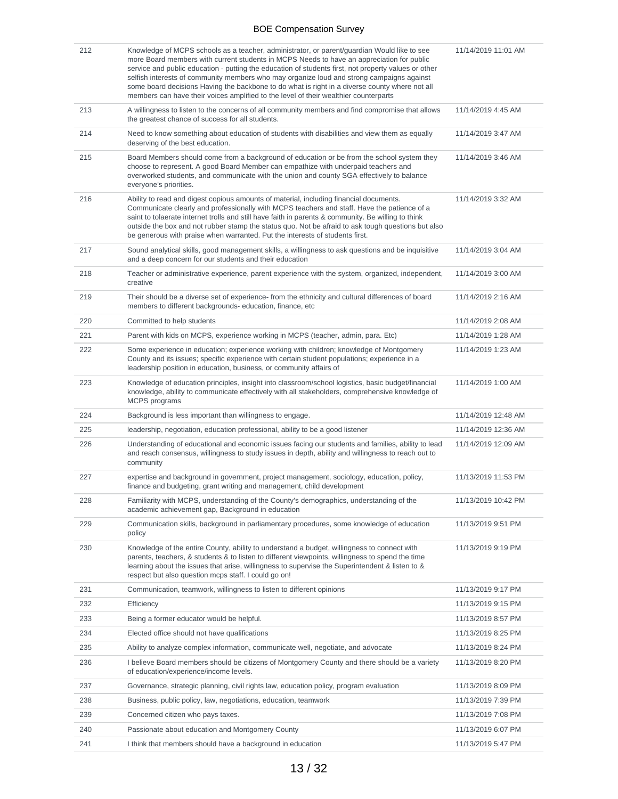| 212 | Knowledge of MCPS schools as a teacher, administrator, or parent/guardian Would like to see<br>more Board members with current students in MCPS Needs to have an appreciation for public<br>service and public education - putting the education of students first, not property values or other<br>selfish interests of community members who may organize loud and strong campaigns against<br>some board decisions Having the backbone to do what is right in a diverse county where not all<br>members can have their voices amplified to the level of their wealthier counterparts | 11/14/2019 11:01 AM |
|-----|-----------------------------------------------------------------------------------------------------------------------------------------------------------------------------------------------------------------------------------------------------------------------------------------------------------------------------------------------------------------------------------------------------------------------------------------------------------------------------------------------------------------------------------------------------------------------------------------|---------------------|
| 213 | A willingness to listen to the concerns of all community members and find compromise that allows<br>the greatest chance of success for all students.                                                                                                                                                                                                                                                                                                                                                                                                                                    | 11/14/2019 4:45 AM  |
| 214 | Need to know something about education of students with disabilities and view them as equally<br>deserving of the best education.                                                                                                                                                                                                                                                                                                                                                                                                                                                       | 11/14/2019 3:47 AM  |
| 215 | Board Members should come from a background of education or be from the school system they<br>choose to represent. A good Board Member can empathize with underpaid teachers and<br>overworked students, and communicate with the union and county SGA effectively to balance<br>everyone's priorities.                                                                                                                                                                                                                                                                                 | 11/14/2019 3:46 AM  |
| 216 | Ability to read and digest copious amounts of material, including financial documents.<br>Communicate clearly and professionally with MCPS teachers and staff. Have the patience of a<br>saint to tolaerate internet trolls and still have faith in parents & community. Be willing to think<br>outside the box and not rubber stamp the status quo. Not be afraid to ask tough questions but also<br>be generous with praise when warranted. Put the interests of students first.                                                                                                      | 11/14/2019 3:32 AM  |
| 217 | Sound analytical skills, good management skills, a willingness to ask questions and be inquisitive<br>and a deep concern for our students and their education                                                                                                                                                                                                                                                                                                                                                                                                                           | 11/14/2019 3:04 AM  |
| 218 | Teacher or administrative experience, parent experience with the system, organized, independent,<br>creative                                                                                                                                                                                                                                                                                                                                                                                                                                                                            | 11/14/2019 3:00 AM  |
| 219 | Their should be a diverse set of experience- from the ethnicity and cultural differences of board<br>members to different backgrounds- education, finance, etc                                                                                                                                                                                                                                                                                                                                                                                                                          | 11/14/2019 2:16 AM  |
| 220 | Committed to help students                                                                                                                                                                                                                                                                                                                                                                                                                                                                                                                                                              | 11/14/2019 2:08 AM  |
| 221 | Parent with kids on MCPS, experience working in MCPS (teacher, admin, para. Etc)                                                                                                                                                                                                                                                                                                                                                                                                                                                                                                        | 11/14/2019 1:28 AM  |
| 222 | Some experience in education; experience working with children; knowledge of Montgomery<br>County and its issues; specific experience with certain student populations; experience in a<br>leadership position in education, business, or community affairs of                                                                                                                                                                                                                                                                                                                          | 11/14/2019 1:23 AM  |
| 223 | Knowledge of education principles, insight into classroom/school logistics, basic budget/financial<br>knowledge, ability to communicate effectively with all stakeholders, comprehensive knowledge of<br><b>MCPS</b> programs                                                                                                                                                                                                                                                                                                                                                           | 11/14/2019 1:00 AM  |
| 224 | Background is less important than willingness to engage.                                                                                                                                                                                                                                                                                                                                                                                                                                                                                                                                | 11/14/2019 12:48 AM |
| 225 | leadership, negotiation, education professional, ability to be a good listener                                                                                                                                                                                                                                                                                                                                                                                                                                                                                                          | 11/14/2019 12:36 AM |
| 226 | Understanding of educational and economic issues facing our students and families, ability to lead<br>and reach consensus, willingness to study issues in depth, ability and willingness to reach out to<br>community                                                                                                                                                                                                                                                                                                                                                                   | 11/14/2019 12:09 AM |
| 227 | expertise and background in government, project management, sociology, education, policy,<br>finance and budgeting, grant writing and management, child development                                                                                                                                                                                                                                                                                                                                                                                                                     | 11/13/2019 11:53 PM |
| 228 | Familiarity with MCPS, understanding of the County's demographics, understanding of the<br>academic achievement gap, Background in education                                                                                                                                                                                                                                                                                                                                                                                                                                            | 11/13/2019 10:42 PM |
| 229 | Communication skills, background in parliamentary procedures, some knowledge of education<br>policy                                                                                                                                                                                                                                                                                                                                                                                                                                                                                     | 11/13/2019 9:51 PM  |
| 230 | Knowledge of the entire County, ability to understand a budget, willingness to connect with<br>parents, teachers, & students & to listen to different viewpoints, willingness to spend the time<br>learning about the issues that arise, willingness to supervise the Superintendent & listen to &<br>respect but also question mcps staff. I could go on!                                                                                                                                                                                                                              | 11/13/2019 9:19 PM  |
| 231 | Communication, teamwork, willingness to listen to different opinions                                                                                                                                                                                                                                                                                                                                                                                                                                                                                                                    | 11/13/2019 9:17 PM  |
| 232 | Efficiency                                                                                                                                                                                                                                                                                                                                                                                                                                                                                                                                                                              | 11/13/2019 9:15 PM  |
| 233 | Being a former educator would be helpful.                                                                                                                                                                                                                                                                                                                                                                                                                                                                                                                                               | 11/13/2019 8:57 PM  |
| 234 | Elected office should not have qualifications                                                                                                                                                                                                                                                                                                                                                                                                                                                                                                                                           | 11/13/2019 8:25 PM  |
| 235 | Ability to analyze complex information, communicate well, negotiate, and advocate                                                                                                                                                                                                                                                                                                                                                                                                                                                                                                       | 11/13/2019 8:24 PM  |
| 236 | I believe Board members should be citizens of Montgomery County and there should be a variety<br>of education/experience/income levels.                                                                                                                                                                                                                                                                                                                                                                                                                                                 | 11/13/2019 8:20 PM  |
| 237 | Governance, strategic planning, civil rights law, education policy, program evaluation                                                                                                                                                                                                                                                                                                                                                                                                                                                                                                  | 11/13/2019 8:09 PM  |
| 238 | Business, public policy, law, negotiations, education, teamwork                                                                                                                                                                                                                                                                                                                                                                                                                                                                                                                         | 11/13/2019 7:39 PM  |
| 239 | Concerned citizen who pays taxes.                                                                                                                                                                                                                                                                                                                                                                                                                                                                                                                                                       | 11/13/2019 7:08 PM  |
| 240 | Passionate about education and Montgomery County                                                                                                                                                                                                                                                                                                                                                                                                                                                                                                                                        | 11/13/2019 6:07 PM  |
| 241 | I think that members should have a background in education                                                                                                                                                                                                                                                                                                                                                                                                                                                                                                                              | 11/13/2019 5:47 PM  |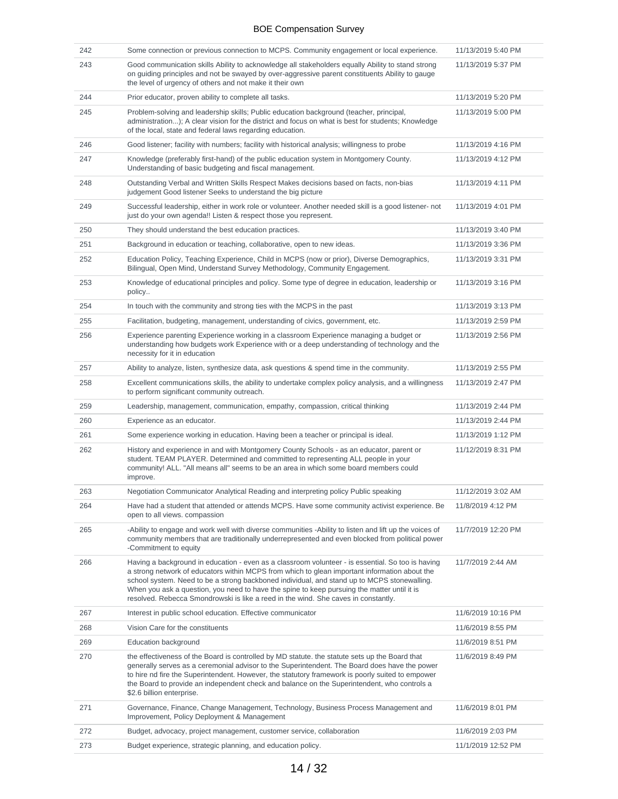| 242 | Some connection or previous connection to MCPS. Community engagement or local experience.                                                                                                                                                                                                                                                                                                                                                                                              | 11/13/2019 5:40 PM |
|-----|----------------------------------------------------------------------------------------------------------------------------------------------------------------------------------------------------------------------------------------------------------------------------------------------------------------------------------------------------------------------------------------------------------------------------------------------------------------------------------------|--------------------|
| 243 | Good communication skills Ability to acknowledge all stakeholders equally Ability to stand strong<br>on guiding principles and not be swayed by over-aggressive parent constituents Ability to gauge<br>the level of urgency of others and not make it their own                                                                                                                                                                                                                       | 11/13/2019 5:37 PM |
| 244 | Prior educator, proven ability to complete all tasks.                                                                                                                                                                                                                                                                                                                                                                                                                                  | 11/13/2019 5:20 PM |
| 245 | Problem-solving and leadership skills; Public education background (teacher, principal,<br>administration); A clear vision for the district and focus on what is best for students; Knowledge<br>of the local, state and federal laws regarding education.                                                                                                                                                                                                                             | 11/13/2019 5:00 PM |
| 246 | Good listener; facility with numbers; facility with historical analysis; willingness to probe                                                                                                                                                                                                                                                                                                                                                                                          | 11/13/2019 4:16 PM |
| 247 | Knowledge (preferably first-hand) of the public education system in Montgomery County.<br>Understanding of basic budgeting and fiscal management.                                                                                                                                                                                                                                                                                                                                      | 11/13/2019 4:12 PM |
| 248 | Outstanding Verbal and Written Skills Respect Makes decisions based on facts, non-bias<br>judgement Good listener Seeks to understand the big picture                                                                                                                                                                                                                                                                                                                                  | 11/13/2019 4:11 PM |
| 249 | Successful leadership, either in work role or volunteer. Another needed skill is a good listener- not<br>just do your own agenda!! Listen & respect those you represent.                                                                                                                                                                                                                                                                                                               | 11/13/2019 4:01 PM |
| 250 | They should understand the best education practices.                                                                                                                                                                                                                                                                                                                                                                                                                                   | 11/13/2019 3:40 PM |
| 251 | Background in education or teaching, collaborative, open to new ideas.                                                                                                                                                                                                                                                                                                                                                                                                                 | 11/13/2019 3:36 PM |
| 252 | Education Policy, Teaching Experience, Child in MCPS (now or prior), Diverse Demographics,<br>Bilingual, Open Mind, Understand Survey Methodology, Community Engagement.                                                                                                                                                                                                                                                                                                               | 11/13/2019 3:31 PM |
| 253 | Knowledge of educational principles and policy. Some type of degree in education, leadership or<br>policy                                                                                                                                                                                                                                                                                                                                                                              | 11/13/2019 3:16 PM |
| 254 | In touch with the community and strong ties with the MCPS in the past                                                                                                                                                                                                                                                                                                                                                                                                                  | 11/13/2019 3:13 PM |
| 255 | Facilitation, budgeting, management, understanding of civics, government, etc.                                                                                                                                                                                                                                                                                                                                                                                                         | 11/13/2019 2:59 PM |
| 256 | Experience parenting Experience working in a classroom Experience managing a budget or<br>understanding how budgets work Experience with or a deep understanding of technology and the<br>necessity for it in education                                                                                                                                                                                                                                                                | 11/13/2019 2:56 PM |
| 257 | Ability to analyze, listen, synthesize data, ask questions & spend time in the community.                                                                                                                                                                                                                                                                                                                                                                                              | 11/13/2019 2:55 PM |
| 258 | Excellent communications skills, the ability to undertake complex policy analysis, and a willingness<br>to perform significant community outreach.                                                                                                                                                                                                                                                                                                                                     | 11/13/2019 2:47 PM |
| 259 | Leadership, management, communication, empathy, compassion, critical thinking                                                                                                                                                                                                                                                                                                                                                                                                          | 11/13/2019 2:44 PM |
| 260 | Experience as an educator.                                                                                                                                                                                                                                                                                                                                                                                                                                                             | 11/13/2019 2:44 PM |
| 261 | Some experience working in education. Having been a teacher or principal is ideal.                                                                                                                                                                                                                                                                                                                                                                                                     | 11/13/2019 1:12 PM |
| 262 | History and experience in and with Montgomery County Schools - as an educator, parent or<br>student. TEAM PLAYER. Determined and committed to representing ALL people in your<br>community! ALL. "All means all" seems to be an area in which some board members could<br>improve.                                                                                                                                                                                                     | 11/12/2019 8:31 PM |
| 263 | Negotiation Communicator Analytical Reading and interpreting policy Public speaking                                                                                                                                                                                                                                                                                                                                                                                                    | 11/12/2019 3:02 AM |
| 264 | Have had a student that attended or attends MCPS. Have some community activist experience. Be<br>open to all views. compassion                                                                                                                                                                                                                                                                                                                                                         | 11/8/2019 4:12 PM  |
| 265 | -Ability to engage and work well with diverse communities -Ability to listen and lift up the voices of<br>community members that are traditionally underrepresented and even blocked from political power<br>-Commitment to equity                                                                                                                                                                                                                                                     | 11/7/2019 12:20 PM |
| 266 | Having a background in education - even as a classroom volunteer - is essential. So too is having<br>a strong network of educators within MCPS from which to glean important information about the<br>school system. Need to be a strong backboned individual, and stand up to MCPS stonewalling.<br>When you ask a question, you need to have the spine to keep pursuing the matter until it is<br>resolved. Rebecca Smondrowski is like a reed in the wind. She caves in constantly. | 11/7/2019 2:44 AM  |
| 267 | Interest in public school education. Effective communicator                                                                                                                                                                                                                                                                                                                                                                                                                            | 11/6/2019 10:16 PM |
| 268 | Vision Care for the constituents                                                                                                                                                                                                                                                                                                                                                                                                                                                       | 11/6/2019 8:55 PM  |
| 269 | Education background                                                                                                                                                                                                                                                                                                                                                                                                                                                                   | 11/6/2019 8:51 PM  |
| 270 | the effectiveness of the Board is controlled by MD statute. the statute sets up the Board that<br>generally serves as a ceremonial advisor to the Superintendent. The Board does have the power<br>to hire nd fire the Superintendent. However, the statutory framework is poorly suited to empower<br>the Board to provide an independent check and balance on the Superintendent, who controls a<br>\$2.6 billion enterprise.                                                        | 11/6/2019 8:49 PM  |
| 271 | Governance, Finance, Change Management, Technology, Business Process Management and<br>Improvement, Policy Deployment & Management                                                                                                                                                                                                                                                                                                                                                     | 11/6/2019 8:01 PM  |
| 272 | Budget, advocacy, project management, customer service, collaboration                                                                                                                                                                                                                                                                                                                                                                                                                  | 11/6/2019 2:03 PM  |
| 273 | Budget experience, strategic planning, and education policy.                                                                                                                                                                                                                                                                                                                                                                                                                           | 11/1/2019 12:52 PM |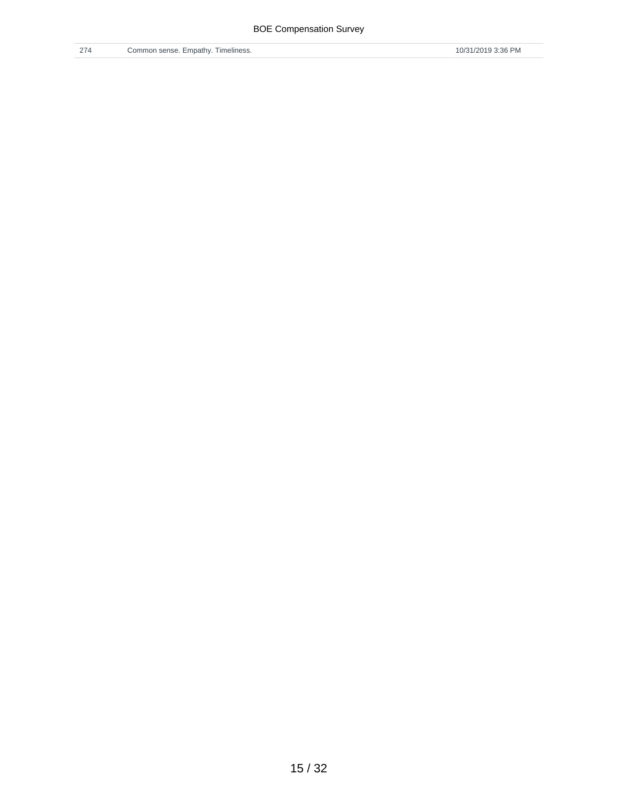/ 32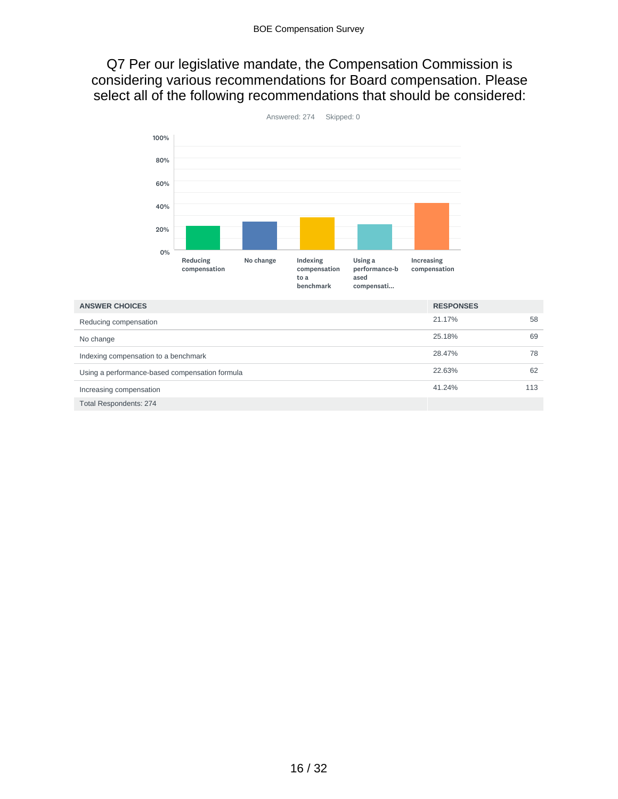Q7 Per our legislative mandate, the Compensation Commission is considering various recommendations for Board compensation. Please select all of the following recommendations that should be considered:



| <b>ANSWER CHOICES</b>                          | <b>RESPONSES</b> |     |
|------------------------------------------------|------------------|-----|
| Reducing compensation                          | 21.17%           | 58  |
| No change                                      | 25.18%           | 69  |
| Indexing compensation to a benchmark           | 28.47%           | 78  |
| Using a performance-based compensation formula | 22.63%           | 62  |
| Increasing compensation                        | 41.24%           | 113 |
| <b>Total Respondents: 274</b>                  |                  |     |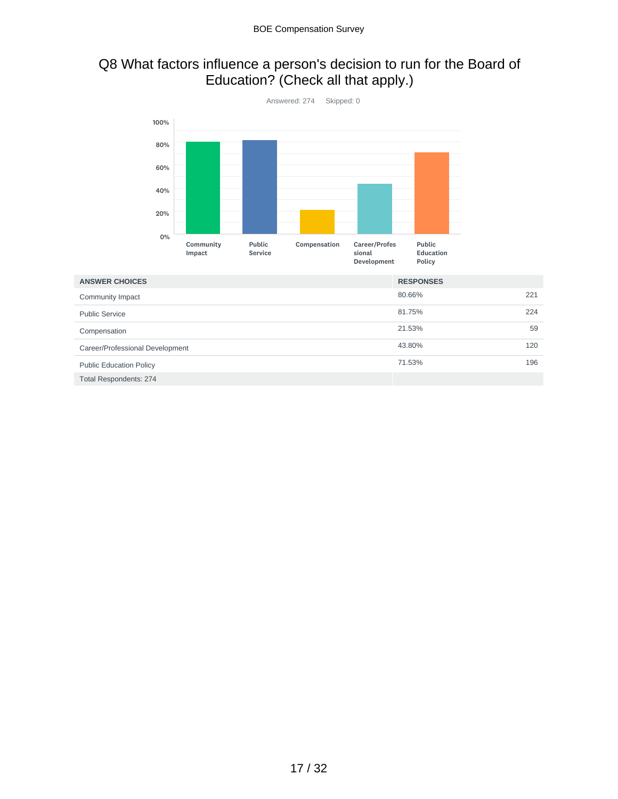# Q8 What factors influence a person's decision to run for the Board of Education? (Check all that apply.)



| <b>ANSWER CHOICES</b>           | <b>RESPONSES</b> |     |
|---------------------------------|------------------|-----|
| Community Impact                | 80.66%           | 221 |
| <b>Public Service</b>           | 81.75%           | 224 |
| Compensation                    | 21.53%           | 59  |
| Career/Professional Development | 43.80%           | 120 |
| <b>Public Education Policy</b>  | 71.53%           | 196 |
| <b>Total Respondents: 274</b>   |                  |     |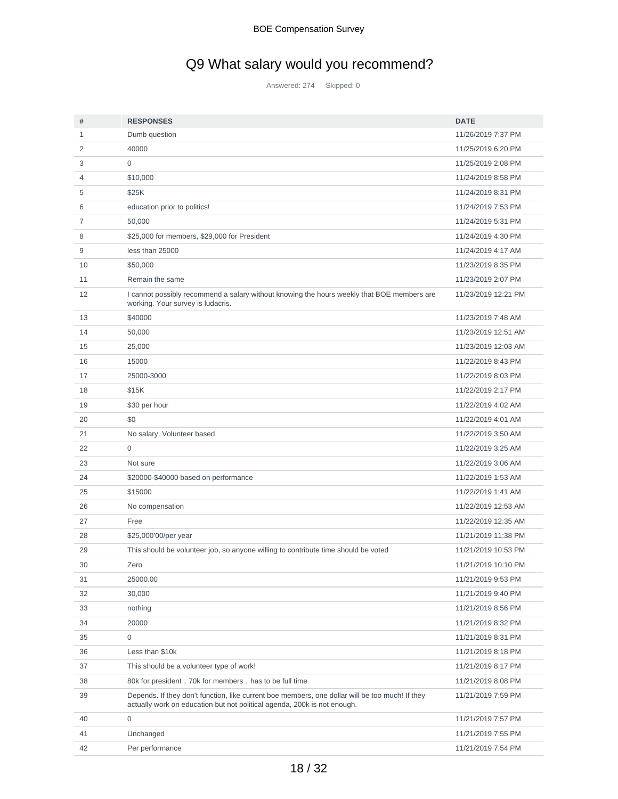# Q9 What salary would you recommend?

Answered: 274 Skipped: 0

| #  | <b>RESPONSES</b>                                                                                                                                                            | <b>DATE</b>         |
|----|-----------------------------------------------------------------------------------------------------------------------------------------------------------------------------|---------------------|
| 1  | Dumb question                                                                                                                                                               | 11/26/2019 7:37 PM  |
| 2  | 40000                                                                                                                                                                       | 11/25/2019 6:20 PM  |
| 3  | $\mathbf 0$                                                                                                                                                                 | 11/25/2019 2:08 PM  |
| 4  | \$10,000                                                                                                                                                                    | 11/24/2019 8:58 PM  |
| 5  | \$25K                                                                                                                                                                       | 11/24/2019 8:31 PM  |
| 6  | education prior to politics!                                                                                                                                                | 11/24/2019 7:53 PM  |
| 7  | 50,000                                                                                                                                                                      | 11/24/2019 5:31 PM  |
| 8  | \$25,000 for members, \$29,000 for President                                                                                                                                | 11/24/2019 4:30 PM  |
| 9  | less than 25000                                                                                                                                                             | 11/24/2019 4:17 AM  |
| 10 | \$50,000                                                                                                                                                                    | 11/23/2019 8:35 PM  |
| 11 | Remain the same                                                                                                                                                             | 11/23/2019 2:07 PM  |
| 12 | I cannot possibly recommend a salary without knowing the hours weekly that BOE members are<br>working. Your survey is ludacris.                                             | 11/23/2019 12:21 PM |
| 13 | \$40000                                                                                                                                                                     | 11/23/2019 7:48 AM  |
| 14 | 50,000                                                                                                                                                                      | 11/23/2019 12:51 AM |
| 15 | 25,000                                                                                                                                                                      | 11/23/2019 12:03 AM |
| 16 | 15000                                                                                                                                                                       | 11/22/2019 8:43 PM  |
| 17 | 25000-3000                                                                                                                                                                  | 11/22/2019 8:03 PM  |
| 18 | \$15K                                                                                                                                                                       | 11/22/2019 2:17 PM  |
| 19 | \$30 per hour                                                                                                                                                               | 11/22/2019 4:02 AM  |
| 20 | \$0                                                                                                                                                                         | 11/22/2019 4:01 AM  |
| 21 | No salary. Volunteer based                                                                                                                                                  | 11/22/2019 3:50 AM  |
| 22 | $\mathbf 0$                                                                                                                                                                 | 11/22/2019 3:25 AM  |
| 23 | Not sure                                                                                                                                                                    | 11/22/2019 3:06 AM  |
| 24 | \$20000-\$40000 based on performance                                                                                                                                        | 11/22/2019 1:53 AM  |
| 25 | \$15000                                                                                                                                                                     | 11/22/2019 1:41 AM  |
| 26 | No compensation                                                                                                                                                             | 11/22/2019 12:53 AM |
| 27 | Free                                                                                                                                                                        | 11/22/2019 12:35 AM |
| 28 | \$25,000'00/per year                                                                                                                                                        | 11/21/2019 11:38 PM |
| 29 | This should be volunteer job, so anyone willing to contribute time should be voted                                                                                          | 11/21/2019 10:53 PM |
| 30 | Zero                                                                                                                                                                        | 11/21/2019 10:10 PM |
| 31 | 25000.00                                                                                                                                                                    | 11/21/2019 9:53 PM  |
| 32 | 30.000                                                                                                                                                                      | 11/21/2019 9:40 PM  |
| 33 | nothing                                                                                                                                                                     | 11/21/2019 8:56 PM  |
| 34 | 20000                                                                                                                                                                       | 11/21/2019 8:32 PM  |
| 35 | $\mathbf 0$                                                                                                                                                                 | 11/21/2019 8:31 PM  |
| 36 | Less than \$10k                                                                                                                                                             | 11/21/2019 8:18 PM  |
| 37 | This should be a volunteer type of work!                                                                                                                                    | 11/21/2019 8:17 PM  |
| 38 | 80k for president, 70k for members, has to be full time                                                                                                                     | 11/21/2019 8:08 PM  |
| 39 | Depends. If they don't function, like current boe members, one dollar will be too much! If they<br>actually work on education but not political agenda, 200k is not enough. | 11/21/2019 7:59 PM  |
| 40 | $\mathbf 0$                                                                                                                                                                 | 11/21/2019 7:57 PM  |
| 41 | Unchanged                                                                                                                                                                   | 11/21/2019 7:55 PM  |
| 42 | Per performance                                                                                                                                                             | 11/21/2019 7:54 PM  |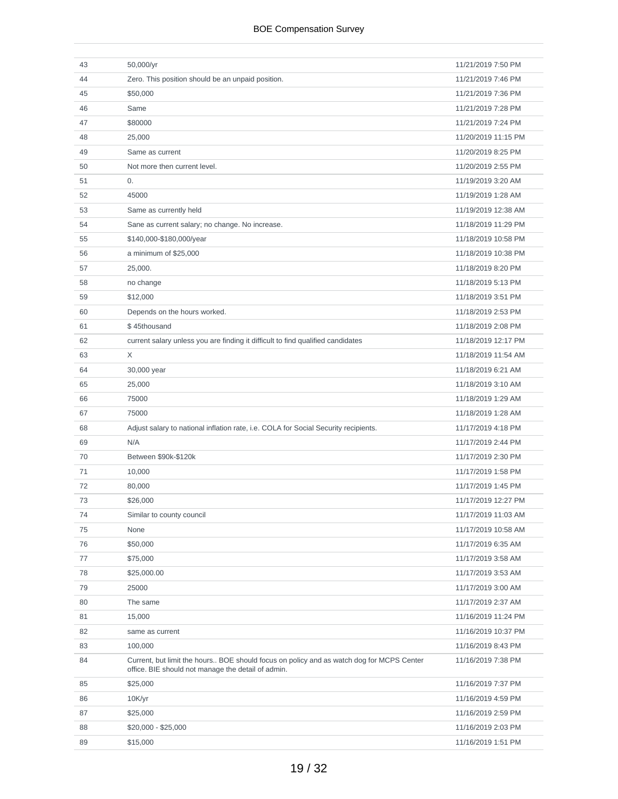| 43 | 50,000/yr                                                                                                                                      | 11/21/2019 7:50 PM  |
|----|------------------------------------------------------------------------------------------------------------------------------------------------|---------------------|
| 44 | Zero. This position should be an unpaid position.                                                                                              | 11/21/2019 7:46 PM  |
| 45 | \$50,000                                                                                                                                       | 11/21/2019 7:36 PM  |
| 46 | Same                                                                                                                                           | 11/21/2019 7:28 PM  |
| 47 | \$80000                                                                                                                                        | 11/21/2019 7:24 PM  |
| 48 | 25,000                                                                                                                                         | 11/20/2019 11:15 PM |
| 49 | Same as current                                                                                                                                | 11/20/2019 8:25 PM  |
| 50 | Not more then current level.                                                                                                                   | 11/20/2019 2:55 PM  |
| 51 | 0.                                                                                                                                             | 11/19/2019 3:20 AM  |
| 52 | 45000                                                                                                                                          | 11/19/2019 1:28 AM  |
| 53 | Same as currently held                                                                                                                         | 11/19/2019 12:38 AM |
| 54 | Sane as current salary; no change. No increase.                                                                                                | 11/18/2019 11:29 PM |
| 55 | \$140,000-\$180,000/year                                                                                                                       | 11/18/2019 10:58 PM |
| 56 | a minimum of \$25,000                                                                                                                          | 11/18/2019 10:38 PM |
| 57 | 25,000.                                                                                                                                        | 11/18/2019 8:20 PM  |
| 58 | no change                                                                                                                                      | 11/18/2019 5:13 PM  |
| 59 | \$12,000                                                                                                                                       | 11/18/2019 3:51 PM  |
| 60 | Depends on the hours worked.                                                                                                                   | 11/18/2019 2:53 PM  |
| 61 | \$45thousand                                                                                                                                   | 11/18/2019 2:08 PM  |
| 62 | current salary unless you are finding it difficult to find qualified candidates                                                                | 11/18/2019 12:17 PM |
| 63 | X                                                                                                                                              | 11/18/2019 11:54 AM |
| 64 | 30,000 year                                                                                                                                    | 11/18/2019 6:21 AM  |
| 65 | 25,000                                                                                                                                         | 11/18/2019 3:10 AM  |
| 66 | 75000                                                                                                                                          | 11/18/2019 1:29 AM  |
| 67 | 75000                                                                                                                                          | 11/18/2019 1:28 AM  |
| 68 | Adjust salary to national inflation rate, i.e. COLA for Social Security recipients.                                                            | 11/17/2019 4:18 PM  |
| 69 | N/A                                                                                                                                            | 11/17/2019 2:44 PM  |
| 70 | Between \$90k-\$120k                                                                                                                           | 11/17/2019 2:30 PM  |
| 71 | 10,000                                                                                                                                         | 11/17/2019 1:58 PM  |
| 72 | 80,000                                                                                                                                         | 11/17/2019 1:45 PM  |
| 73 | \$26,000                                                                                                                                       | 11/17/2019 12:27 PM |
| 74 | Similar to county council                                                                                                                      | 11/17/2019 11:03 AM |
| 75 | None                                                                                                                                           | 11/17/2019 10:58 AM |
| 76 | \$50,000                                                                                                                                       | 11/17/2019 6:35 AM  |
| 77 | \$75,000                                                                                                                                       | 11/17/2019 3:58 AM  |
| 78 | \$25,000.00                                                                                                                                    | 11/17/2019 3:53 AM  |
| 79 | 25000                                                                                                                                          | 11/17/2019 3:00 AM  |
| 80 | The same                                                                                                                                       | 11/17/2019 2:37 AM  |
| 81 | 15,000                                                                                                                                         | 11/16/2019 11:24 PM |
| 82 | same as current                                                                                                                                | 11/16/2019 10:37 PM |
| 83 | 100,000                                                                                                                                        | 11/16/2019 8:43 PM  |
| 84 | Current, but limit the hours BOE should focus on policy and as watch dog for MCPS Center<br>office. BIE should not manage the detail of admin. | 11/16/2019 7:38 PM  |
| 85 | \$25,000                                                                                                                                       | 11/16/2019 7:37 PM  |
| 86 | 10K/yr                                                                                                                                         | 11/16/2019 4:59 PM  |
| 87 | \$25,000                                                                                                                                       | 11/16/2019 2:59 PM  |
| 88 | $$20,000 - $25,000$                                                                                                                            | 11/16/2019 2:03 PM  |
| 89 | \$15,000                                                                                                                                       | 11/16/2019 1:51 PM  |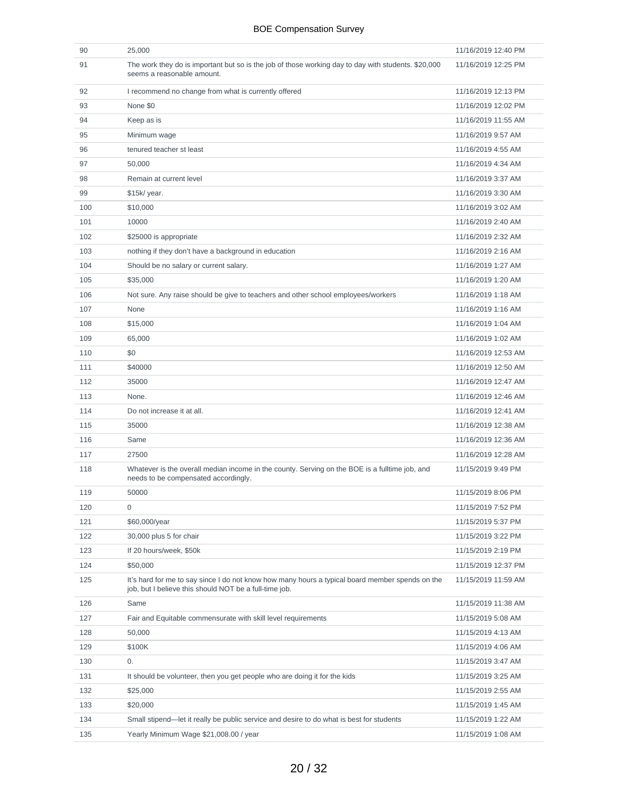| 90  | 25,000                                                                                                                                                    | 11/16/2019 12:40 PM |
|-----|-----------------------------------------------------------------------------------------------------------------------------------------------------------|---------------------|
| 91  | The work they do is important but so is the job of those working day to day with students. \$20,000<br>seems a reasonable amount.                         | 11/16/2019 12:25 PM |
| 92  | I recommend no change from what is currently offered                                                                                                      | 11/16/2019 12:13 PM |
| 93  | None \$0                                                                                                                                                  | 11/16/2019 12:02 PM |
| 94  | Keep as is                                                                                                                                                | 11/16/2019 11:55 AM |
| 95  | Minimum wage                                                                                                                                              | 11/16/2019 9:57 AM  |
| 96  | tenured teacher st least                                                                                                                                  | 11/16/2019 4:55 AM  |
| 97  | 50,000                                                                                                                                                    | 11/16/2019 4:34 AM  |
| 98  | Remain at current level                                                                                                                                   | 11/16/2019 3:37 AM  |
| 99  | \$15k/ year.                                                                                                                                              | 11/16/2019 3:30 AM  |
| 100 | \$10,000                                                                                                                                                  | 11/16/2019 3:02 AM  |
| 101 | 10000                                                                                                                                                     | 11/16/2019 2:40 AM  |
| 102 | \$25000 is appropriate                                                                                                                                    | 11/16/2019 2:32 AM  |
| 103 | nothing if they don't have a background in education                                                                                                      | 11/16/2019 2:16 AM  |
| 104 | Should be no salary or current salary.                                                                                                                    | 11/16/2019 1:27 AM  |
| 105 | \$35,000                                                                                                                                                  | 11/16/2019 1:20 AM  |
| 106 | Not sure. Any raise should be give to teachers and other school employees/workers                                                                         | 11/16/2019 1:18 AM  |
| 107 | None                                                                                                                                                      | 11/16/2019 1:16 AM  |
| 108 | \$15,000                                                                                                                                                  | 11/16/2019 1:04 AM  |
| 109 | 65,000                                                                                                                                                    | 11/16/2019 1:02 AM  |
| 110 | \$0                                                                                                                                                       | 11/16/2019 12:53 AM |
| 111 | \$40000                                                                                                                                                   | 11/16/2019 12:50 AM |
| 112 | 35000                                                                                                                                                     | 11/16/2019 12:47 AM |
| 113 | None.                                                                                                                                                     | 11/16/2019 12:46 AM |
| 114 | Do not increase it at all.                                                                                                                                | 11/16/2019 12:41 AM |
| 115 | 35000                                                                                                                                                     | 11/16/2019 12:38 AM |
| 116 | Same                                                                                                                                                      | 11/16/2019 12:36 AM |
| 117 | 27500                                                                                                                                                     | 11/16/2019 12:28 AM |
| 118 | Whatever is the overall median income in the county. Serving on the BOE is a fulltime job, and<br>needs to be compensated accordingly.                    | 11/15/2019 9:49 PM  |
| 119 | 50000                                                                                                                                                     | 11/15/2019 8:06 PM  |
| 120 | $\mathbf 0$                                                                                                                                               | 11/15/2019 7:52 PM  |
| 121 | \$60,000/year                                                                                                                                             | 11/15/2019 5:37 PM  |
| 122 | 30,000 plus 5 for chair                                                                                                                                   | 11/15/2019 3:22 PM  |
| 123 | If 20 hours/week, \$50k                                                                                                                                   | 11/15/2019 2:19 PM  |
| 124 | \$50,000                                                                                                                                                  | 11/15/2019 12:37 PM |
| 125 | It's hard for me to say since I do not know how many hours a typical board member spends on the<br>job, but I believe this should NOT be a full-time job. | 11/15/2019 11:59 AM |
| 126 | Same                                                                                                                                                      | 11/15/2019 11:38 AM |
| 127 | Fair and Equitable commensurate with skill level requirements                                                                                             | 11/15/2019 5:08 AM  |
| 128 | 50,000                                                                                                                                                    | 11/15/2019 4:13 AM  |
| 129 | \$100K                                                                                                                                                    | 11/15/2019 4:06 AM  |
| 130 | 0.                                                                                                                                                        | 11/15/2019 3:47 AM  |
| 131 | It should be volunteer, then you get people who are doing it for the kids                                                                                 | 11/15/2019 3:25 AM  |
| 132 | \$25,000                                                                                                                                                  | 11/15/2019 2:55 AM  |
| 133 | \$20,000                                                                                                                                                  | 11/15/2019 1:45 AM  |
| 134 | Small stipend—let it really be public service and desire to do what is best for students                                                                  | 11/15/2019 1:22 AM  |
| 135 | Yearly Minimum Wage \$21,008.00 / year                                                                                                                    | 11/15/2019 1:08 AM  |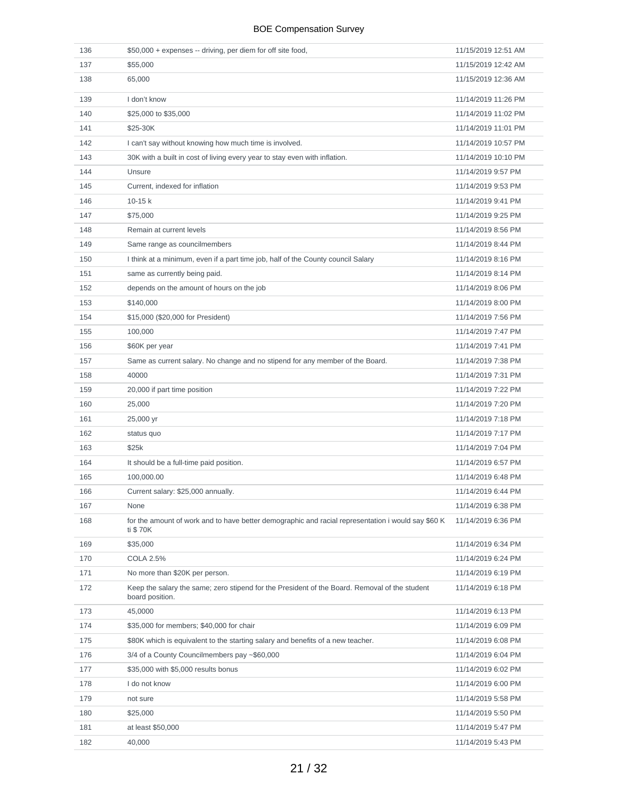| 136 | \$50,000 + expenses -- driving, per diem for off site food,                                                      | 11/15/2019 12:51 AM |
|-----|------------------------------------------------------------------------------------------------------------------|---------------------|
| 137 | \$55,000                                                                                                         | 11/15/2019 12:42 AM |
| 138 | 65,000                                                                                                           | 11/15/2019 12:36 AM |
| 139 | I don't know                                                                                                     | 11/14/2019 11:26 PM |
| 140 | \$25,000 to \$35,000                                                                                             | 11/14/2019 11:02 PM |
| 141 | \$25-30K                                                                                                         | 11/14/2019 11:01 PM |
| 142 | I can't say without knowing how much time is involved.                                                           | 11/14/2019 10:57 PM |
| 143 | 30K with a built in cost of living every year to stay even with inflation.                                       | 11/14/2019 10:10 PM |
| 144 | Unsure                                                                                                           | 11/14/2019 9:57 PM  |
| 145 | Current, indexed for inflation                                                                                   | 11/14/2019 9:53 PM  |
| 146 | $10-15k$                                                                                                         | 11/14/2019 9:41 PM  |
| 147 | \$75,000                                                                                                         | 11/14/2019 9:25 PM  |
| 148 | Remain at current levels                                                                                         | 11/14/2019 8:56 PM  |
| 149 | Same range as councilmembers                                                                                     | 11/14/2019 8:44 PM  |
| 150 | I think at a minimum, even if a part time job, half of the County council Salary                                 | 11/14/2019 8:16 PM  |
| 151 | same as currently being paid.                                                                                    | 11/14/2019 8:14 PM  |
| 152 | depends on the amount of hours on the job                                                                        | 11/14/2019 8:06 PM  |
| 153 | \$140,000                                                                                                        | 11/14/2019 8:00 PM  |
| 154 | \$15,000 (\$20,000 for President)                                                                                | 11/14/2019 7:56 PM  |
| 155 | 100,000                                                                                                          | 11/14/2019 7:47 PM  |
| 156 | \$60K per year                                                                                                   | 11/14/2019 7:41 PM  |
| 157 | Same as current salary. No change and no stipend for any member of the Board.                                    | 11/14/2019 7:38 PM  |
| 158 | 40000                                                                                                            | 11/14/2019 7:31 PM  |
| 159 | 20,000 if part time position                                                                                     | 11/14/2019 7:22 PM  |
| 160 | 25,000                                                                                                           | 11/14/2019 7:20 PM  |
| 161 | 25,000 yr                                                                                                        | 11/14/2019 7:18 PM  |
| 162 | status quo                                                                                                       | 11/14/2019 7:17 PM  |
| 163 | \$25k                                                                                                            | 11/14/2019 7:04 PM  |
| 164 | It should be a full-time paid position.                                                                          | 11/14/2019 6:57 PM  |
| 165 | 100,000.00                                                                                                       | 11/14/2019 6:48 PM  |
| 166 | Current salary: \$25,000 annually.                                                                               | 11/14/2019 6:44 PM  |
| 167 | None                                                                                                             | 11/14/2019 6:38 PM  |
| 168 | for the amount of work and to have better demographic and racial representation i would say \$60 K<br>ti \$70K   | 11/14/2019 6:36 PM  |
| 169 | \$35,000                                                                                                         | 11/14/2019 6:34 PM  |
| 170 | <b>COLA 2.5%</b>                                                                                                 | 11/14/2019 6:24 PM  |
| 171 | No more than \$20K per person.                                                                                   | 11/14/2019 6:19 PM  |
| 172 | Keep the salary the same; zero stipend for the President of the Board. Removal of the student<br>board position. | 11/14/2019 6:18 PM  |
| 173 | 45,0000                                                                                                          | 11/14/2019 6:13 PM  |
| 174 | \$35,000 for members; \$40,000 for chair                                                                         | 11/14/2019 6:09 PM  |
| 175 | \$80K which is equivalent to the starting salary and benefits of a new teacher.                                  | 11/14/2019 6:08 PM  |
| 176 | 3/4 of a County Councilmembers pay ~\$60,000                                                                     | 11/14/2019 6:04 PM  |
| 177 | \$35,000 with \$5,000 results bonus                                                                              | 11/14/2019 6:02 PM  |
| 178 | I do not know                                                                                                    | 11/14/2019 6:00 PM  |
| 179 | not sure                                                                                                         | 11/14/2019 5:58 PM  |
| 180 | \$25,000                                                                                                         | 11/14/2019 5:50 PM  |
| 181 | at least \$50,000                                                                                                | 11/14/2019 5:47 PM  |
| 182 | 40,000                                                                                                           | 11/14/2019 5:43 PM  |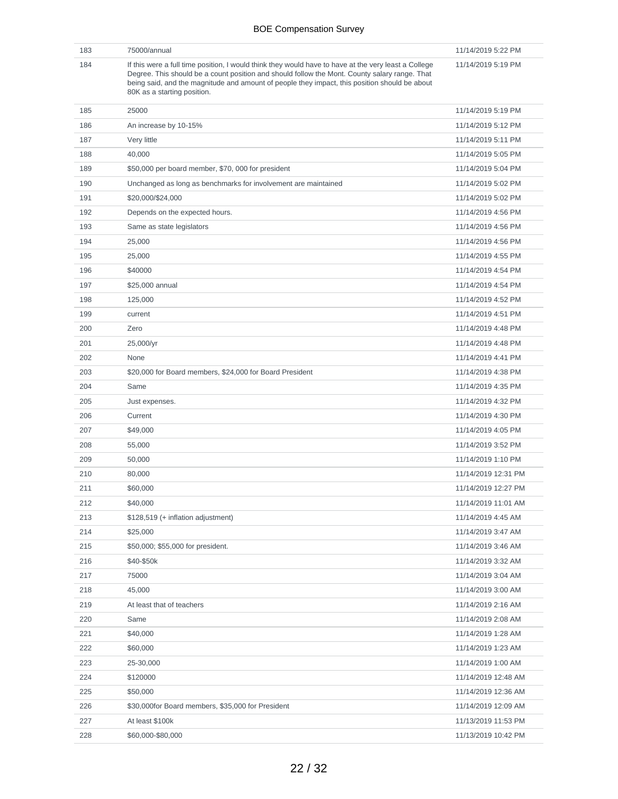| 183 | 75000/annual                                                                                                                                                                                                                                                                                                                          | 11/14/2019 5:22 PM  |
|-----|---------------------------------------------------------------------------------------------------------------------------------------------------------------------------------------------------------------------------------------------------------------------------------------------------------------------------------------|---------------------|
| 184 | If this were a full time position, I would think they would have to have at the very least a College<br>Degree. This should be a count position and should follow the Mont. County salary range. That<br>being said, and the magnitude and amount of people they impact, this position should be about<br>80K as a starting position. | 11/14/2019 5:19 PM  |
| 185 | 25000                                                                                                                                                                                                                                                                                                                                 | 11/14/2019 5:19 PM  |
| 186 | An increase by 10-15%                                                                                                                                                                                                                                                                                                                 | 11/14/2019 5:12 PM  |
| 187 | Very little                                                                                                                                                                                                                                                                                                                           | 11/14/2019 5:11 PM  |
| 188 | 40,000                                                                                                                                                                                                                                                                                                                                | 11/14/2019 5:05 PM  |
| 189 | \$50,000 per board member, \$70,000 for president                                                                                                                                                                                                                                                                                     | 11/14/2019 5:04 PM  |
| 190 | Unchanged as long as benchmarks for involvement are maintained                                                                                                                                                                                                                                                                        | 11/14/2019 5:02 PM  |
| 191 | \$20,000/\$24,000                                                                                                                                                                                                                                                                                                                     | 11/14/2019 5:02 PM  |
| 192 | Depends on the expected hours.                                                                                                                                                                                                                                                                                                        | 11/14/2019 4:56 PM  |
| 193 | Same as state legislators                                                                                                                                                                                                                                                                                                             | 11/14/2019 4:56 PM  |
| 194 | 25,000                                                                                                                                                                                                                                                                                                                                | 11/14/2019 4:56 PM  |
| 195 | 25,000                                                                                                                                                                                                                                                                                                                                | 11/14/2019 4:55 PM  |
| 196 | \$40000                                                                                                                                                                                                                                                                                                                               | 11/14/2019 4:54 PM  |
| 197 | \$25,000 annual                                                                                                                                                                                                                                                                                                                       | 11/14/2019 4:54 PM  |
| 198 | 125,000                                                                                                                                                                                                                                                                                                                               | 11/14/2019 4:52 PM  |
| 199 | current                                                                                                                                                                                                                                                                                                                               | 11/14/2019 4:51 PM  |
| 200 | Zero                                                                                                                                                                                                                                                                                                                                  | 11/14/2019 4:48 PM  |
| 201 | 25,000/yr                                                                                                                                                                                                                                                                                                                             | 11/14/2019 4:48 PM  |
| 202 | None                                                                                                                                                                                                                                                                                                                                  | 11/14/2019 4:41 PM  |
| 203 | \$20,000 for Board members, \$24,000 for Board President                                                                                                                                                                                                                                                                              | 11/14/2019 4:38 PM  |
| 204 | Same                                                                                                                                                                                                                                                                                                                                  | 11/14/2019 4:35 PM  |
| 205 | Just expenses.                                                                                                                                                                                                                                                                                                                        | 11/14/2019 4:32 PM  |
| 206 | Current                                                                                                                                                                                                                                                                                                                               | 11/14/2019 4:30 PM  |
| 207 | \$49,000                                                                                                                                                                                                                                                                                                                              | 11/14/2019 4:05 PM  |
| 208 | 55,000                                                                                                                                                                                                                                                                                                                                | 11/14/2019 3:52 PM  |
| 209 | 50,000                                                                                                                                                                                                                                                                                                                                | 11/14/2019 1:10 PM  |
| 210 | 80,000                                                                                                                                                                                                                                                                                                                                | 11/14/2019 12:31 PM |
| 211 | \$60,000                                                                                                                                                                                                                                                                                                                              | 11/14/2019 12:27 PM |
| 212 | \$40,000                                                                                                                                                                                                                                                                                                                              | 11/14/2019 11:01 AM |
| 213 | \$128,519 (+ inflation adjustment)                                                                                                                                                                                                                                                                                                    | 11/14/2019 4:45 AM  |
| 214 | \$25,000                                                                                                                                                                                                                                                                                                                              | 11/14/2019 3:47 AM  |
|     | \$50,000; \$55,000 for president.                                                                                                                                                                                                                                                                                                     |                     |
| 215 | \$40-\$50k                                                                                                                                                                                                                                                                                                                            | 11/14/2019 3:46 AM  |
| 216 |                                                                                                                                                                                                                                                                                                                                       | 11/14/2019 3:32 AM  |
| 217 | 75000                                                                                                                                                                                                                                                                                                                                 | 11/14/2019 3:04 AM  |
| 218 | 45,000                                                                                                                                                                                                                                                                                                                                | 11/14/2019 3:00 AM  |
| 219 | At least that of teachers                                                                                                                                                                                                                                                                                                             | 11/14/2019 2:16 AM  |
| 220 | Same                                                                                                                                                                                                                                                                                                                                  | 11/14/2019 2:08 AM  |
| 221 | \$40,000                                                                                                                                                                                                                                                                                                                              | 11/14/2019 1:28 AM  |
| 222 | \$60,000                                                                                                                                                                                                                                                                                                                              | 11/14/2019 1:23 AM  |
| 223 | 25-30,000                                                                                                                                                                                                                                                                                                                             | 11/14/2019 1:00 AM  |
| 224 | \$120000                                                                                                                                                                                                                                                                                                                              | 11/14/2019 12:48 AM |
| 225 | \$50,000                                                                                                                                                                                                                                                                                                                              | 11/14/2019 12:36 AM |
| 226 | \$30,000for Board members, \$35,000 for President                                                                                                                                                                                                                                                                                     | 11/14/2019 12:09 AM |
| 227 | At least \$100k                                                                                                                                                                                                                                                                                                                       | 11/13/2019 11:53 PM |
| 228 | \$60,000-\$80,000                                                                                                                                                                                                                                                                                                                     | 11/13/2019 10:42 PM |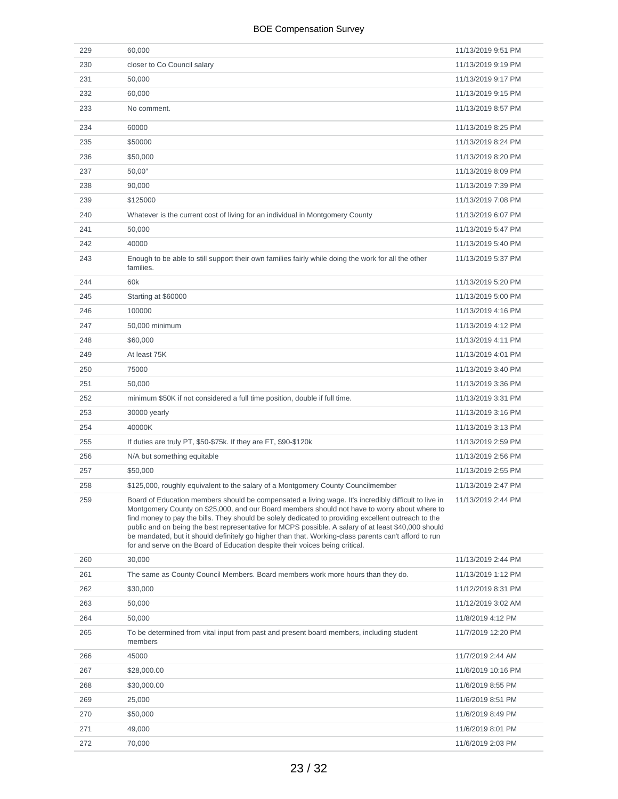| 229 | 60,000                                                                                                                                                                                                                                                                                                                                                                                                                                                                                                                                                                                                     | 11/13/2019 9:51 PM |
|-----|------------------------------------------------------------------------------------------------------------------------------------------------------------------------------------------------------------------------------------------------------------------------------------------------------------------------------------------------------------------------------------------------------------------------------------------------------------------------------------------------------------------------------------------------------------------------------------------------------------|--------------------|
| 230 | closer to Co Council salary                                                                                                                                                                                                                                                                                                                                                                                                                                                                                                                                                                                | 11/13/2019 9:19 PM |
| 231 | 50,000                                                                                                                                                                                                                                                                                                                                                                                                                                                                                                                                                                                                     | 11/13/2019 9:17 PM |
| 232 | 60,000                                                                                                                                                                                                                                                                                                                                                                                                                                                                                                                                                                                                     | 11/13/2019 9:15 PM |
| 233 | No comment.                                                                                                                                                                                                                                                                                                                                                                                                                                                                                                                                                                                                | 11/13/2019 8:57 PM |
| 234 | 60000                                                                                                                                                                                                                                                                                                                                                                                                                                                                                                                                                                                                      | 11/13/2019 8:25 PM |
| 235 | \$50000                                                                                                                                                                                                                                                                                                                                                                                                                                                                                                                                                                                                    | 11/13/2019 8:24 PM |
| 236 | \$50,000                                                                                                                                                                                                                                                                                                                                                                                                                                                                                                                                                                                                   | 11/13/2019 8:20 PM |
| 237 | 50,00"                                                                                                                                                                                                                                                                                                                                                                                                                                                                                                                                                                                                     | 11/13/2019 8:09 PM |
| 238 | 90,000                                                                                                                                                                                                                                                                                                                                                                                                                                                                                                                                                                                                     | 11/13/2019 7:39 PM |
| 239 | \$125000                                                                                                                                                                                                                                                                                                                                                                                                                                                                                                                                                                                                   | 11/13/2019 7:08 PM |
| 240 | Whatever is the current cost of living for an individual in Montgomery County                                                                                                                                                                                                                                                                                                                                                                                                                                                                                                                              | 11/13/2019 6:07 PM |
| 241 | 50,000                                                                                                                                                                                                                                                                                                                                                                                                                                                                                                                                                                                                     | 11/13/2019 5:47 PM |
| 242 | 40000                                                                                                                                                                                                                                                                                                                                                                                                                                                                                                                                                                                                      | 11/13/2019 5:40 PM |
| 243 | Enough to be able to still support their own families fairly while doing the work for all the other<br>families.                                                                                                                                                                                                                                                                                                                                                                                                                                                                                           | 11/13/2019 5:37 PM |
| 244 | 60k                                                                                                                                                                                                                                                                                                                                                                                                                                                                                                                                                                                                        | 11/13/2019 5:20 PM |
| 245 | Starting at \$60000                                                                                                                                                                                                                                                                                                                                                                                                                                                                                                                                                                                        | 11/13/2019 5:00 PM |
| 246 | 100000                                                                                                                                                                                                                                                                                                                                                                                                                                                                                                                                                                                                     | 11/13/2019 4:16 PM |
| 247 | 50,000 minimum                                                                                                                                                                                                                                                                                                                                                                                                                                                                                                                                                                                             | 11/13/2019 4:12 PM |
| 248 | \$60,000                                                                                                                                                                                                                                                                                                                                                                                                                                                                                                                                                                                                   | 11/13/2019 4:11 PM |
| 249 | At least 75K                                                                                                                                                                                                                                                                                                                                                                                                                                                                                                                                                                                               | 11/13/2019 4:01 PM |
| 250 | 75000                                                                                                                                                                                                                                                                                                                                                                                                                                                                                                                                                                                                      | 11/13/2019 3:40 PM |
| 251 | 50,000                                                                                                                                                                                                                                                                                                                                                                                                                                                                                                                                                                                                     | 11/13/2019 3:36 PM |
| 252 | minimum \$50K if not considered a full time position, double if full time.                                                                                                                                                                                                                                                                                                                                                                                                                                                                                                                                 | 11/13/2019 3:31 PM |
| 253 | 30000 yearly                                                                                                                                                                                                                                                                                                                                                                                                                                                                                                                                                                                               | 11/13/2019 3:16 PM |
| 254 | 40000K                                                                                                                                                                                                                                                                                                                                                                                                                                                                                                                                                                                                     | 11/13/2019 3:13 PM |
| 255 | If duties are truly PT, \$50-\$75k. If they are FT, \$90-\$120k                                                                                                                                                                                                                                                                                                                                                                                                                                                                                                                                            | 11/13/2019 2:59 PM |
| 256 | N/A but something equitable                                                                                                                                                                                                                                                                                                                                                                                                                                                                                                                                                                                | 11/13/2019 2:56 PM |
| 257 | \$50,000                                                                                                                                                                                                                                                                                                                                                                                                                                                                                                                                                                                                   | 11/13/2019 2:55 PM |
| 258 | \$125,000, roughly equivalent to the salary of a Montgomery County Councilmember                                                                                                                                                                                                                                                                                                                                                                                                                                                                                                                           | 11/13/2019 2:47 PM |
| 259 | Board of Education members should be compensated a living wage. It's incredibly difficult to live in<br>Montgomery County on \$25,000, and our Board members should not have to worry about where to<br>find money to pay the bills. They should be solely dedicated to providing excellent outreach to the<br>public and on being the best representative for MCPS possible. A salary of at least \$40,000 should<br>be mandated, but it should definitely go higher than that. Working-class parents can't afford to run<br>for and serve on the Board of Education despite their voices being critical. | 11/13/2019 2:44 PM |
| 260 | 30,000                                                                                                                                                                                                                                                                                                                                                                                                                                                                                                                                                                                                     | 11/13/2019 2:44 PM |
| 261 | The same as County Council Members. Board members work more hours than they do.                                                                                                                                                                                                                                                                                                                                                                                                                                                                                                                            | 11/13/2019 1:12 PM |
| 262 | \$30,000                                                                                                                                                                                                                                                                                                                                                                                                                                                                                                                                                                                                   | 11/12/2019 8:31 PM |
| 263 | 50,000                                                                                                                                                                                                                                                                                                                                                                                                                                                                                                                                                                                                     | 11/12/2019 3:02 AM |
| 264 | 50,000                                                                                                                                                                                                                                                                                                                                                                                                                                                                                                                                                                                                     | 11/8/2019 4:12 PM  |
| 265 | To be determined from vital input from past and present board members, including student<br>members                                                                                                                                                                                                                                                                                                                                                                                                                                                                                                        | 11/7/2019 12:20 PM |
| 266 | 45000                                                                                                                                                                                                                                                                                                                                                                                                                                                                                                                                                                                                      | 11/7/2019 2:44 AM  |
| 267 | \$28,000.00                                                                                                                                                                                                                                                                                                                                                                                                                                                                                                                                                                                                | 11/6/2019 10:16 PM |
| 268 | \$30,000.00                                                                                                                                                                                                                                                                                                                                                                                                                                                                                                                                                                                                | 11/6/2019 8:55 PM  |
| 269 | 25,000                                                                                                                                                                                                                                                                                                                                                                                                                                                                                                                                                                                                     | 11/6/2019 8:51 PM  |
| 270 | \$50,000                                                                                                                                                                                                                                                                                                                                                                                                                                                                                                                                                                                                   | 11/6/2019 8:49 PM  |
| 271 | 49,000                                                                                                                                                                                                                                                                                                                                                                                                                                                                                                                                                                                                     | 11/6/2019 8:01 PM  |
| 272 | 70,000                                                                                                                                                                                                                                                                                                                                                                                                                                                                                                                                                                                                     | 11/6/2019 2:03 PM  |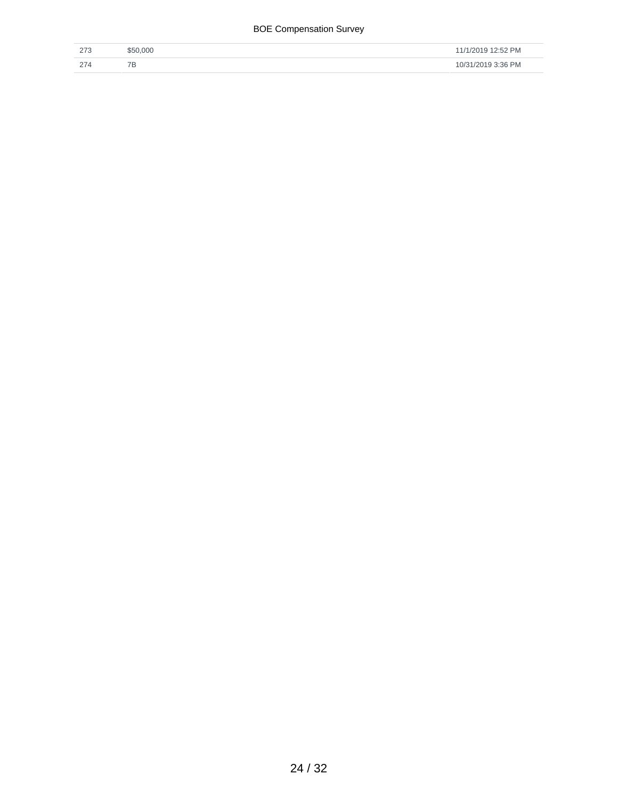| $\sim$<br>د ا ک | \$50,000 | 11/1/2019 12:52 PM |
|-----------------|----------|--------------------|
| 274             | 7D       | 10/31/2019 3:36 PM |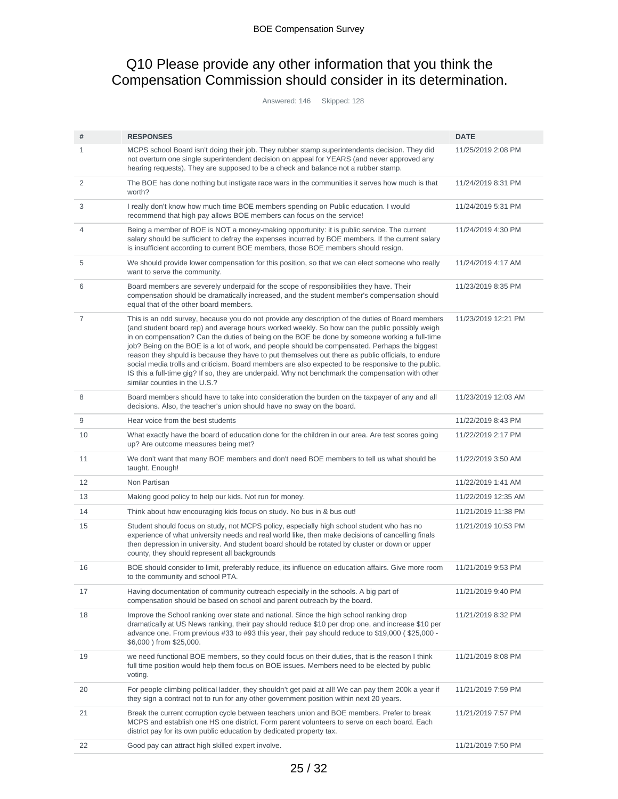### Q10 Please provide any other information that you think the Compensation Commission should consider in its determination.

Answered: 146 Skipped: 128

| #              | <b>RESPONSES</b>                                                                                                                                                                                                                                                                                                                                                                                                                                                                                                                                                                                                                                                                                                                                      | <b>DATE</b>         |
|----------------|-------------------------------------------------------------------------------------------------------------------------------------------------------------------------------------------------------------------------------------------------------------------------------------------------------------------------------------------------------------------------------------------------------------------------------------------------------------------------------------------------------------------------------------------------------------------------------------------------------------------------------------------------------------------------------------------------------------------------------------------------------|---------------------|
| 1              | MCPS school Board isn't doing their job. They rubber stamp superintendents decision. They did<br>not overturn one single superintendent decision on appeal for YEARS (and never approved any<br>hearing requests). They are supposed to be a check and balance not a rubber stamp.                                                                                                                                                                                                                                                                                                                                                                                                                                                                    | 11/25/2019 2:08 PM  |
| $\overline{c}$ | The BOE has done nothing but instigate race wars in the communities it serves how much is that<br>worth?                                                                                                                                                                                                                                                                                                                                                                                                                                                                                                                                                                                                                                              | 11/24/2019 8:31 PM  |
| 3              | I really don't know how much time BOE members spending on Public education. I would<br>recommend that high pay allows BOE members can focus on the service!                                                                                                                                                                                                                                                                                                                                                                                                                                                                                                                                                                                           | 11/24/2019 5:31 PM  |
| 4              | Being a member of BOE is NOT a money-making opportunity: it is public service. The current<br>salary should be sufficient to defray the expenses incurred by BOE members. If the current salary<br>is insufficient according to current BOE members, those BOE members should resign.                                                                                                                                                                                                                                                                                                                                                                                                                                                                 | 11/24/2019 4:30 PM  |
| 5              | We should provide lower compensation for this position, so that we can elect someone who really<br>want to serve the community.                                                                                                                                                                                                                                                                                                                                                                                                                                                                                                                                                                                                                       | 11/24/2019 4:17 AM  |
| 6              | Board members are severely underpaid for the scope of responsibilities they have. Their<br>compensation should be dramatically increased, and the student member's compensation should<br>equal that of the other board members.                                                                                                                                                                                                                                                                                                                                                                                                                                                                                                                      | 11/23/2019 8:35 PM  |
| $\overline{7}$ | This is an odd survey, because you do not provide any description of the duties of Board members<br>(and student board rep) and average hours worked weekly. So how can the public possibly weigh<br>in on compensation? Can the duties of being on the BOE be done by someone working a full-time<br>job? Being on the BOE is a lot of work, and people should be compensated. Perhaps the biggest<br>reason they shpuld is because they have to put themselves out there as public officials, to endure<br>social media trolls and criticism. Board members are also expected to be responsive to the public.<br>IS this a full-time gig? If so, they are underpaid. Why not benchmark the compensation with other<br>similar counties in the U.S.? | 11/23/2019 12:21 PM |
| 8              | Board members should have to take into consideration the burden on the taxpayer of any and all<br>decisions. Also, the teacher's union should have no sway on the board.                                                                                                                                                                                                                                                                                                                                                                                                                                                                                                                                                                              | 11/23/2019 12:03 AM |
| 9              | Hear voice from the best students                                                                                                                                                                                                                                                                                                                                                                                                                                                                                                                                                                                                                                                                                                                     | 11/22/2019 8:43 PM  |
| 10             | What exactly have the board of education done for the children in our area. Are test scores going<br>up? Are outcome measures being met?                                                                                                                                                                                                                                                                                                                                                                                                                                                                                                                                                                                                              | 11/22/2019 2:17 PM  |
| 11             | We don't want that many BOE members and don't need BOE members to tell us what should be<br>taught. Enough!                                                                                                                                                                                                                                                                                                                                                                                                                                                                                                                                                                                                                                           | 11/22/2019 3:50 AM  |
| 12             | Non Partisan                                                                                                                                                                                                                                                                                                                                                                                                                                                                                                                                                                                                                                                                                                                                          | 11/22/2019 1:41 AM  |
| 13             | Making good policy to help our kids. Not run for money.                                                                                                                                                                                                                                                                                                                                                                                                                                                                                                                                                                                                                                                                                               | 11/22/2019 12:35 AM |
| 14             | Think about how encouraging kids focus on study. No bus in & bus out!                                                                                                                                                                                                                                                                                                                                                                                                                                                                                                                                                                                                                                                                                 | 11/21/2019 11:38 PM |
| 15             | Student should focus on study, not MCPS policy, especially high school student who has no<br>experience of what university needs and real world like, then make decisions of cancelling finals<br>then depression in university. And student board should be rotated by cluster or down or upper<br>county, they should represent all backgrounds                                                                                                                                                                                                                                                                                                                                                                                                     | 11/21/2019 10:53 PM |
| 16             | BOE should consider to limit, preferably reduce, its influence on education affairs. Give more room<br>to the community and school PTA.                                                                                                                                                                                                                                                                                                                                                                                                                                                                                                                                                                                                               | 11/21/2019 9:53 PM  |
| 17             | Having documentation of community outreach especially in the schools. A big part of<br>compensation should be based on school and parent outreach by the board.                                                                                                                                                                                                                                                                                                                                                                                                                                                                                                                                                                                       | 11/21/2019 9:40 PM  |
| 18             | Improve the School ranking over state and national. Since the high school ranking drop<br>dramatically at US News ranking, their pay should reduce \$10 per drop one, and increase \$10 per<br>advance one. From previous #33 to #93 this year, their pay should reduce to \$19,000 (\$25,000 -<br>\$6,000 ) from \$25,000.                                                                                                                                                                                                                                                                                                                                                                                                                           | 11/21/2019 8:32 PM  |
| 19             | we need functional BOE members, so they could focus on their duties, that is the reason I think<br>full time position would help them focus on BOE issues. Members need to be elected by public<br>voting.                                                                                                                                                                                                                                                                                                                                                                                                                                                                                                                                            | 11/21/2019 8:08 PM  |
| 20             | For people climbing political ladder, they shouldn't get paid at all! We can pay them 200k a year if<br>they sign a contract not to run for any other government position within next 20 years.                                                                                                                                                                                                                                                                                                                                                                                                                                                                                                                                                       | 11/21/2019 7:59 PM  |
| 21             | Break the current corruption cycle between teachers union and BOE members. Prefer to break<br>MCPS and establish one HS one district. Form parent volunteers to serve on each board. Each<br>district pay for its own public education by dedicated property tax.                                                                                                                                                                                                                                                                                                                                                                                                                                                                                     | 11/21/2019 7:57 PM  |
| 22             | Good pay can attract high skilled expert involve.                                                                                                                                                                                                                                                                                                                                                                                                                                                                                                                                                                                                                                                                                                     | 11/21/2019 7:50 PM  |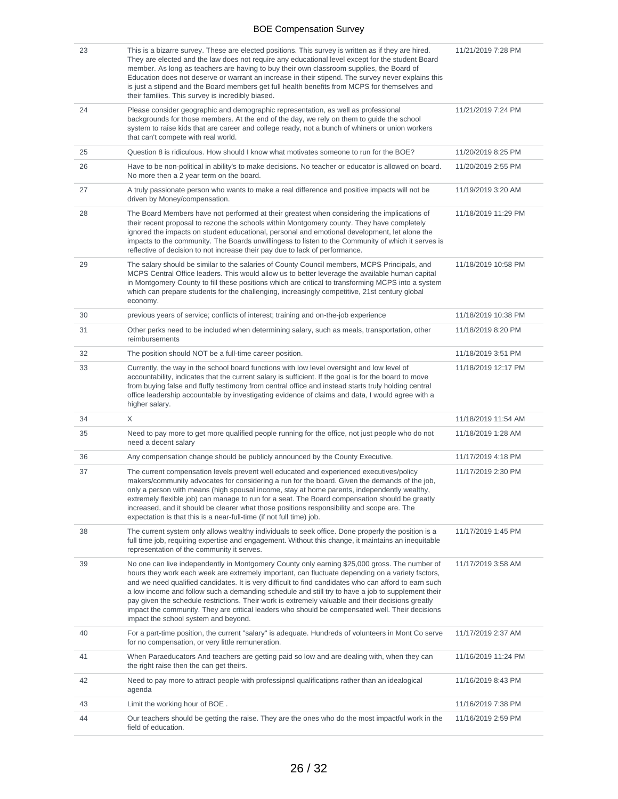| 23 | This is a bizarre survey. These are elected positions. This survey is written as if they are hired.<br>They are elected and the law does not require any educational level except for the student Board<br>member. As long as teachers are having to buy their own classroom supplies, the Board of<br>Education does not deserve or warrant an increase in their stipend. The survey never explains this<br>is just a stipend and the Board members get full health benefits from MCPS for themselves and<br>their families. This survey is incredibly biased.                                                                                                 | 11/21/2019 7:28 PM  |
|----|-----------------------------------------------------------------------------------------------------------------------------------------------------------------------------------------------------------------------------------------------------------------------------------------------------------------------------------------------------------------------------------------------------------------------------------------------------------------------------------------------------------------------------------------------------------------------------------------------------------------------------------------------------------------|---------------------|
| 24 | Please consider geographic and demographic representation, as well as professional<br>backgrounds for those members. At the end of the day, we rely on them to guide the school<br>system to raise kids that are career and college ready, not a bunch of whiners or union workers<br>that can't compete with real world.                                                                                                                                                                                                                                                                                                                                       | 11/21/2019 7:24 PM  |
| 25 | Question 8 is ridiculous. How should I know what motivates someone to run for the BOE?                                                                                                                                                                                                                                                                                                                                                                                                                                                                                                                                                                          | 11/20/2019 8:25 PM  |
| 26 | Have to be non-political in ability's to make decisions. No teacher or educator is allowed on board.<br>No more then a 2 year term on the board.                                                                                                                                                                                                                                                                                                                                                                                                                                                                                                                | 11/20/2019 2:55 PM  |
| 27 | A truly passionate person who wants to make a real difference and positive impacts will not be<br>driven by Money/compensation.                                                                                                                                                                                                                                                                                                                                                                                                                                                                                                                                 | 11/19/2019 3:20 AM  |
| 28 | The Board Members have not performed at their greatest when considering the implications of<br>their recent proposal to rezone the schools within Montgomery county. They have completely<br>ignored the impacts on student educational, personal and emotional development, let alone the<br>impacts to the community. The Boards unwillingess to listen to the Community of which it serves is<br>reflective of decision to not increase their pay due to lack of performance.                                                                                                                                                                                | 11/18/2019 11:29 PM |
| 29 | The salary should be similar to the salaries of County Council members, MCPS Principals, and<br>MCPS Central Office leaders. This would allow us to better leverage the available human capital<br>in Montgomery County to fill these positions which are critical to transforming MCPS into a system<br>which can prepare students for the challenging, increasingly competitive, 21st century global<br>economy.                                                                                                                                                                                                                                              | 11/18/2019 10:58 PM |
| 30 | previous years of service; conflicts of interest; training and on-the-job experience                                                                                                                                                                                                                                                                                                                                                                                                                                                                                                                                                                            | 11/18/2019 10:38 PM |
| 31 | Other perks need to be included when determining salary, such as meals, transportation, other<br>reimbursements                                                                                                                                                                                                                                                                                                                                                                                                                                                                                                                                                 | 11/18/2019 8:20 PM  |
| 32 | The position should NOT be a full-time career position.                                                                                                                                                                                                                                                                                                                                                                                                                                                                                                                                                                                                         | 11/18/2019 3:51 PM  |
| 33 | Currently, the way in the school board functions with low level oversight and low level of<br>accountability, indicates that the current salary is sufficient. If the goal is for the board to move<br>from buying false and fluffy testimony from central office and instead starts truly holding central<br>office leadership accountable by investigating evidence of claims and data, I would agree with a<br>higher salary.                                                                                                                                                                                                                                | 11/18/2019 12:17 PM |
| 34 | Χ                                                                                                                                                                                                                                                                                                                                                                                                                                                                                                                                                                                                                                                               | 11/18/2019 11:54 AM |
| 35 | Need to pay more to get more qualified people running for the office, not just people who do not<br>need a decent salary                                                                                                                                                                                                                                                                                                                                                                                                                                                                                                                                        | 11/18/2019 1:28 AM  |
| 36 | Any compensation change should be publicly announced by the County Executive.                                                                                                                                                                                                                                                                                                                                                                                                                                                                                                                                                                                   | 11/17/2019 4:18 PM  |
| 37 | The current compensation levels prevent well educated and experienced executives/policy<br>makers/community advocates for considering a run for the board. Given the demands of the job,<br>only a person with means (high spousal income, stay at home parents, independently wealthy,<br>extremely flexible job) can manage to run for a seat. The Board compensation should be greatly<br>increased, and it should be clearer what those positions responsibility and scope are. The<br>expectation is that this is a near-full-time (if not full time) job.                                                                                                 | 11/17/2019 2:30 PM  |
| 38 | The current system only allows wealthy individuals to seek office. Done properly the position is a<br>full time job, requiring expertise and engagement. Without this change, it maintains an inequitable<br>representation of the community it serves.                                                                                                                                                                                                                                                                                                                                                                                                         | 11/17/2019 1:45 PM  |
| 39 | No one can live independently in Montgomery County only earning \$25,000 gross. The number of<br>hours they work each week are extremely important, can fluctuate depending on a variety fsctors,<br>and we need qualified candidates. It is very difficult to find candidates who can afford to earn such<br>a low income and follow such a demanding schedule and still try to have a job to supplement their<br>pay given the schedule restrictions. Their work is extremely valuable and their decisions greatly<br>impact the community. They are critical leaders who should be compensated well. Their decisions<br>impact the school system and beyond. | 11/17/2019 3:58 AM  |
| 40 | For a part-time position, the current "salary" is adequate. Hundreds of volunteers in Mont Co serve<br>for no compensation, or very little remuneration.                                                                                                                                                                                                                                                                                                                                                                                                                                                                                                        | 11/17/2019 2:37 AM  |
| 41 | When Paraeducators And teachers are getting paid so low and are dealing with, when they can<br>the right raise then the can get theirs.                                                                                                                                                                                                                                                                                                                                                                                                                                                                                                                         | 11/16/2019 11:24 PM |
| 42 | Need to pay more to attract people with professipnsl qualificatipns rather than an idealogical<br>agenda                                                                                                                                                                                                                                                                                                                                                                                                                                                                                                                                                        | 11/16/2019 8:43 PM  |
| 43 | Limit the working hour of BOE.                                                                                                                                                                                                                                                                                                                                                                                                                                                                                                                                                                                                                                  | 11/16/2019 7:38 PM  |
| 44 | Our teachers should be getting the raise. They are the ones who do the most impactful work in the<br>field of education.                                                                                                                                                                                                                                                                                                                                                                                                                                                                                                                                        | 11/16/2019 2:59 PM  |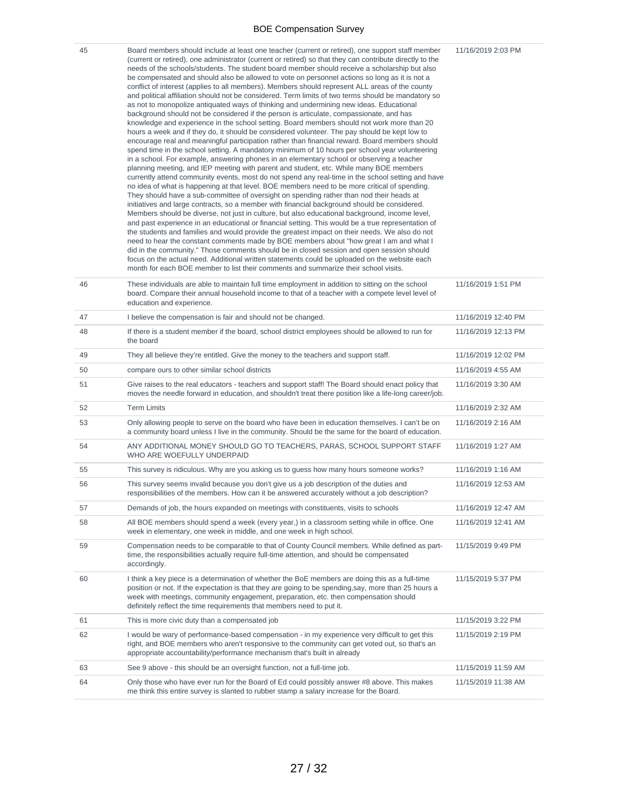| 45 | Board members should include at least one teacher (current or retired), one support staff member<br>(current or retired), one administrator (current or retired) so that they can contribute directly to the<br>needs of the schools/students. The student board member should receive a scholarship but also<br>be compensated and should also be allowed to vote on personnel actions so long as it is not a<br>conflict of interest (applies to all members). Members should represent ALL areas of the county<br>and political affiliation should not be considered. Term limits of two terms should be mandatory so<br>as not to monopolize antiquated ways of thinking and undermining new ideas. Educational<br>background should not be considered if the person is articulate, compassionate, and has<br>knowledge and experience in the school setting. Board members should not work more than 20<br>hours a week and if they do, it should be considered volunteer. The pay should be kept low to<br>encourage real and meaningful participation rather than financial reward. Board members should<br>spend time in the school setting. A mandatory minimum of 10 hours per school year volunteering<br>in a school. For example, answering phones in an elementary school or observing a teacher<br>planning meeting, and IEP meeting with parent and student, etc. While many BOE members<br>currently attend community events, most do not spend any real-time in the school setting and have<br>no idea of what is happening at that level. BOE members need to be more critical of spending.<br>They should have a sub-committee of oversight on spending rather than nod their heads at<br>initiatives and large contracts, so a member with financial background should be considered.<br>Members should be diverse, not just in culture, but also educational background, income level,<br>and past experience in an educational or financial setting. This would be a true representation of<br>the students and families and would provide the greatest impact on their needs. We also do not<br>need to hear the constant comments made by BOE members about "how great I am and what I<br>did in the community." Those comments should be in closed session and open session should<br>focus on the actual need. Additional written statements could be uploaded on the website each<br>month for each BOE member to list their comments and summarize their school visits. | 11/16/2019 2:03 PM  |
|----|------------------------------------------------------------------------------------------------------------------------------------------------------------------------------------------------------------------------------------------------------------------------------------------------------------------------------------------------------------------------------------------------------------------------------------------------------------------------------------------------------------------------------------------------------------------------------------------------------------------------------------------------------------------------------------------------------------------------------------------------------------------------------------------------------------------------------------------------------------------------------------------------------------------------------------------------------------------------------------------------------------------------------------------------------------------------------------------------------------------------------------------------------------------------------------------------------------------------------------------------------------------------------------------------------------------------------------------------------------------------------------------------------------------------------------------------------------------------------------------------------------------------------------------------------------------------------------------------------------------------------------------------------------------------------------------------------------------------------------------------------------------------------------------------------------------------------------------------------------------------------------------------------------------------------------------------------------------------------------------------------------------------------------------------------------------------------------------------------------------------------------------------------------------------------------------------------------------------------------------------------------------------------------------------------------------------------------------------------------------------------------------------------------------------------------------------------------------------------------------------------|---------------------|
| 46 | These individuals are able to maintain full time employment in addition to sitting on the school<br>board. Compare their annual household income to that of a teacher with a compete level level of<br>education and experience.                                                                                                                                                                                                                                                                                                                                                                                                                                                                                                                                                                                                                                                                                                                                                                                                                                                                                                                                                                                                                                                                                                                                                                                                                                                                                                                                                                                                                                                                                                                                                                                                                                                                                                                                                                                                                                                                                                                                                                                                                                                                                                                                                                                                                                                                     | 11/16/2019 1:51 PM  |
| 47 | I believe the compensation is fair and should not be changed.                                                                                                                                                                                                                                                                                                                                                                                                                                                                                                                                                                                                                                                                                                                                                                                                                                                                                                                                                                                                                                                                                                                                                                                                                                                                                                                                                                                                                                                                                                                                                                                                                                                                                                                                                                                                                                                                                                                                                                                                                                                                                                                                                                                                                                                                                                                                                                                                                                        | 11/16/2019 12:40 PM |
| 48 | If there is a student member if the board, school district employees should be allowed to run for<br>the board                                                                                                                                                                                                                                                                                                                                                                                                                                                                                                                                                                                                                                                                                                                                                                                                                                                                                                                                                                                                                                                                                                                                                                                                                                                                                                                                                                                                                                                                                                                                                                                                                                                                                                                                                                                                                                                                                                                                                                                                                                                                                                                                                                                                                                                                                                                                                                                       | 11/16/2019 12:13 PM |
| 49 | They all believe they're entitled. Give the money to the teachers and support staff.                                                                                                                                                                                                                                                                                                                                                                                                                                                                                                                                                                                                                                                                                                                                                                                                                                                                                                                                                                                                                                                                                                                                                                                                                                                                                                                                                                                                                                                                                                                                                                                                                                                                                                                                                                                                                                                                                                                                                                                                                                                                                                                                                                                                                                                                                                                                                                                                                 | 11/16/2019 12:02 PM |
| 50 | compare ours to other similar school districts                                                                                                                                                                                                                                                                                                                                                                                                                                                                                                                                                                                                                                                                                                                                                                                                                                                                                                                                                                                                                                                                                                                                                                                                                                                                                                                                                                                                                                                                                                                                                                                                                                                                                                                                                                                                                                                                                                                                                                                                                                                                                                                                                                                                                                                                                                                                                                                                                                                       | 11/16/2019 4:55 AM  |
| 51 | Give raises to the real educators - teachers and support staff! The Board should enact policy that<br>moves the needle forward in education, and shouldn't treat there position like a life-long career/job.                                                                                                                                                                                                                                                                                                                                                                                                                                                                                                                                                                                                                                                                                                                                                                                                                                                                                                                                                                                                                                                                                                                                                                                                                                                                                                                                                                                                                                                                                                                                                                                                                                                                                                                                                                                                                                                                                                                                                                                                                                                                                                                                                                                                                                                                                         | 11/16/2019 3:30 AM  |
| 52 | <b>Term Limits</b>                                                                                                                                                                                                                                                                                                                                                                                                                                                                                                                                                                                                                                                                                                                                                                                                                                                                                                                                                                                                                                                                                                                                                                                                                                                                                                                                                                                                                                                                                                                                                                                                                                                                                                                                                                                                                                                                                                                                                                                                                                                                                                                                                                                                                                                                                                                                                                                                                                                                                   | 11/16/2019 2:32 AM  |
| 53 | Only allowing people to serve on the board who have been in education themselves. I can't be on<br>a community board unless I live in the community. Should be the same for the board of education.                                                                                                                                                                                                                                                                                                                                                                                                                                                                                                                                                                                                                                                                                                                                                                                                                                                                                                                                                                                                                                                                                                                                                                                                                                                                                                                                                                                                                                                                                                                                                                                                                                                                                                                                                                                                                                                                                                                                                                                                                                                                                                                                                                                                                                                                                                  | 11/16/2019 2:16 AM  |
| 54 | ANY ADDITIONAL MONEY SHOULD GO TO TEACHERS, PARAS, SCHOOL SUPPORT STAFF<br>WHO ARE WOEFULLY UNDERPAID                                                                                                                                                                                                                                                                                                                                                                                                                                                                                                                                                                                                                                                                                                                                                                                                                                                                                                                                                                                                                                                                                                                                                                                                                                                                                                                                                                                                                                                                                                                                                                                                                                                                                                                                                                                                                                                                                                                                                                                                                                                                                                                                                                                                                                                                                                                                                                                                | 11/16/2019 1:27 AM  |
| 55 | This survey is ridiculous. Why are you asking us to guess how many hours someone works?                                                                                                                                                                                                                                                                                                                                                                                                                                                                                                                                                                                                                                                                                                                                                                                                                                                                                                                                                                                                                                                                                                                                                                                                                                                                                                                                                                                                                                                                                                                                                                                                                                                                                                                                                                                                                                                                                                                                                                                                                                                                                                                                                                                                                                                                                                                                                                                                              | 11/16/2019 1:16 AM  |
| 56 | This survey seems invalid because you don't give us a job description of the duties and<br>responsibilities of the members. How can it be answered accurately without a job description?                                                                                                                                                                                                                                                                                                                                                                                                                                                                                                                                                                                                                                                                                                                                                                                                                                                                                                                                                                                                                                                                                                                                                                                                                                                                                                                                                                                                                                                                                                                                                                                                                                                                                                                                                                                                                                                                                                                                                                                                                                                                                                                                                                                                                                                                                                             | 11/16/2019 12:53 AM |
| 57 | Demands of job, the hours expanded on meetings with constituents, visits to schools                                                                                                                                                                                                                                                                                                                                                                                                                                                                                                                                                                                                                                                                                                                                                                                                                                                                                                                                                                                                                                                                                                                                                                                                                                                                                                                                                                                                                                                                                                                                                                                                                                                                                                                                                                                                                                                                                                                                                                                                                                                                                                                                                                                                                                                                                                                                                                                                                  | 11/16/2019 12:47 AM |
| 58 | All BOE members should spend a week (every year,) in a classroom setting while in office. One<br>week in elementary, one week in middle, and one week in high school.                                                                                                                                                                                                                                                                                                                                                                                                                                                                                                                                                                                                                                                                                                                                                                                                                                                                                                                                                                                                                                                                                                                                                                                                                                                                                                                                                                                                                                                                                                                                                                                                                                                                                                                                                                                                                                                                                                                                                                                                                                                                                                                                                                                                                                                                                                                                | 11/16/2019 12:41 AM |
| 59 | Compensation needs to be comparable to that of County Council members. While defined as part-<br>time, the responsibilities actually require full-time attention, and should be compensated<br>accordingly.                                                                                                                                                                                                                                                                                                                                                                                                                                                                                                                                                                                                                                                                                                                                                                                                                                                                                                                                                                                                                                                                                                                                                                                                                                                                                                                                                                                                                                                                                                                                                                                                                                                                                                                                                                                                                                                                                                                                                                                                                                                                                                                                                                                                                                                                                          | 11/15/2019 9:49 PM  |
| 60 | I think a key piece is a determination of whether the BoE members are doing this as a full-time<br>position or not. If the expectation is that they are going to be spending, say, more than 25 hours a<br>week with meetings, community engagement, preparation, etc. then compensation should<br>definitely reflect the time requirements that members need to put it.                                                                                                                                                                                                                                                                                                                                                                                                                                                                                                                                                                                                                                                                                                                                                                                                                                                                                                                                                                                                                                                                                                                                                                                                                                                                                                                                                                                                                                                                                                                                                                                                                                                                                                                                                                                                                                                                                                                                                                                                                                                                                                                             | 11/15/2019 5:37 PM  |
| 61 | This is more civic duty than a compensated job                                                                                                                                                                                                                                                                                                                                                                                                                                                                                                                                                                                                                                                                                                                                                                                                                                                                                                                                                                                                                                                                                                                                                                                                                                                                                                                                                                                                                                                                                                                                                                                                                                                                                                                                                                                                                                                                                                                                                                                                                                                                                                                                                                                                                                                                                                                                                                                                                                                       | 11/15/2019 3:22 PM  |
| 62 | I would be wary of performance-based compensation - in my experience very difficult to get this<br>right, and BOE members who aren't responsive to the community can get voted out, so that's an<br>appropriate accountability/performance mechanism that's built in already                                                                                                                                                                                                                                                                                                                                                                                                                                                                                                                                                                                                                                                                                                                                                                                                                                                                                                                                                                                                                                                                                                                                                                                                                                                                                                                                                                                                                                                                                                                                                                                                                                                                                                                                                                                                                                                                                                                                                                                                                                                                                                                                                                                                                         | 11/15/2019 2:19 PM  |
| 63 | See 9 above - this should be an oversight function, not a full-time job.                                                                                                                                                                                                                                                                                                                                                                                                                                                                                                                                                                                                                                                                                                                                                                                                                                                                                                                                                                                                                                                                                                                                                                                                                                                                                                                                                                                                                                                                                                                                                                                                                                                                                                                                                                                                                                                                                                                                                                                                                                                                                                                                                                                                                                                                                                                                                                                                                             | 11/15/2019 11:59 AM |
| 64 | Only those who have ever run for the Board of Ed could possibly answer #8 above. This makes<br>me think this entire survey is slanted to rubber stamp a salary increase for the Board.                                                                                                                                                                                                                                                                                                                                                                                                                                                                                                                                                                                                                                                                                                                                                                                                                                                                                                                                                                                                                                                                                                                                                                                                                                                                                                                                                                                                                                                                                                                                                                                                                                                                                                                                                                                                                                                                                                                                                                                                                                                                                                                                                                                                                                                                                                               | 11/15/2019 11:38 AM |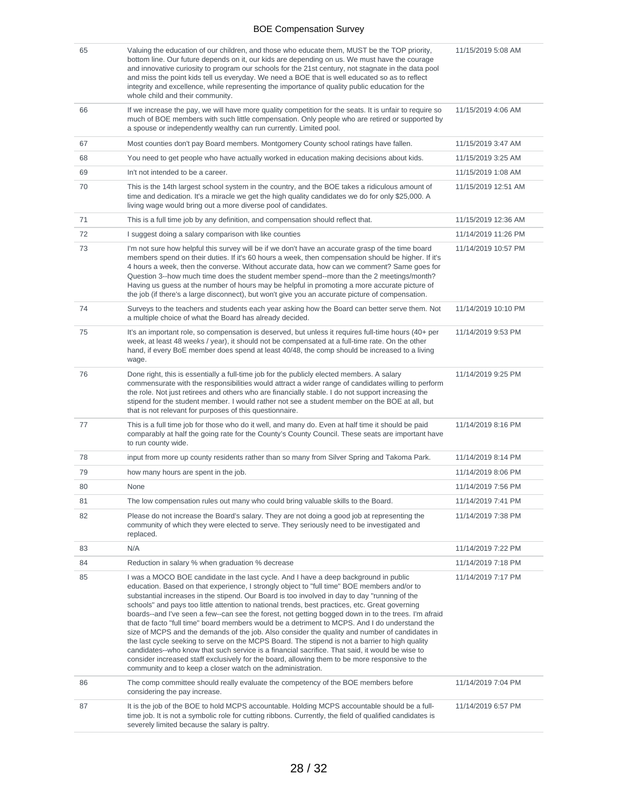| 65 | Valuing the education of our children, and those who educate them, MUST be the TOP priority,<br>bottom line. Our future depends on it, our kids are depending on us. We must have the courage<br>and innovative curiosity to program our schools for the 21st century, not stagnate in the data pool<br>and miss the point kids tell us everyday. We need a BOE that is well educated so as to reflect<br>integrity and excellence, while representing the importance of quality public education for the<br>whole child and their community.                                                                                                                                                                                                                                                                                                                                                                                                                                                                                                                             | 11/15/2019 5:08 AM  |
|----|---------------------------------------------------------------------------------------------------------------------------------------------------------------------------------------------------------------------------------------------------------------------------------------------------------------------------------------------------------------------------------------------------------------------------------------------------------------------------------------------------------------------------------------------------------------------------------------------------------------------------------------------------------------------------------------------------------------------------------------------------------------------------------------------------------------------------------------------------------------------------------------------------------------------------------------------------------------------------------------------------------------------------------------------------------------------------|---------------------|
| 66 | If we increase the pay, we will have more quality competition for the seats. It is unfair to require so<br>much of BOE members with such little compensation. Only people who are retired or supported by<br>a spouse or independently wealthy can run currently. Limited pool.                                                                                                                                                                                                                                                                                                                                                                                                                                                                                                                                                                                                                                                                                                                                                                                           | 11/15/2019 4:06 AM  |
| 67 | Most counties don't pay Board members. Montgomery County school ratings have fallen.                                                                                                                                                                                                                                                                                                                                                                                                                                                                                                                                                                                                                                                                                                                                                                                                                                                                                                                                                                                      | 11/15/2019 3:47 AM  |
| 68 | You need to get people who have actually worked in education making decisions about kids.                                                                                                                                                                                                                                                                                                                                                                                                                                                                                                                                                                                                                                                                                                                                                                                                                                                                                                                                                                                 | 11/15/2019 3:25 AM  |
| 69 | In't not intended to be a career.                                                                                                                                                                                                                                                                                                                                                                                                                                                                                                                                                                                                                                                                                                                                                                                                                                                                                                                                                                                                                                         | 11/15/2019 1:08 AM  |
| 70 | This is the 14th largest school system in the country, and the BOE takes a ridiculous amount of<br>time and dedication. It's a miracle we get the high quality candidates we do for only \$25,000. A<br>living wage would bring out a more diverse pool of candidates.                                                                                                                                                                                                                                                                                                                                                                                                                                                                                                                                                                                                                                                                                                                                                                                                    | 11/15/2019 12:51 AM |
| 71 | This is a full time job by any definition, and compensation should reflect that.                                                                                                                                                                                                                                                                                                                                                                                                                                                                                                                                                                                                                                                                                                                                                                                                                                                                                                                                                                                          | 11/15/2019 12:36 AM |
| 72 | I suggest doing a salary comparison with like counties                                                                                                                                                                                                                                                                                                                                                                                                                                                                                                                                                                                                                                                                                                                                                                                                                                                                                                                                                                                                                    | 11/14/2019 11:26 PM |
| 73 | I'm not sure how helpful this survey will be if we don't have an accurate grasp of the time board<br>members spend on their duties. If it's 60 hours a week, then compensation should be higher. If it's<br>4 hours a week, then the converse. Without accurate data, how can we comment? Same goes for<br>Question 3--how much time does the student member spend--more than the 2 meetings/month?<br>Having us guess at the number of hours may be helpful in promoting a more accurate picture of<br>the job (if there's a large disconnect), but won't give you an accurate picture of compensation.                                                                                                                                                                                                                                                                                                                                                                                                                                                                  | 11/14/2019 10:57 PM |
| 74 | Surveys to the teachers and students each year asking how the Board can better serve them. Not<br>a multiple choice of what the Board has already decided.                                                                                                                                                                                                                                                                                                                                                                                                                                                                                                                                                                                                                                                                                                                                                                                                                                                                                                                | 11/14/2019 10:10 PM |
| 75 | It's an important role, so compensation is deserved, but unless it requires full-time hours (40+ per<br>week, at least 48 weeks / year), it should not be compensated at a full-time rate. On the other<br>hand, if every BoE member does spend at least 40/48, the comp should be increased to a living<br>wage.                                                                                                                                                                                                                                                                                                                                                                                                                                                                                                                                                                                                                                                                                                                                                         | 11/14/2019 9:53 PM  |
| 76 | Done right, this is essentially a full-time job for the publicly elected members. A salary<br>commensurate with the responsibilities would attract a wider range of candidates willing to perform<br>the role. Not just retirees and others who are financially stable. I do not support increasing the<br>stipend for the student member. I would rather not see a student member on the BOE at all, but<br>that is not relevant for purposes of this questionnaire.                                                                                                                                                                                                                                                                                                                                                                                                                                                                                                                                                                                                     | 11/14/2019 9:25 PM  |
| 77 | This is a full time job for those who do it well, and many do. Even at half time it should be paid<br>comparably at half the going rate for the County's County Council. These seats are important have<br>to run county wide.                                                                                                                                                                                                                                                                                                                                                                                                                                                                                                                                                                                                                                                                                                                                                                                                                                            | 11/14/2019 8:16 PM  |
| 78 | input from more up county residents rather than so many from Silver Spring and Takoma Park.                                                                                                                                                                                                                                                                                                                                                                                                                                                                                                                                                                                                                                                                                                                                                                                                                                                                                                                                                                               | 11/14/2019 8:14 PM  |
| 79 | how many hours are spent in the job.                                                                                                                                                                                                                                                                                                                                                                                                                                                                                                                                                                                                                                                                                                                                                                                                                                                                                                                                                                                                                                      | 11/14/2019 8:06 PM  |
| 80 | None                                                                                                                                                                                                                                                                                                                                                                                                                                                                                                                                                                                                                                                                                                                                                                                                                                                                                                                                                                                                                                                                      | 11/14/2019 7:56 PM  |
| 81 | The low compensation rules out many who could bring valuable skills to the Board.                                                                                                                                                                                                                                                                                                                                                                                                                                                                                                                                                                                                                                                                                                                                                                                                                                                                                                                                                                                         | 11/14/2019 7:41 PM  |
| 82 | Please do not increase the Board's salary. They are not doing a good job at representing the<br>community of which they were elected to serve. They seriously need to be investigated and<br>replaced.                                                                                                                                                                                                                                                                                                                                                                                                                                                                                                                                                                                                                                                                                                                                                                                                                                                                    | 11/14/2019 7:38 PM  |
| 83 | N/A                                                                                                                                                                                                                                                                                                                                                                                                                                                                                                                                                                                                                                                                                                                                                                                                                                                                                                                                                                                                                                                                       | 11/14/2019 7:22 PM  |
| 84 | Reduction in salary % when graduation % decrease                                                                                                                                                                                                                                                                                                                                                                                                                                                                                                                                                                                                                                                                                                                                                                                                                                                                                                                                                                                                                          | 11/14/2019 7:18 PM  |
| 85 | I was a MOCO BOE candidate in the last cycle. And I have a deep background in public<br>education. Based on that experience, I strongly object to "full time" BOE members and/or to<br>substantial increases in the stipend. Our Board is too involved in day to day "running of the<br>schools" and pays too little attention to national trends, best practices, etc. Great governing<br>boards--and I've seen a few--can see the forest, not getting bogged down in to the trees. I'm afraid<br>that de facto "full time" board members would be a detriment to MCPS. And I do understand the<br>size of MCPS and the demands of the job. Also consider the quality and number of candidates in<br>the last cycle seeking to serve on the MCPS Board. The stipend is not a barrier to high quality<br>candidates--who know that such service is a financial sacrifice. That said, it would be wise to<br>consider increased staff exclusively for the board, allowing them to be more responsive to the<br>community and to keep a closer watch on the administration. | 11/14/2019 7:17 PM  |
| 86 | The comp committee should really evaluate the competency of the BOE members before<br>considering the pay increase.                                                                                                                                                                                                                                                                                                                                                                                                                                                                                                                                                                                                                                                                                                                                                                                                                                                                                                                                                       | 11/14/2019 7:04 PM  |
| 87 | It is the job of the BOE to hold MCPS accountable. Holding MCPS accountable should be a full-<br>time job. It is not a symbolic role for cutting ribbons. Currently, the field of qualified candidates is<br>severely limited because the salary is paltry.                                                                                                                                                                                                                                                                                                                                                                                                                                                                                                                                                                                                                                                                                                                                                                                                               | 11/14/2019 6:57 PM  |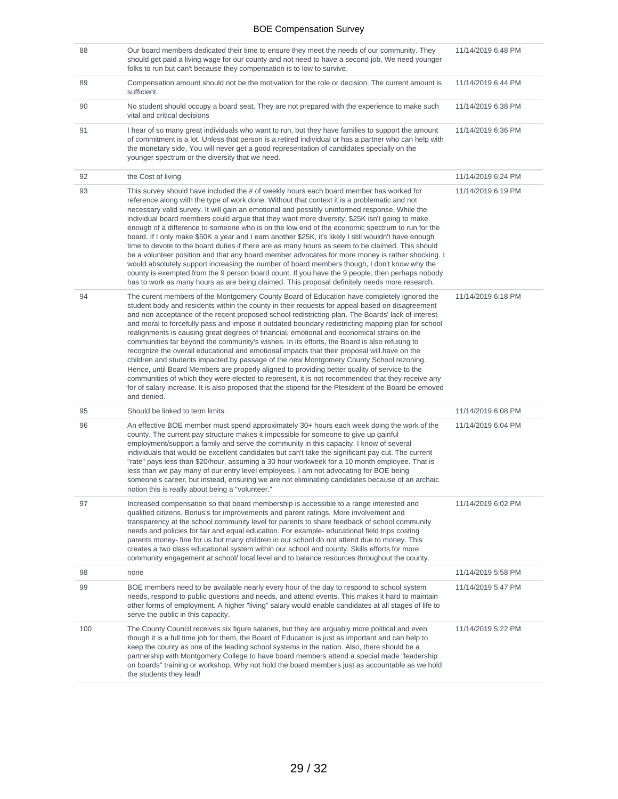| 88  | Our board members dedicated their time to ensure they meet the needs of our community. They<br>should get paid a living wage for our county and not need to have a second job. We need younger<br>folks to run but can't because they compensation is to low to survive.                                                                                                                                                                                                                                                                                                                                                                                                                                                                                                                                                                                                                                                                                                                                                                                                                                                        | 11/14/2019 6:48 PM |
|-----|---------------------------------------------------------------------------------------------------------------------------------------------------------------------------------------------------------------------------------------------------------------------------------------------------------------------------------------------------------------------------------------------------------------------------------------------------------------------------------------------------------------------------------------------------------------------------------------------------------------------------------------------------------------------------------------------------------------------------------------------------------------------------------------------------------------------------------------------------------------------------------------------------------------------------------------------------------------------------------------------------------------------------------------------------------------------------------------------------------------------------------|--------------------|
| 89  | Compensation amount should not be the motivation for the role or decision. The current amount is<br>sufficient.                                                                                                                                                                                                                                                                                                                                                                                                                                                                                                                                                                                                                                                                                                                                                                                                                                                                                                                                                                                                                 | 11/14/2019 6:44 PM |
| 90  | No student should occupy a board seat. They are not prepared with the experience to make such<br>vital and critical decisions                                                                                                                                                                                                                                                                                                                                                                                                                                                                                                                                                                                                                                                                                                                                                                                                                                                                                                                                                                                                   | 11/14/2019 6:38 PM |
| 91  | I hear of so many great individuals who want to run, but they have families to support the amount<br>of commitment is a lot. Unless that person is a retired individual or has a partner who can help with<br>the monetary side, You will never get a good representation of candidates specially on the<br>younger spectrum or the diversity that we need.                                                                                                                                                                                                                                                                                                                                                                                                                                                                                                                                                                                                                                                                                                                                                                     | 11/14/2019 6:36 PM |
| 92  | the Cost of living                                                                                                                                                                                                                                                                                                                                                                                                                                                                                                                                                                                                                                                                                                                                                                                                                                                                                                                                                                                                                                                                                                              | 11/14/2019 6:24 PM |
| 93  | This survey should have included the # of weekly hours each board member has worked for<br>reference along with the type of work done. Without that context it is a problematic and not<br>necessary valid survey. It will gain an emotional and possibly uninformed response. While the<br>individual board members could argue that they want more diversity, \$25K isn't going to make<br>enough of a difference to someone who is on the low end of the economic spectrum to run for the<br>board. If I only make \$50K a year and I earn another \$25K, it's likely I still wouldn't have enough<br>time to devote to the board duties if there are as many hours as seem to be claimed. This should<br>be a volunteer position and that any board member advocates for more money is rather shocking. I<br>would absolutely support increasing the number of board members though, I don't know why the<br>county is exempted from the 9 person board count. If you have the 9 people, then perhaps nobody<br>has to work as many hours as are being claimed. This proposal definitely needs more research.               | 11/14/2019 6:19 PM |
| 94  | The curent members of the Montgomery County Board of Education have completely ignored the<br>student body and residents within the county in their requests for appeal based on disagreement<br>and non acceptance of the recent proposed school redistricting plan. The Boards' lack of interest<br>and moral to forcefully pass and impose it outdated boundary redistricting mapping plan for school<br>realignments is causing great degrees of financial, emotional and economical strains on the<br>communities far beyond the community's wishes. In its efforts, the Board is also refusing to<br>recognize the overall educational and emotional impacts that their proposal will have on the<br>children and students impacted by passage of the new Montgomery County School rezoning.<br>Hence, until Board Members are properly aligned to providing better quality of service to the<br>communities of which they were elected to represent, it is not recommended that they receive any<br>for of salary increase. It is also proposed that the stipend for the Ptesident of the Board be emoved<br>and denied. | 11/14/2019 6:18 PM |
| 95  | Should be linked to term limits.                                                                                                                                                                                                                                                                                                                                                                                                                                                                                                                                                                                                                                                                                                                                                                                                                                                                                                                                                                                                                                                                                                | 11/14/2019 6:08 PM |
| 96  | An effective BOE member must spend approximately 30+ hours each week doing the work of the<br>county. The current pay structure makes it impossible for someone to give up gainful<br>employment/support a family and serve the community in this capacity. I know of several<br>individuals that would be excellent candidates but can't take the significant pay cut. The current<br>"rate" pays less than \$20/hour, assuming a 30 hour workweek for a 10 month employee. That is<br>less than we pay many of our entry level employees. I am not advocating for BOE being<br>someone's career, but instead, ensuring we are not eliminating candidates because of an archaic<br>notion this is really about being a "volunteer."                                                                                                                                                                                                                                                                                                                                                                                            | 11/14/2019 6:04 PM |
| 97  | Increased compensation so that board membership is accessible to a range interested and<br>qualified citizens. Bonus's for improvements and parent ratings. More involvement and<br>transparency at the school community level for parents to share feedback of school community<br>needs and policies for fair and equal education. For example-educational field trips costing<br>parents money- fine for us but many children in our school do not attend due to money. This<br>creates a two class educational system within our school and county. Skills efforts for more<br>community engagement at school/ local level and to balance resources throughout the county.                                                                                                                                                                                                                                                                                                                                                                                                                                                  | 11/14/2019 6:02 PM |
| 98  | none                                                                                                                                                                                                                                                                                                                                                                                                                                                                                                                                                                                                                                                                                                                                                                                                                                                                                                                                                                                                                                                                                                                            | 11/14/2019 5:58 PM |
| 99  | BOE members need to be available nearly every hour of the day to respond to school system<br>needs, respond to public questions and needs, and attend events. This makes it hard to maintain<br>other forms of employment. A higher "living" salary would enable candidates at all stages of life to<br>serve the public in this capacity.                                                                                                                                                                                                                                                                                                                                                                                                                                                                                                                                                                                                                                                                                                                                                                                      | 11/14/2019 5:47 PM |
| 100 | The County Council receives six figure salaries, but they are arguably more political and even<br>though it is a full time job for them, the Board of Education is just as important and can help to<br>keep the county as one of the leading school systems in the nation. Also, there should be a<br>partnership with Montgomery College to have board members attend a special made "leadership"<br>on boards" training or workshop. Why not hold the board members just as accountable as we hold<br>the students they lead!                                                                                                                                                                                                                                                                                                                                                                                                                                                                                                                                                                                                | 11/14/2019 5:22 PM |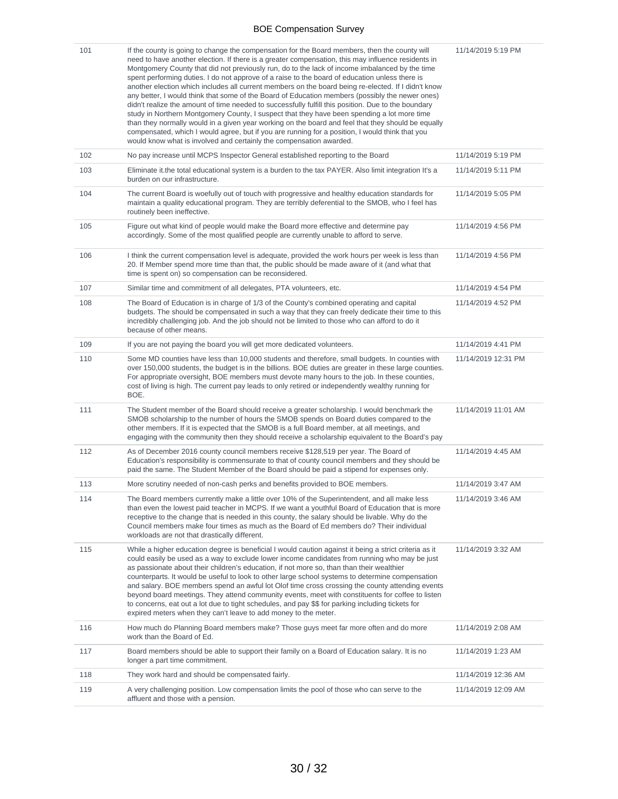| 101 | If the county is going to change the compensation for the Board members, then the county will<br>need to have another election. If there is a greater compensation, this may influence residents in<br>Montgomery County that did not previously run, do to the lack of income imbalanced by the time<br>spent performing duties. I do not approve of a raise to the board of education unless there is<br>another election which includes all current members on the board being re-elected. If I didn't know<br>any better, I would think that some of the Board of Education members (possibly the newer ones)<br>didn't realize the amount of time needed to successfully fulfill this position. Due to the boundary<br>study in Northern Montgomery County, I suspect that they have been spending a lot more time<br>than they normally would in a given year working on the board and feel that they should be equally<br>compensated, which I would agree, but if you are running for a position, I would think that you<br>would know what is involved and certainly the compensation awarded. | 11/14/2019 5:19 PM  |
|-----|---------------------------------------------------------------------------------------------------------------------------------------------------------------------------------------------------------------------------------------------------------------------------------------------------------------------------------------------------------------------------------------------------------------------------------------------------------------------------------------------------------------------------------------------------------------------------------------------------------------------------------------------------------------------------------------------------------------------------------------------------------------------------------------------------------------------------------------------------------------------------------------------------------------------------------------------------------------------------------------------------------------------------------------------------------------------------------------------------------|---------------------|
| 102 | No pay increase until MCPS Inspector General established reporting to the Board                                                                                                                                                                                                                                                                                                                                                                                                                                                                                                                                                                                                                                                                                                                                                                                                                                                                                                                                                                                                                         | 11/14/2019 5:19 PM  |
| 103 | Eliminate it the total educational system is a burden to the tax PAYER. Also limit integration It's a<br>burden on our infrastructure.                                                                                                                                                                                                                                                                                                                                                                                                                                                                                                                                                                                                                                                                                                                                                                                                                                                                                                                                                                  | 11/14/2019 5:11 PM  |
| 104 | The current Board is woefully out of touch with progressive and healthy education standards for<br>maintain a quality educational program. They are terribly deferential to the SMOB, who I feel has<br>routinely been ineffective.                                                                                                                                                                                                                                                                                                                                                                                                                                                                                                                                                                                                                                                                                                                                                                                                                                                                     | 11/14/2019 5:05 PM  |
| 105 | Figure out what kind of people would make the Board more effective and determine pay<br>accordingly. Some of the most qualified people are currently unable to afford to serve.                                                                                                                                                                                                                                                                                                                                                                                                                                                                                                                                                                                                                                                                                                                                                                                                                                                                                                                         | 11/14/2019 4:56 PM  |
| 106 | I think the current compensation level is adequate, provided the work hours per week is less than<br>20. If Member spend more time than that, the public should be made aware of it (and what that<br>time is spent on) so compensation can be reconsidered.                                                                                                                                                                                                                                                                                                                                                                                                                                                                                                                                                                                                                                                                                                                                                                                                                                            | 11/14/2019 4:56 PM  |
| 107 | Similar time and commitment of all delegates, PTA volunteers, etc.                                                                                                                                                                                                                                                                                                                                                                                                                                                                                                                                                                                                                                                                                                                                                                                                                                                                                                                                                                                                                                      | 11/14/2019 4:54 PM  |
| 108 | The Board of Education is in charge of 1/3 of the County's combined operating and capital<br>budgets. The should be compensated in such a way that they can freely dedicate their time to this<br>incredibly challenging job. And the job should not be limited to those who can afford to do it<br>because of other means.                                                                                                                                                                                                                                                                                                                                                                                                                                                                                                                                                                                                                                                                                                                                                                             | 11/14/2019 4:52 PM  |
| 109 | If you are not paying the board you will get more dedicated volunteers.                                                                                                                                                                                                                                                                                                                                                                                                                                                                                                                                                                                                                                                                                                                                                                                                                                                                                                                                                                                                                                 | 11/14/2019 4:41 PM  |
| 110 | Some MD counties have less than 10,000 students and therefore, small budgets. In counties with<br>over 150,000 students, the budget is in the billions. BOE duties are greater in these large counties.<br>For appropriate oversight, BOE members must devote many hours to the job. In these counties,<br>cost of living is high. The current pay leads to only retired or independently wealthy running for<br>BOE.                                                                                                                                                                                                                                                                                                                                                                                                                                                                                                                                                                                                                                                                                   | 11/14/2019 12:31 PM |
| 111 | The Student member of the Board should receive a greater scholarship. I would benchmark the<br>SMOB scholarship to the number of hours the SMOB spends on Board duties compared to the<br>other members. If it is expected that the SMOB is a full Board member, at all meetings, and<br>engaging with the community then they should receive a scholarship equivalent to the Board's pay                                                                                                                                                                                                                                                                                                                                                                                                                                                                                                                                                                                                                                                                                                               | 11/14/2019 11:01 AM |
| 112 | As of December 2016 county council members receive \$128,519 per year. The Board of<br>Education's responsibility is commensurate to that of county council members and they should be<br>paid the same. The Student Member of the Board should be paid a stipend for expenses only.                                                                                                                                                                                                                                                                                                                                                                                                                                                                                                                                                                                                                                                                                                                                                                                                                    | 11/14/2019 4:45 AM  |
| 113 | More scrutiny needed of non-cash perks and benefits provided to BOE members.                                                                                                                                                                                                                                                                                                                                                                                                                                                                                                                                                                                                                                                                                                                                                                                                                                                                                                                                                                                                                            | 11/14/2019 3:47 AM  |
| 114 | The Board members currently make a little over 10% of the Superintendent, and all make less<br>than even the lowest paid teacher in MCPS. If we want a youthful Board of Education that is more<br>receptive to the change that is needed in this county, the salary should be livable. Why do the<br>Council members make four times as much as the Board of Ed members do? Their individual<br>workloads are not that drastically different.                                                                                                                                                                                                                                                                                                                                                                                                                                                                                                                                                                                                                                                          | 11/14/2019 3:46 AM  |
| 115 | While a higher education degree is beneficial I would caution against it being a strict criteria as it<br>could easily be used as a way to exclude lower income candidates from running who may be just<br>as passionate about their children's education, if not more so, than than their wealthier<br>counterparts. It would be useful to look to other large school systems to determine compensation<br>and salary. BOE members spend an awful lot Olof time cross crossing the county attending events<br>beyond board meetings. They attend community events, meet with constituents for coffee to listen<br>to concerns, eat out a lot due to tight schedules, and pay \$\$ for parking including tickets for<br>expired meters when they can't leave to add money to the meter.                                                                                                                                                                                                                                                                                                                 | 11/14/2019 3:32 AM  |
| 116 | How much do Planning Board members make? Those guys meet far more often and do more<br>work than the Board of Ed.                                                                                                                                                                                                                                                                                                                                                                                                                                                                                                                                                                                                                                                                                                                                                                                                                                                                                                                                                                                       | 11/14/2019 2:08 AM  |
| 117 | Board members should be able to support their family on a Board of Education salary. It is no<br>longer a part time commitment.                                                                                                                                                                                                                                                                                                                                                                                                                                                                                                                                                                                                                                                                                                                                                                                                                                                                                                                                                                         | 11/14/2019 1:23 AM  |
| 118 | They work hard and should be compensated fairly.                                                                                                                                                                                                                                                                                                                                                                                                                                                                                                                                                                                                                                                                                                                                                                                                                                                                                                                                                                                                                                                        | 11/14/2019 12:36 AM |
| 119 | A very challenging position. Low compensation limits the pool of those who can serve to the<br>affluent and those with a pension.                                                                                                                                                                                                                                                                                                                                                                                                                                                                                                                                                                                                                                                                                                                                                                                                                                                                                                                                                                       | 11/14/2019 12:09 AM |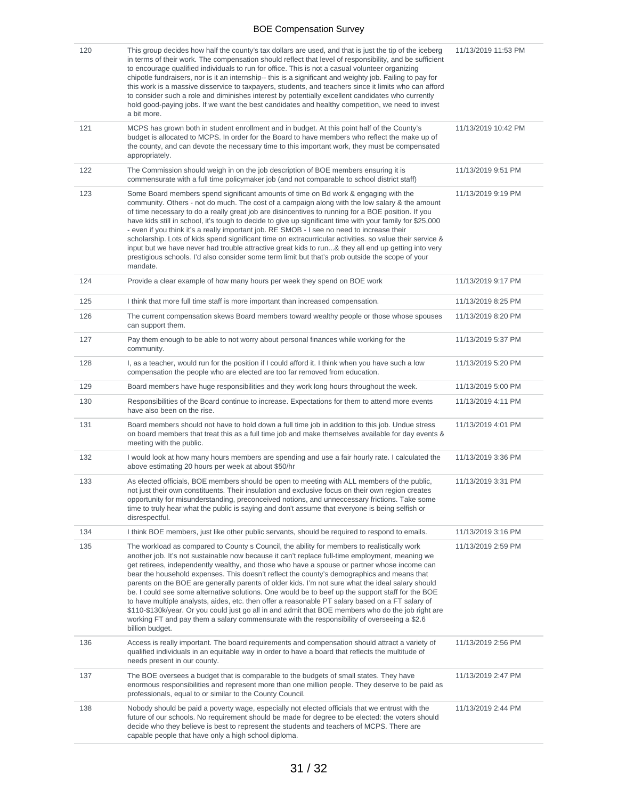| 120 | This group decides how half the county's tax dollars are used, and that is just the tip of the iceberg<br>in terms of their work. The compensation should reflect that level of responsibility, and be sufficient<br>to encourage qualified individuals to run for office. This is not a casual volunteer organizing<br>chipotle fundraisers, nor is it an internship-- this is a significant and weighty job. Failing to pay for<br>this work is a massive disservice to taxpayers, students, and teachers since it limits who can afford<br>to consider such a role and diminishes interest by potentially excellent candidates who currently<br>hold good-paying jobs. If we want the best candidates and healthy competition, we need to invest<br>a bit more.                                                                                                                                                                 | 11/13/2019 11:53 PM |
|-----|------------------------------------------------------------------------------------------------------------------------------------------------------------------------------------------------------------------------------------------------------------------------------------------------------------------------------------------------------------------------------------------------------------------------------------------------------------------------------------------------------------------------------------------------------------------------------------------------------------------------------------------------------------------------------------------------------------------------------------------------------------------------------------------------------------------------------------------------------------------------------------------------------------------------------------|---------------------|
| 121 | MCPS has grown both in student enrollment and in budget. At this point half of the County's<br>budget is allocated to MCPS. In order for the Board to have members who reflect the make up of<br>the county, and can devote the necessary time to this important work, they must be compensated<br>appropriately.                                                                                                                                                                                                                                                                                                                                                                                                                                                                                                                                                                                                                  | 11/13/2019 10:42 PM |
| 122 | The Commission should weigh in on the job description of BOE members ensuring it is<br>commensurate with a full time policymaker job (and not comparable to school district staff)                                                                                                                                                                                                                                                                                                                                                                                                                                                                                                                                                                                                                                                                                                                                                 | 11/13/2019 9:51 PM  |
| 123 | Some Board members spend significant amounts of time on Bd work & engaging with the<br>community. Others - not do much. The cost of a campaign along with the low salary & the amount<br>of time necessary to do a really great job are disincentives to running for a BOE position. If you<br>have kids still in school, it's tough to decide to give up significant time with your family for \$25,000<br>- even if you think it's a really important job. RE SMOB - I see no need to increase their<br>scholarship. Lots of kids spend significant time on extracurricular activities. so value their service &<br>input but we have never had trouble attractive great kids to run& they all end up getting into very<br>prestigious schools. I'd also consider some term limit but that's prob outside the scope of your<br>mandate.                                                                                          | 11/13/2019 9:19 PM  |
| 124 | Provide a clear example of how many hours per week they spend on BOE work                                                                                                                                                                                                                                                                                                                                                                                                                                                                                                                                                                                                                                                                                                                                                                                                                                                          | 11/13/2019 9:17 PM  |
| 125 | I think that more full time staff is more important than increased compensation.                                                                                                                                                                                                                                                                                                                                                                                                                                                                                                                                                                                                                                                                                                                                                                                                                                                   | 11/13/2019 8:25 PM  |
| 126 | The current compensation skews Board members toward wealthy people or those whose spouses<br>can support them.                                                                                                                                                                                                                                                                                                                                                                                                                                                                                                                                                                                                                                                                                                                                                                                                                     | 11/13/2019 8:20 PM  |
| 127 | Pay them enough to be able to not worry about personal finances while working for the<br>community.                                                                                                                                                                                                                                                                                                                                                                                                                                                                                                                                                                                                                                                                                                                                                                                                                                | 11/13/2019 5:37 PM  |
| 128 | I, as a teacher, would run for the position if I could afford it. I think when you have such a low<br>compensation the people who are elected are too far removed from education.                                                                                                                                                                                                                                                                                                                                                                                                                                                                                                                                                                                                                                                                                                                                                  | 11/13/2019 5:20 PM  |
| 129 | Board members have huge responsibilities and they work long hours throughout the week.                                                                                                                                                                                                                                                                                                                                                                                                                                                                                                                                                                                                                                                                                                                                                                                                                                             | 11/13/2019 5:00 PM  |
| 130 | Responsibilities of the Board continue to increase. Expectations for them to attend more events<br>have also been on the rise.                                                                                                                                                                                                                                                                                                                                                                                                                                                                                                                                                                                                                                                                                                                                                                                                     | 11/13/2019 4:11 PM  |
| 131 | Board members should not have to hold down a full time job in addition to this job. Undue stress<br>on board members that treat this as a full time job and make themselves available for day events &<br>meeting with the public.                                                                                                                                                                                                                                                                                                                                                                                                                                                                                                                                                                                                                                                                                                 | 11/13/2019 4:01 PM  |
| 132 | I would look at how many hours members are spending and use a fair hourly rate. I calculated the<br>above estimating 20 hours per week at about \$50/hr                                                                                                                                                                                                                                                                                                                                                                                                                                                                                                                                                                                                                                                                                                                                                                            | 11/13/2019 3:36 PM  |
| 133 | As elected officials, BOE members should be open to meeting with ALL members of the public,<br>not just their own constituents. Their insulation and exclusive focus on their own region creates<br>opportunity for misunderstanding, preconceived notions, and unneccessary frictions. Take some<br>time to truly hear what the public is saying and don't assume that everyone is being selfish or<br>disrespectful.                                                                                                                                                                                                                                                                                                                                                                                                                                                                                                             | 11/13/2019 3:31 PM  |
| 134 | I think BOE members, just like other public servants, should be required to respond to emails.                                                                                                                                                                                                                                                                                                                                                                                                                                                                                                                                                                                                                                                                                                                                                                                                                                     | 11/13/2019 3:16 PM  |
| 135 | The workload as compared to County s Council, the ability for members to realistically work<br>another job. It's not sustainable now because it can't replace full-time employment, meaning we<br>get retirees, independently wealthy, and those who have a spouse or partner whose income can<br>bear the household expenses. This doesn't reflect the county's demographics and means that<br>parents on the BOE are generally parents of older kids. I'm not sure what the ideal salary should<br>be. I could see some alternative solutions. One would be to beef up the support staff for the BOE<br>to have multiple analysts, aides, etc. then offer a reasonable PT salary based on a FT salary of<br>\$110-\$130k/year. Or you could just go all in and admit that BOE members who do the job right are<br>working FT and pay them a salary commensurate with the responsibility of overseeing a \$2.6<br>billion budget. | 11/13/2019 2:59 PM  |
| 136 | Access is really important. The board requirements and compensation should attract a variety of<br>qualified individuals in an equitable way in order to have a board that reflects the multitude of<br>needs present in our county.                                                                                                                                                                                                                                                                                                                                                                                                                                                                                                                                                                                                                                                                                               | 11/13/2019 2:56 PM  |
| 137 | The BOE oversees a budget that is comparable to the budgets of small states. They have<br>enormous responsibilities and represent more than one million people. They deserve to be paid as<br>professionals, equal to or similar to the County Council.                                                                                                                                                                                                                                                                                                                                                                                                                                                                                                                                                                                                                                                                            | 11/13/2019 2:47 PM  |
| 138 | Nobody should be paid a poverty wage, especially not elected officials that we entrust with the<br>future of our schools. No requirement should be made for degree to be elected: the voters should<br>decide who they believe is best to represent the students and teachers of MCPS. There are<br>capable people that have only a high school diploma.                                                                                                                                                                                                                                                                                                                                                                                                                                                                                                                                                                           | 11/13/2019 2:44 PM  |